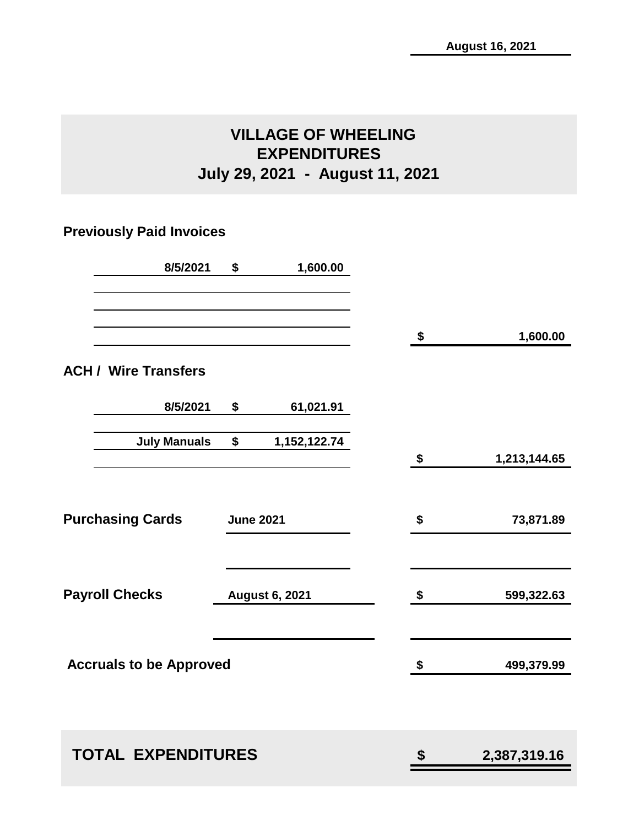# **VILLAGE OF WHEELING EXPENDITURES July 29, 2021 - August 11, 2021**

# **Previously Paid Invoices**

| 8/5/2021                       | \$               | 1,600.00              |                    |
|--------------------------------|------------------|-----------------------|--------------------|
|                                |                  |                       | \$<br>1,600.00     |
| <b>ACH / Wire Transfers</b>    |                  |                       |                    |
| 8/5/2021                       | \$               | 61,021.91             |                    |
| <b>July Manuals</b>            | \$               | 1,152,122.74          | \$<br>1,213,144.65 |
| <b>Purchasing Cards</b>        | <b>June 2021</b> |                       | \$<br>73,871.89    |
| <b>Payroll Checks</b>          |                  | <b>August 6, 2021</b> | \$<br>599,322.63   |
| <b>Accruals to be Approved</b> |                  |                       | \$<br>499,379.99   |
| <b>TOTAL EXPENDITURES</b>      |                  |                       | \$<br>2,387,319.16 |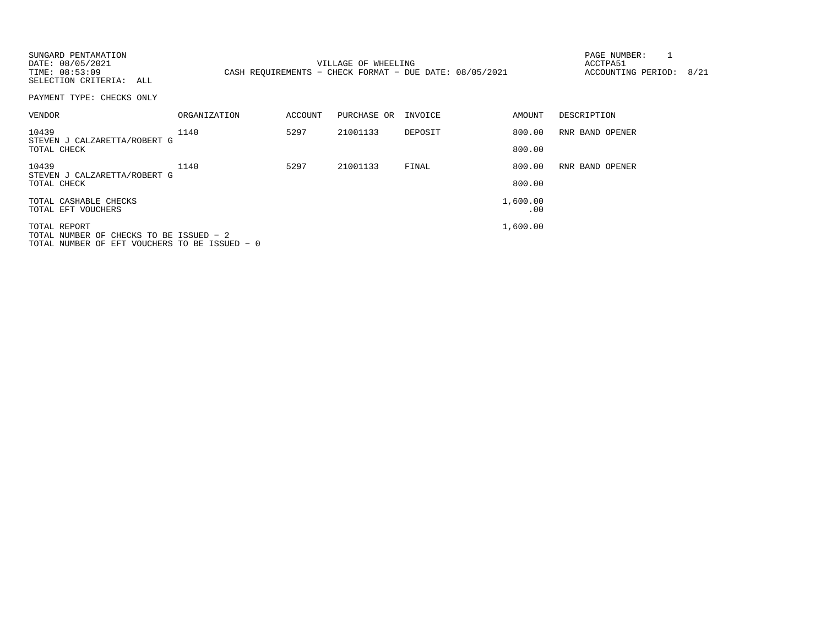| SUNGARD PENTAMATION<br>DATE: 08/05/2021<br>TIME: 08:53:09<br>SELECTION CRITERIA: ALL |                     |         | VILLAGE OF WHEELING | CASH REQUIREMENTS - CHECK FORMAT - DUE DATE: 08/05/2021 |                 | PAGE NUMBER:<br>ACCTPA51<br>ACCOUNTING PERIOD: | 8/21 |
|--------------------------------------------------------------------------------------|---------------------|---------|---------------------|---------------------------------------------------------|-----------------|------------------------------------------------|------|
| PAYMENT TYPE: CHECKS ONLY                                                            |                     |         |                     |                                                         |                 |                                                |      |
| VENDOR                                                                               | <b>ORGANIZATION</b> | ACCOUNT | PURCHASE OR         | INVOICE                                                 | AMOUNT          | DESCRIPTION                                    |      |
| 10439                                                                                | 1140                | 5297    | 21001133            | DEPOSIT                                                 | 800.00          | RNR BAND OPENER                                |      |
| STEVEN J CALZARETTA/ROBERT G<br>TOTAL CHECK                                          |                     |         |                     |                                                         | 800.00          |                                                |      |
| 10439<br>STEVEN J CALZARETTA/ROBERT G                                                | 1140                | 5297    | 21001133            | FINAL                                                   | 800.00          | RNR BAND OPENER                                |      |
| TOTAL CHECK                                                                          |                     |         |                     |                                                         | 800.00          |                                                |      |
| TOTAL CASHABLE CHECKS<br>TOTAL EFT VOUCHERS                                          |                     |         |                     |                                                         | 1,600.00<br>.00 |                                                |      |
| TOTAL REPORT                                                                         |                     |         |                     |                                                         | 1,600.00        |                                                |      |
| TOTAL NUMBER OF CHECKS TO BE ISSUED - 2                                              |                     |         |                     |                                                         |                 |                                                |      |
| TOTAL NUMBER OF EFT VOUCHERS TO BE ISSUED - 0                                        |                     |         |                     |                                                         |                 |                                                |      |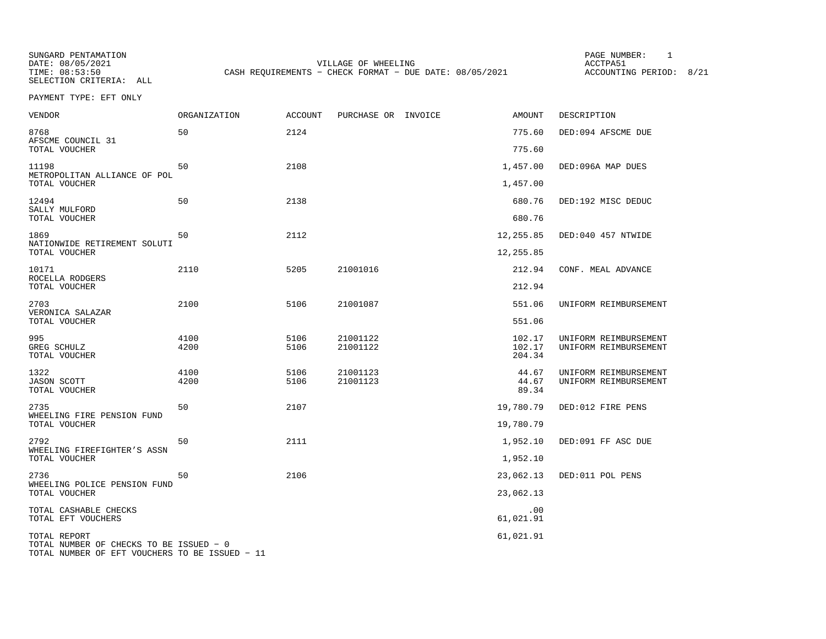SUNGARD PENTAMATION PAGE NUMBER: 1SELECTION CRITERIA: ALL

DATE: 08/05/2021 VILLAGE OF WHEELING ACCTPA51TIME: 08:53:50 CASH REQUIREMENTS - CHECK FORMAT - DUE DATE: 08/05/2021

ACCOUNTING PERIOD: 8/21

PAYMENT TYPE: EFT ONLY

| <b>VENDOR</b>                                                | ORGANIZATION | <b>ACCOUNT</b> | PURCHASE OR INVOICE  | <b>AMOUNT</b>                 | DESCRIPTION                                    |
|--------------------------------------------------------------|--------------|----------------|----------------------|-------------------------------|------------------------------------------------|
| 8768<br>AFSCME COUNCIL 31<br>TOTAL VOUCHER                   | 50           | 2124           |                      | 775.60<br>775.60              | DED:094 AFSCME DUE                             |
| 11198<br>METROPOLITAN ALLIANCE OF POL<br>TOTAL VOUCHER       | 50           | 2108           |                      | 1,457.00<br>1,457.00          | DED:096A MAP DUES                              |
| 12494<br>SALLY MULFORD<br>TOTAL VOUCHER                      | 50           | 2138           |                      | 680.76<br>680.76              | DED:192 MISC DEDUC                             |
| 1869<br>NATIONWIDE RETIREMENT SOLUTI<br>TOTAL VOUCHER        | 50           | 2112           |                      | 12,255.85<br>12,255.85        | DED:040 457 NTWIDE                             |
| 10171<br>ROCELLA RODGERS<br>TOTAL VOUCHER                    | 2110         | 5205           | 21001016             | 212.94<br>212.94              | CONF. MEAL ADVANCE                             |
| 2703<br>VERONICA SALAZAR<br>TOTAL VOUCHER                    | 2100         | 5106           | 21001087             | 551.06<br>551.06              | UNIFORM REIMBURSEMENT                          |
| 995<br>GREG SCHULZ<br>TOTAL VOUCHER                          | 4100<br>4200 | 5106<br>5106   | 21001122<br>21001122 | 102.17<br>102.17<br>204.34    | UNIFORM REIMBURSEMENT<br>UNIFORM REIMBURSEMENT |
| 1322<br><b>JASON SCOTT</b><br>TOTAL VOUCHER                  | 4100<br>4200 | 5106<br>5106   | 21001123<br>21001123 | 44.67<br>44.67<br>89.34       | UNIFORM REIMBURSEMENT<br>UNIFORM REIMBURSEMENT |
| 2735<br>WHEELING FIRE PENSION FUND<br>TOTAL VOUCHER          | 50           | 2107           |                      | 19,780.79<br>19,780.79        | DED:012 FIRE PENS                              |
| 2792<br>WHEELING FIREFIGHTER'S ASSN<br>TOTAL VOUCHER         | 50           | 2111           |                      | 1,952.10<br>1,952.10          | DED:091 FF ASC DUE                             |
| 2736<br>WHEELING POLICE PENSION FUND                         | 50           | 2106           |                      | 23,062.13                     | DED:011 POL PENS                               |
| TOTAL VOUCHER<br>TOTAL CASHABLE CHECKS<br>TOTAL EFT VOUCHERS |              |                |                      | 23,062.13<br>.00<br>61,021.91 |                                                |
| TOTAL REPORT<br>TOTAL NUMBER OF CHECKS TO BE ISSUED - 0      |              |                |                      | 61,021.91                     |                                                |

TOTAL NUMBER OF EFT VOUCHERS TO BE ISSUED − 11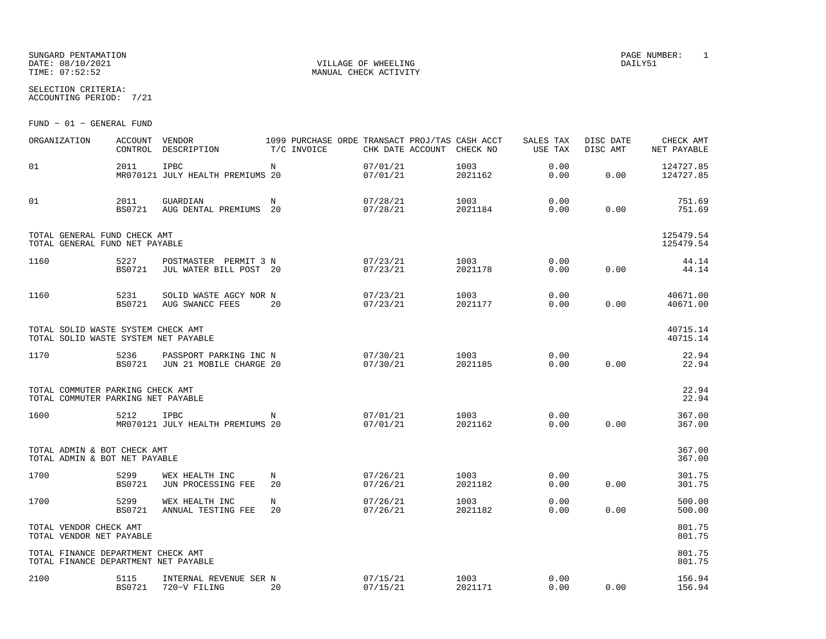## SUNGARD PENTAMATION PAGE NUMBER: 1 DATE:  $08/10/2021$  DAILY51 TIME:  $07:52:52$  MANUAL CHECK ACTIVITY

SELECTION CRITERIA:

ACCOUNTING PERIOD: 7/21

FUND − 01 − GENERAL FUND

| ORGANIZATION                                                               | <b>ACCOUNT</b><br>CONTROL | VENDOR<br>DESCRIPTION                             | T/C INVOICE | 1099 PURCHASE ORDE TRANSACT PROJ/TAS CASH ACCT<br>CHK DATE ACCOUNT | CHECK NO        | SALES TAX<br><b>USE TAX</b> | DISC DATE<br>DISC AMT | CHECK AMT<br>NET PAYABLE |
|----------------------------------------------------------------------------|---------------------------|---------------------------------------------------|-------------|--------------------------------------------------------------------|-----------------|-----------------------------|-----------------------|--------------------------|
| 01                                                                         | 2011                      | IPBC<br>MR070121 JULY HEALTH PREMIUMS 20          | N           | 07/01/21<br>07/01/21                                               | 1003<br>2021162 | 0.00<br>0.00                | 0.00                  | 124727.85<br>124727.85   |
| 01                                                                         | 2011<br><b>BS0721</b>     | GUARDIAN<br>AUG DENTAL PREMIUMS                   | N<br>20     | 07/28/21<br>07/28/21                                               | 1003<br>2021184 | 0.00<br>0.00                | 0.00                  | 751.69<br>751.69         |
| TOTAL GENERAL FUND CHECK AMT<br>TOTAL GENERAL FUND NET PAYABLE             |                           |                                                   |             |                                                                    |                 |                             |                       | 125479.54<br>125479.54   |
| 1160                                                                       | 5227<br><b>BS0721</b>     | POSTMASTER PERMIT 3 N<br>JUL WATER BILL POST 20   |             | 07/23/21<br>07/23/21                                               | 1003<br>2021178 | 0.00<br>0.00                | 0.00                  | 44.14<br>44.14           |
| 1160                                                                       | 5231<br><b>BS0721</b>     | SOLID WASTE AGCY NOR N<br>AUG SWANCC FEES         | 20          | 07/23/21<br>07/23/21                                               | 1003<br>2021177 | 0.00<br>0.00                | 0.00                  | 40671.00<br>40671.00     |
| TOTAL SOLID WASTE SYSTEM CHECK AMT<br>TOTAL SOLID WASTE SYSTEM NET PAYABLE |                           |                                                   |             |                                                                    |                 |                             |                       | 40715.14<br>40715.14     |
| 1170                                                                       | 5236<br><b>BS0721</b>     | PASSPORT PARKING INC N<br>JUN 21 MOBILE CHARGE 20 |             | 07/30/21<br>07/30/21                                               | 1003<br>2021185 | 0.00<br>0.00                | 0.00                  | 22.94<br>22.94           |
| TOTAL COMMUTER PARKING CHECK AMT<br>TOTAL COMMUTER PARKING NET PAYABLE     |                           |                                                   |             |                                                                    |                 |                             |                       | 22.94<br>22.94           |
| 1600                                                                       | 5212                      | IPBC<br>MR070121 JULY HEALTH PREMIUMS 20          | N           | 07/01/21<br>07/01/21                                               | 1003<br>2021162 | 0.00<br>0.00                | 0.00                  | 367.00<br>367.00         |
| TOTAL ADMIN & BOT CHECK AMT<br>TOTAL ADMIN & BOT NET PAYABLE               |                           |                                                   |             |                                                                    |                 |                             |                       | 367.00<br>367.00         |
| 1700                                                                       | 5299<br><b>BS0721</b>     | WEX HEALTH INC<br>JUN PROCESSING FEE              | N<br>20     | 07/26/21<br>07/26/21                                               | 1003<br>2021182 | 0.00<br>0.00                | 0.00                  | 301.75<br>301.75         |
| 1700                                                                       | 5299<br><b>BS0721</b>     | WEX HEALTH INC<br>ANNUAL TESTING FEE              | N<br>20     | 07/26/21<br>07/26/21                                               | 1003<br>2021182 | 0.00<br>0.00                | 0.00                  | 500.00<br>500.00         |
| TOTAL VENDOR CHECK AMT<br>TOTAL VENDOR NET PAYABLE                         |                           |                                                   |             |                                                                    |                 |                             |                       | 801.75<br>801.75         |
| TOTAL FINANCE DEPARTMENT CHECK AMT<br>TOTAL FINANCE DEPARTMENT NET PAYABLE |                           |                                                   |             |                                                                    |                 |                             |                       | 801.75<br>801.75         |
| 2100                                                                       | 5115<br><b>BS0721</b>     | INTERNAL REVENUE SER N<br>720-V FILING            | 20          | 07/15/21<br>07/15/21                                               | 1003<br>2021171 | 0.00<br>0.00                | 0.00                  | 156.94<br>156.94         |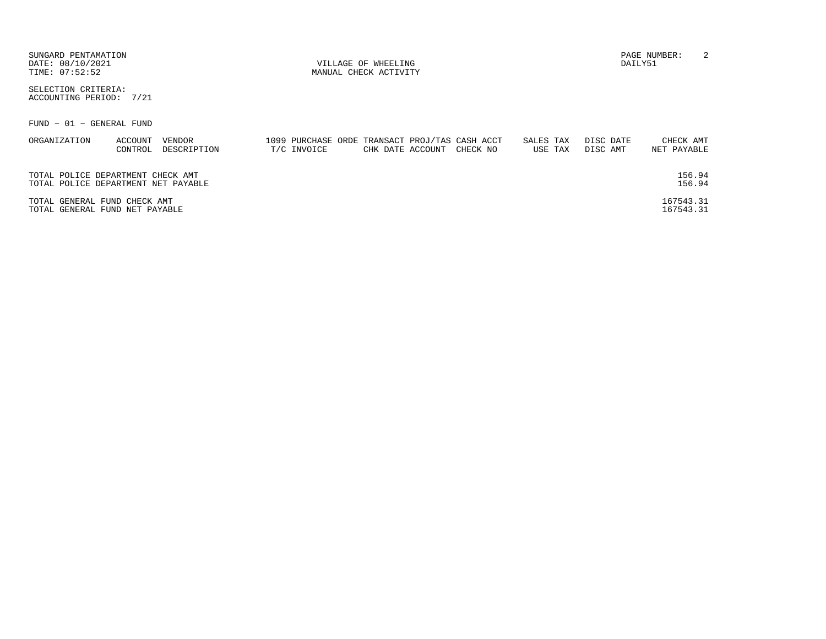| SUNGARD PENTAMATION<br>DATE: 08/10/2021<br>TIME: 07:52:52                |                       |             | VILLAGE OF WHEELING<br>MANUAL CHECK ACTIVITY                                   |                      | DAILY51               | 2<br>PAGE NUMBER:        |
|--------------------------------------------------------------------------|-----------------------|-------------|--------------------------------------------------------------------------------|----------------------|-----------------------|--------------------------|
| SELECTION CRITERIA:<br>ACCOUNTING PERIOD:<br>7/21                        |                       |             |                                                                                |                      |                       |                          |
| FUND - 01 - GENERAL FUND                                                 |                       |             |                                                                                |                      |                       |                          |
| ORGANIZATION<br>ACCOUNT<br>CONTROL                                       | VENDOR<br>DESCRIPTION | T/C INVOICE | 1099 PURCHASE ORDE TRANSACT PROJ/TAS CASH ACCT<br>CHECK NO<br>CHK DATE ACCOUNT | SALES TAX<br>USE TAX | DISC DATE<br>DISC AMT | CHECK AMT<br>NET PAYABLE |
| TOTAL POLICE DEPARTMENT CHECK AMT<br>TOTAL POLICE DEPARTMENT NET PAYABLE |                       |             |                                                                                |                      |                       | 156.94<br>156.94         |
| TOTAL GENERAL FUND CHECK AMT<br>TOTAL GENERAL FUND NET PAYABLE           |                       |             |                                                                                |                      |                       | 167543.31<br>167543.31   |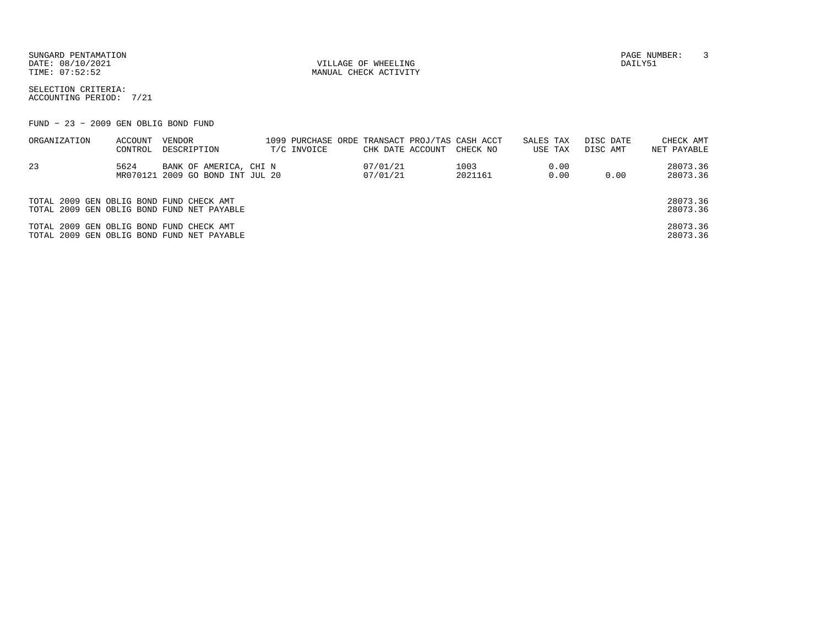DATE:  $08/10/2021$  DAILY51

TIME:  $07:52:52$  MANUAL CHECK ACTIVITY

SUNGARD PENTAMATION PAGE NUMBER: 3

SELECTION CRITERIA:ACCOUNTING PERIOD: 7/21

FUND − 23 − 2009 GEN OBLIG BOND FUND

| ORGANIZATION                             | ACCOUNT<br>CONTROL | VENDOR<br>DESCRIPTION                                      | T/C INVOICE | CHK DATE ACCOUNT     | 1099 PURCHASE ORDE TRANSACT PROJ/TAS CASH ACCT<br>CHECK NO | SALES TAX<br>USE TAX | DISC DATE<br>DISC AMT | CHECK AMT<br>NET PAYABLE |
|------------------------------------------|--------------------|------------------------------------------------------------|-------------|----------------------|------------------------------------------------------------|----------------------|-----------------------|--------------------------|
| 23                                       | 5624               | BANK OF AMERICA, CHI N<br>MR070121 2009 GO BOND INT JUL 20 |             | 07/01/21<br>07/01/21 | 1003<br>2021161                                            | 0.00<br>0.00         | 0.00                  | 28073.36<br>28073.36     |
| TOTAL 2009 GEN OBLIG BOND FUND CHECK AMT |                    | TOTAL 2009 GEN OBLIG BOND FUND NET PAYABLE                 |             |                      |                                                            |                      |                       | 28073.36<br>28073.36     |
| TOTAL 2009 GEN OBLIG BOND FUND CHECK AMT |                    | TOTAL 2009 GEN OBLIG BOND FUND NET PAYABLE                 |             |                      |                                                            |                      |                       | 28073.36<br>28073.36     |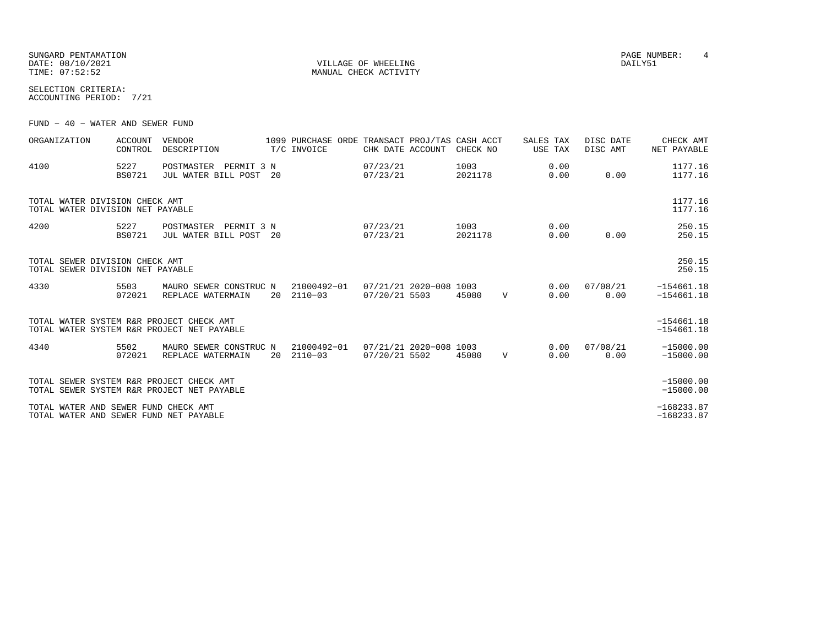SUNGARD PENTAMATION PAGE NUMBER: 4 DATE:  $08/10/2021$  DAILY51

TIME:  $07:52:52$  MANUAL CHECK ACTIVITY

SELECTION CRITERIA:ACCOUNTING PERIOD: 7/21

FUND − 40 − WATER AND SEWER FUND

| ORGANIZATION                                                                   | <b>ACCOUNT</b><br>CONTROL | <b>VENDOR</b><br>DESCRIPTION                    |    | 1099 PURCHASE ORDE TRANSACT PROJ/TAS CASH ACCT<br>T/C INVOICE | CHK DATE ACCOUNT                        | CHECK NO        |              | SALES TAX<br>USE TAX | DISC DATE<br>DISC AMT | CHECK AMT<br>NET PAYABLE     |
|--------------------------------------------------------------------------------|---------------------------|-------------------------------------------------|----|---------------------------------------------------------------|-----------------------------------------|-----------------|--------------|----------------------|-----------------------|------------------------------|
| 4100                                                                           | 5227<br><b>BS0721</b>     | POSTMASTER PERMIT 3 N<br>JUL WATER BILL POST 20 |    |                                                               | 07/23/21<br>07/23/21                    | 1003<br>2021178 |              | 0.00<br>0.00         | 0.00                  | 1177.16<br>1177.16           |
| TOTAL WATER DIVISION CHECK AMT<br>TOTAL WATER DIVISION NET PAYABLE             |                           |                                                 |    |                                                               |                                         |                 |              |                      |                       | 1177.16<br>1177.16           |
| 4200                                                                           | 5227<br><b>BS0721</b>     | POSTMASTER PERMIT 3 N<br>JUL WATER BILL POST 20 |    |                                                               | 07/23/21<br>07/23/21                    | 1003<br>2021178 |              | 0.00<br>0.00         | 0.00                  | 250.15<br>250.15             |
| TOTAL SEWER DIVISION CHECK AMT<br>TOTAL SEWER DIVISION NET PAYABLE             |                           |                                                 |    |                                                               |                                         |                 |              |                      |                       | 250.15<br>250.15             |
| 4330                                                                           | 5503<br>072021            | MAURO SEWER CONSTRUC N<br>REPLACE WATERMAIN     |    | 21000492-01<br>20 2110-03                                     | 07/21/21 2020-008 1003<br>07/20/21 5503 | 45080           | $\mathbf V$  | 0.00<br>0.00         | 07/08/21<br>0.00      | $-154661.18$<br>$-154661.18$ |
| TOTAL WATER SYSTEM R&R PROJECT CHECK AMT                                       |                           | TOTAL WATER SYSTEM R&R PROJECT NET PAYABLE      |    |                                                               |                                         |                 |              |                      |                       | $-154661.18$<br>$-154661.18$ |
| 4340                                                                           | 5502<br>072021            | MAURO SEWER CONSTRUC N<br>REPLACE WATERMAIN     | 20 | 21000492-01<br>$2110 - 03$                                    | 07/21/21 2020-008 1003<br>07/20/21 5502 | 45080           | $\mathbf{V}$ | 0.00<br>0.00         | 07/08/21<br>0.00      | $-15000.00$<br>$-15000.00$   |
| TOTAL SEWER SYSTEM R&R PROJECT CHECK AMT                                       |                           | TOTAL SEWER SYSTEM R&R PROJECT NET PAYABLE      |    |                                                               |                                         |                 |              |                      |                       | $-15000.00$<br>$-15000.00$   |
| TOTAL WATER AND SEWER FUND CHECK AMT<br>TOTAL WATER AND SEWER FUND NET PAYABLE |                           |                                                 |    |                                                               |                                         |                 |              |                      |                       | $-168233.87$<br>$-168233.87$ |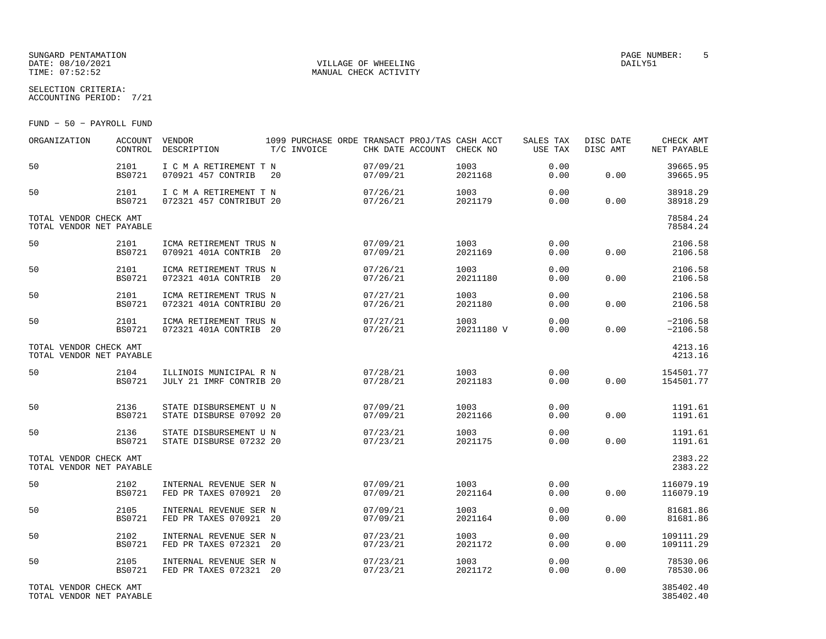## SUNGARD PENTAMATION PAGE NUMBER: 5DATE: 08/10/2021 VILLAGE OF WHEELING DAILY51

SELECTION CRITERIA:

MANUAL CHECK ACTIVITY

ACCOUNTING PERIOD: 7/21

FUND − 50 − PAYROLL FUND

| ORGANIZATION                                       | <b>ACCOUNT</b><br>CONTROL | VENDOR<br>DESCRIPTION                             |    | T/C INVOICE |                      | 1099 PURCHASE ORDE TRANSACT PROJ/TAS CASH ACCT<br>CHK DATE ACCOUNT CHECK NO | SALES TAX<br>USE TAX | DISC DATE<br>DISC AMT | CHECK AMT<br>NET PAYABLE |
|----------------------------------------------------|---------------------------|---------------------------------------------------|----|-------------|----------------------|-----------------------------------------------------------------------------|----------------------|-----------------------|--------------------------|
| 50                                                 | 2101<br><b>BS0721</b>     | I C M A RETIREMENT T N<br>070921 457 CONTRIB      | 20 |             | 07/09/21<br>07/09/21 | 1003<br>2021168                                                             | 0.00<br>0.00         | 0.00                  | 39665.95<br>39665.95     |
| 50                                                 | 2101<br>BS0721            | I C M A RETIREMENT T N<br>072321 457 CONTRIBUT 20 |    |             | 07/26/21<br>07/26/21 | 1003<br>2021179                                                             | 0.00<br>0.00         | 0.00                  | 38918.29<br>38918.29     |
| TOTAL VENDOR CHECK AMT<br>TOTAL VENDOR NET PAYABLE |                           |                                                   |    |             |                      |                                                                             |                      |                       | 78584.24<br>78584.24     |
| 50                                                 | 2101<br><b>BS0721</b>     | ICMA RETIREMENT TRUS N<br>070921 401A CONTRIB 20  |    |             | 07/09/21<br>07/09/21 | 1003<br>2021169                                                             | 0.00<br>0.00         | 0.00                  | 2106.58<br>2106.58       |
| 50                                                 | 2101<br><b>BS0721</b>     | ICMA RETIREMENT TRUS N<br>072321 401A CONTRIB 20  |    |             | 07/26/21<br>07/26/21 | 1003<br>20211180                                                            | 0.00<br>0.00         | 0.00                  | 2106.58<br>2106.58       |
| 50                                                 | 2101<br><b>BS0721</b>     | ICMA RETIREMENT TRUS N<br>072321 401A CONTRIBU 20 |    |             | 07/27/21<br>07/26/21 | 1003<br>2021180                                                             | 0.00<br>0.00         | 0.00                  | 2106.58<br>2106.58       |
| 50                                                 | 2101<br>BS0721            | ICMA RETIREMENT TRUS N<br>072321 401A CONTRIB 20  |    |             | 07/27/21<br>07/26/21 | 1003<br>20211180 V                                                          | 0.00<br>0.00         | 0.00                  | $-2106.58$<br>$-2106.58$ |
| TOTAL VENDOR CHECK AMT<br>TOTAL VENDOR NET PAYABLE |                           |                                                   |    |             |                      |                                                                             |                      |                       | 4213.16<br>4213.16       |
| 50                                                 | 2104<br><b>BS0721</b>     | ILLINOIS MUNICIPAL R N<br>JULY 21 IMRF CONTRIB 20 |    |             | 07/28/21<br>07/28/21 | 1003<br>2021183                                                             | 0.00<br>0.00         | 0.00                  | 154501.77<br>154501.77   |
| 50                                                 | 2136<br><b>BS0721</b>     | STATE DISBURSEMENT U N<br>STATE DISBURSE 07092 20 |    |             | 07/09/21<br>07/09/21 | 1003<br>2021166                                                             | 0.00<br>0.00         | 0.00                  | 1191.61<br>1191.61       |
| 50                                                 | 2136<br><b>BS0721</b>     | STATE DISBURSEMENT U N<br>STATE DISBURSE 07232 20 |    |             | 07/23/21<br>07/23/21 | 1003<br>2021175                                                             | 0.00<br>0.00         | 0.00                  | 1191.61<br>1191.61       |
| TOTAL VENDOR CHECK AMT<br>TOTAL VENDOR NET PAYABLE |                           |                                                   |    |             |                      |                                                                             |                      |                       | 2383.22<br>2383.22       |
| 50                                                 | 2102<br><b>BS0721</b>     | INTERNAL REVENUE SER N<br>FED PR TAXES 070921 20  |    |             | 07/09/21<br>07/09/21 | 1003<br>2021164                                                             | 0.00<br>0.00         | 0.00                  | 116079.19<br>116079.19   |
| 50                                                 | 2105<br><b>BS0721</b>     | INTERNAL REVENUE SER N<br>FED PR TAXES 070921 20  |    |             | 07/09/21<br>07/09/21 | 1003<br>2021164                                                             | 0.00<br>0.00         | 0.00                  | 81681.86<br>81681.86     |
| 50                                                 | 2102<br><b>BS0721</b>     | INTERNAL REVENUE SER N<br>FED PR TAXES 072321 20  |    |             | 07/23/21<br>07/23/21 | 1003<br>2021172                                                             | 0.00<br>0.00         | 0.00                  | 109111.29<br>109111.29   |
| 50                                                 | 2105<br><b>BS0721</b>     | INTERNAL REVENUE SER N<br>FED PR TAXES 072321 20  |    |             | 07/23/21<br>07/23/21 | 1003<br>2021172                                                             | 0.00<br>0.00         | 0.00                  | 78530.06<br>78530.06     |
| TOTAL VENDOR CHECK AMT<br>TOTAL VENDOR NET PAYABLE |                           |                                                   |    |             |                      |                                                                             |                      |                       | 385402.40<br>385402.40   |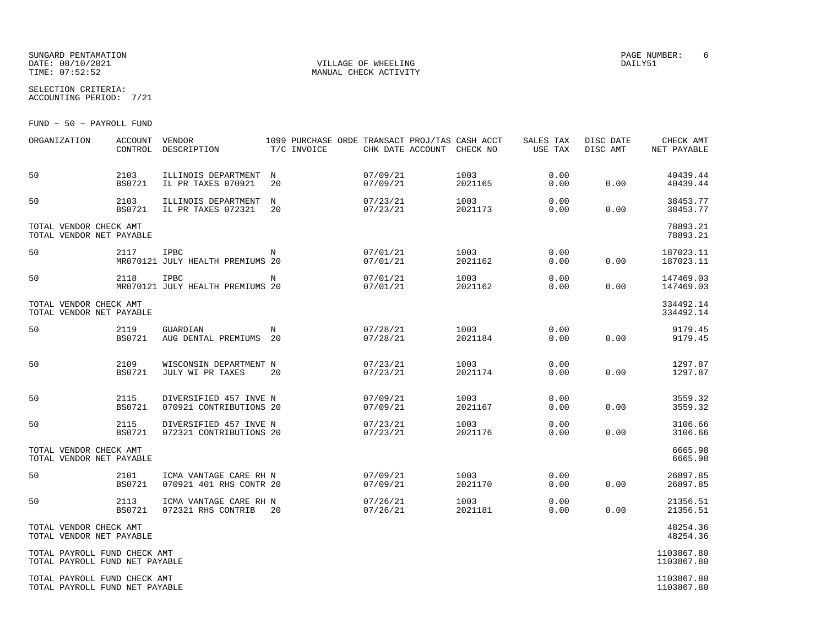## SUNGARD PENTAMATION PAGE NUMBER: 6DATE: 08/10/2021 VILLAGE OF WHEELING DAILY51

SELECTION CRITERIA:

MANUAL CHECK ACTIVITY

ACCOUNTING PERIOD: 7/21

FUND − 50 − PAYROLL FUND

| ORGANIZATION                                                   | ACCOUNT<br>CONTROL    | VENDOR<br>DESCRIPTION                             | 1099 PURCHASE ORDE TRANSACT PROJ/TAS CASH ACCT<br>T/C INVOICE |                      | CHK DATE ACCOUNT CHECK NO |                 | SALES TAX<br>USE TAX | DISC DATE<br>DISC AMT | CHECK AMT<br>NET PAYABLE |
|----------------------------------------------------------------|-----------------------|---------------------------------------------------|---------------------------------------------------------------|----------------------|---------------------------|-----------------|----------------------|-----------------------|--------------------------|
| 50                                                             | 2103<br><b>BS0721</b> | ILLINOIS DEPARTMENT<br>IL PR TAXES 070921         | $_{\rm N}$<br>20                                              | 07/09/21<br>07/09/21 |                           | 1003<br>2021165 | 0.00<br>0.00         | 0.00                  | 40439.44<br>40439.44     |
| 50                                                             | 2103<br><b>BS0721</b> | ILLINOIS DEPARTMENT<br>IL PR TAXES 072321         | N<br>20                                                       | 07/23/21<br>07/23/21 |                           | 1003<br>2021173 | 0.00<br>0.00         | 0.00                  | 38453.77<br>38453.77     |
| TOTAL VENDOR CHECK AMT<br>TOTAL VENDOR NET PAYABLE             |                       |                                                   |                                                               |                      |                           |                 |                      |                       | 78893.21<br>78893.21     |
| 50                                                             | 2117                  | IPBC<br>MR070121 JULY HEALTH PREMIUMS 20          | N                                                             | 07/01/21<br>07/01/21 |                           | 1003<br>2021162 | 0.00<br>0.00         | 0.00                  | 187023.11<br>187023.11   |
| 50                                                             | 2118                  | <b>IPBC</b><br>MR070121 JULY HEALTH PREMIUMS 20   | N                                                             | 07/01/21<br>07/01/21 |                           | 1003<br>2021162 | 0.00<br>0.00         | 0.00                  | 147469.03<br>147469.03   |
| TOTAL VENDOR CHECK AMT<br>TOTAL VENDOR NET PAYABLE             |                       |                                                   |                                                               |                      |                           |                 |                      |                       | 334492.14<br>334492.14   |
| 50                                                             | 2119<br><b>BS0721</b> | GUARDIAN<br>AUG DENTAL PREMIUMS 20                | $_{\rm N}$                                                    | 07/28/21<br>07/28/21 |                           | 1003<br>2021184 | 0.00<br>0.00         | 0.00                  | 9179.45<br>9179.45       |
| 50                                                             | 2109<br>BS0721        | WISCONSIN DEPARTMENT N<br>JULY WI PR TAXES        | 20                                                            | 07/23/21<br>07/23/21 |                           | 1003<br>2021174 | 0.00<br>0.00         | 0.00                  | 1297.87<br>1297.87       |
| 50                                                             | 2115<br><b>BS0721</b> | DIVERSIFIED 457 INVE N<br>070921 CONTRIBUTIONS 20 |                                                               | 07/09/21<br>07/09/21 |                           | 1003<br>2021167 | 0.00<br>0.00         | 0.00                  | 3559.32<br>3559.32       |
| 50                                                             | 2115<br><b>BS0721</b> | DIVERSIFIED 457 INVE N<br>072321 CONTRIBUTIONS 20 |                                                               | 07/23/21<br>07/23/21 |                           | 1003<br>2021176 | 0.00<br>0.00         | 0.00                  | 3106.66<br>3106.66       |
| TOTAL VENDOR CHECK AMT<br>TOTAL VENDOR NET PAYABLE             |                       |                                                   |                                                               |                      |                           |                 |                      |                       | 6665.98<br>6665.98       |
| 50                                                             | 2101<br><b>BS0721</b> | ICMA VANTAGE CARE RH N<br>070921 401 RHS CONTR 20 |                                                               | 07/09/21<br>07/09/21 |                           | 1003<br>2021170 | 0.00<br>0.00         | 0.00                  | 26897.85<br>26897.85     |
| 50                                                             | 2113<br><b>BS0721</b> | ICMA VANTAGE CARE RH N<br>072321 RHS CONTRIB      | 20                                                            | 07/26/21<br>07/26/21 |                           | 1003<br>2021181 | 0.00<br>0.00         | 0.00                  | 21356.51<br>21356.51     |
| TOTAL VENDOR CHECK AMT<br>TOTAL VENDOR NET PAYABLE             |                       |                                                   |                                                               |                      |                           |                 |                      |                       | 48254.36<br>48254.36     |
| TOTAL PAYROLL FUND CHECK AMT<br>TOTAL PAYROLL FUND NET PAYABLE |                       |                                                   |                                                               |                      |                           |                 |                      |                       | 1103867.80<br>1103867.80 |
| TOTAL PAYROLL FUND CHECK AMT<br>TOTAL PAYROLL FUND NET PAYABLE |                       |                                                   |                                                               |                      |                           |                 |                      |                       | 1103867.80<br>1103867.80 |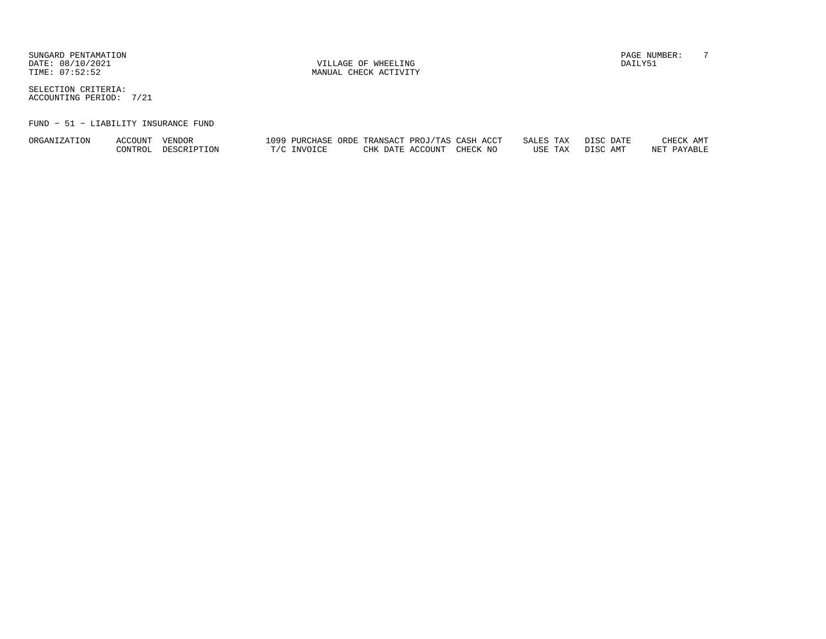DATE:  $08/10/2021$  DAILY51

TIME:  $07:52:52$  MANUAL CHECK ACTIVITY

SUNGARD PENTAMATION PAGE NUMBER: T

SELECTION CRITERIA:ACCOUNTING PERIOD: 7/21

## FUND − 51 − LIABILITY INSURANCE FUND

| <b>ORGANI</b><br>'ION<br>ZA. | $\Lambda{\rm CCOUT}$ | VENDOR      | 1099 | PURCHASE        | ORDE<br>TRANSACT        | 'TAS<br>PROU | $\overline{\phantom{a}}$<br>CASH<br>ACC. | TAX<br>SALE:<br>$\mathbf{a}$ | <b>DIC</b><br>DATE | ΔМͲ<br>CHECK       |
|------------------------------|----------------------|-------------|------|-----------------|-------------------------|--------------|------------------------------------------|------------------------------|--------------------|--------------------|
|                              | CONTROL              | DESCRIPTION |      | <b>TNR/OTCF</b> | <b>CHK</b><br>DATE<br>◡ | ™CCOUNT      | CHECK NO                                 | TAX<br>USE                   | <b>DICA</b><br>AMT | DAVARTT<br>77.5.00 |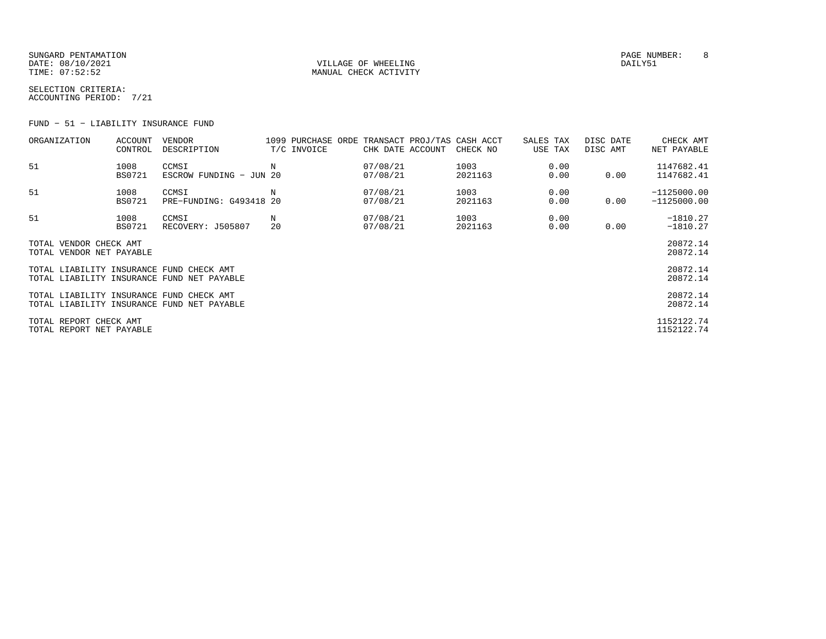SUNGARD PENTAMATION PAGE NUMBER: 8DATE:  $08/10/2021$  DAILY51 TIME:  $07:52:52$  MANUAL CHECK ACTIVITY

SELECTION CRITERIA:ACCOUNTING PERIOD: 7/21

FUND − 51 − LIABILITY INSURANCE FUND

| ORGANIZATION                                       | ACCOUNT<br>CONTROL    | VENDOR<br>DESCRIPTION                      |         | 1099 PURCHASE ORDE TRANSACT PROJ/TAS CASH ACCT<br>T/C INVOICE | CHK DATE ACCOUNT     | CHECK NO        | SALES TAX<br>USE TAX | DISC DATE<br>DISC AMT | CHECK AMT<br>NET PAYABLE       |
|----------------------------------------------------|-----------------------|--------------------------------------------|---------|---------------------------------------------------------------|----------------------|-----------------|----------------------|-----------------------|--------------------------------|
| 51                                                 | 1008<br><b>BS0721</b> | CCMSI<br>ESCROW FUNDING - JUN 20           | Ν       |                                                               | 07/08/21<br>07/08/21 | 1003<br>2021163 | 0.00<br>0.00         | 0.00                  | 1147682.41<br>1147682.41       |
| 51                                                 | 1008<br><b>BS0721</b> | CCMSI<br>PRE-FUNDING: G493418 20           | Ν       |                                                               | 07/08/21<br>07/08/21 | 1003<br>2021163 | 0.00<br>0.00         | 0.00                  | $-1125000.00$<br>$-1125000.00$ |
| 51                                                 | 1008<br>BS0721        | CCMSI<br>RECOVERY: J505807                 | Ν<br>20 |                                                               | 07/08/21<br>07/08/21 | 1003<br>2021163 | 0.00<br>0.00         | 0.00                  | $-1810.27$<br>$-1810.27$       |
| TOTAL VENDOR CHECK AMT<br>TOTAL VENDOR NET PAYABLE |                       |                                            |         |                                                               |                      |                 |                      |                       | 20872.14<br>20872.14           |
| TOTAL LIABILITY INSURANCE FUND CHECK AMT           |                       | TOTAL LIABILITY INSURANCE FUND NET PAYABLE |         |                                                               |                      |                 |                      |                       | 20872.14<br>20872.14           |
| TOTAL LIABILITY INSURANCE FUND CHECK AMT           |                       | TOTAL LIABILITY INSURANCE FUND NET PAYABLE |         |                                                               |                      |                 |                      |                       | 20872.14<br>20872.14           |
| TOTAL REPORT CHECK AMT<br>TOTAL REPORT NET PAYABLE |                       |                                            |         |                                                               |                      |                 |                      |                       | 1152122.74<br>1152122.74       |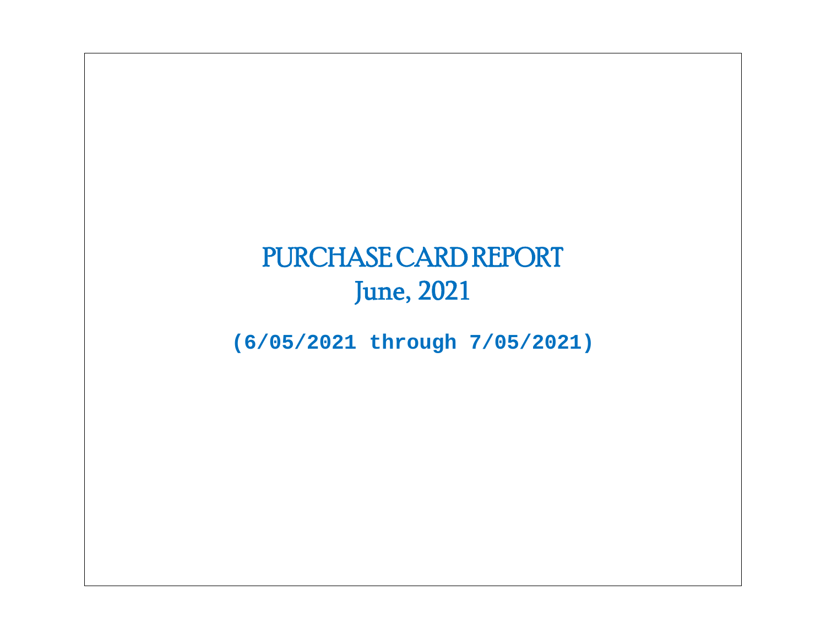# PURCHASE CARD REPORT June, 2021

**(6/05/2021 through 7/05/2021)**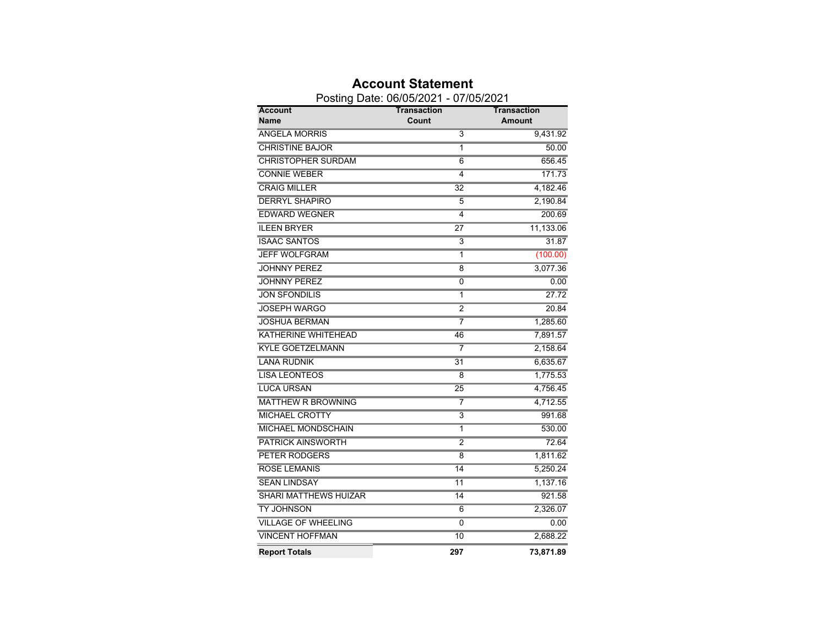|                              | Posting Date: 06/05/2021 - 07/05/2021 |                              |
|------------------------------|---------------------------------------|------------------------------|
| <b>Account</b><br>Name       | Transaction<br>Count                  | Transaction<br><b>Amount</b> |
| <b>ANGELA MORRIS</b>         | 3                                     | 9,431.92                     |
| <b>CHRISTINE BAJOR</b>       | 1                                     | 50.00                        |
| <b>CHRISTOPHER SURDAM</b>    | $\overline{6}$                        | 656.45                       |
| <b>CONNIE WEBER</b>          | 4                                     | 171.73                       |
| <b>CRAIG MILLER</b>          | 32                                    | 4,182.46                     |
| <b>DERRYL SHAPIRO</b>        | 5                                     | 2,190.84                     |
| <b>EDWARD WEGNER</b>         | 4                                     | 200.69                       |
| <b>ILEEN BRYER</b>           | $\overline{27}$                       | 11,133.06                    |
| <b>ISAAC SANTOS</b>          | $\overline{\mathbf{3}}$               | 31.87                        |
| <b>JEFF WOLFGRAM</b>         | 1                                     | (100.00)                     |
| <b>JOHNNY PEREZ</b>          | 8                                     | 3,077.36                     |
| <b>JOHNNY PEREZ</b>          | 0                                     | 0.00                         |
| <b>JON SFONDILIS</b>         | $\overline{\mathbf{1}}$               | 27.72                        |
| <b>JOSEPH WARGO</b>          | $\overline{2}$                        | 20.84                        |
| <b>JOSHUA BERMAN</b>         | 7                                     | 1,285.60                     |
| <b>KATHERINE WHITEHEAD</b>   | 46                                    | 7,891.57                     |
| <b>KYLE GOETZELMANN</b>      | 7                                     | 2,158.64                     |
| <b>LANA RUDNIK</b>           | $\overline{31}$                       | 6,635.67                     |
| <b>LISA LEONTEOS</b>         | 8                                     | 1,775.53                     |
| <b>LUCA URSAN</b>            | $\overline{25}$                       | 4,756.45                     |
| <b>MATTHEW R BROWNING</b>    | 7                                     | 4,712.55                     |
| <b>MICHAEL CROTTY</b>        | $\overline{\mathbf{3}}$               | 991.68                       |
| <b>MICHAEL MONDSCHAIN</b>    | 1                                     | 530.00                       |
| <b>PATRICK AINSWORTH</b>     | $\overline{2}$                        | 72.64                        |
| <b>PETER RODGERS</b>         | 8                                     | 1,811.62                     |
| <b>ROSE LEMANIS</b>          | 14                                    | 5,250.24                     |
| <b>SEAN LINDSAY</b>          | 11                                    | 1,137.16                     |
| <b>SHARI MATTHEWS HUIZAR</b> | 14                                    | 921.58                       |
| <b>TY JOHNSON</b>            | 6                                     | 2,326.07                     |
| <b>VILLAGE OF WHEELING</b>   | 0                                     | 0.00                         |
| <b>VINCENT HOFFMAN</b>       | 10                                    | 2,688.22                     |
| <b>Report Totals</b>         | 297                                   | 73,871.89                    |

## **Account Statement**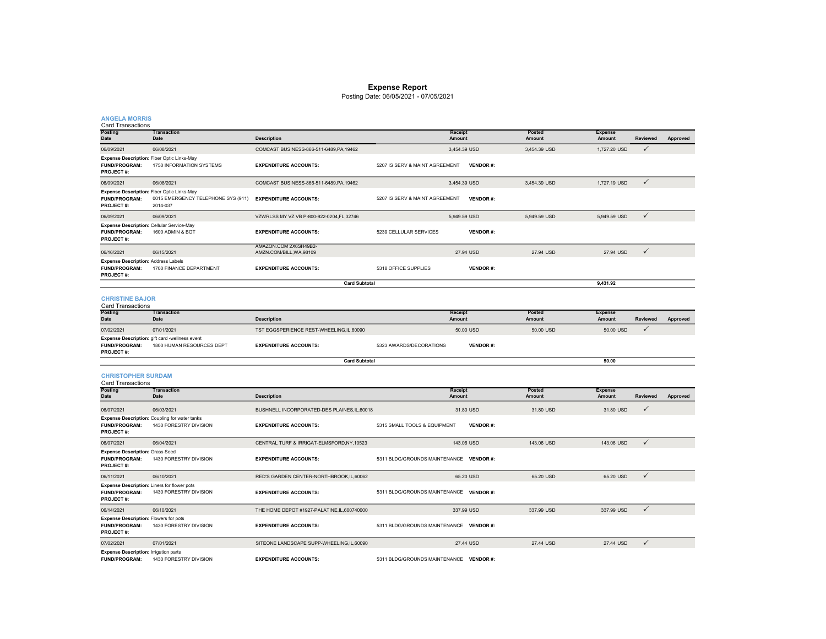### **Expense Report**

Posting Date: 06/05/2021 - 07/05/2021

| <b>ANGELA MORRIS</b><br><b>Card Transactions</b>                                         |                                                                             |                                                   |                                         |                 |                  |                          |              |          |
|------------------------------------------------------------------------------------------|-----------------------------------------------------------------------------|---------------------------------------------------|-----------------------------------------|-----------------|------------------|--------------------------|--------------|----------|
| Posting<br>Date                                                                          | <b>Transaction</b><br>Date                                                  | <b>Description</b>                                | Receipt<br>Amount                       |                 | Posted<br>Amount | <b>Expense</b><br>Amount | Reviewed     | Approved |
| 06/09/2021                                                                               | 06/08/2021                                                                  | COMCAST BUSINESS-866-511-6489, PA, 19462          |                                         | 3,454.39 USD    | 3,454.39 USD     | 1,727.20 USD             | ✓            |          |
| Expense Description: Fiber Optic Links-May<br><b>FUND/PROGRAM:</b><br>PROJECT#:          | 1750 INFORMATION SYSTEMS                                                    | <b>EXPENDITURE ACCOUNTS:</b>                      | 5207 IS SERV & MAINT AGREEMENT          | <b>VENDOR#:</b> |                  |                          |              |          |
| 06/09/2021                                                                               | 06/08/2021                                                                  | COMCAST BUSINESS-866-511-6489, PA, 19462          |                                         | 3,454.39 USD    | 3,454.39 USD     | 1,727.19 USD             | $\checkmark$ |          |
| Expense Description: Fiber Optic Links-May<br>FUND/PROGRAM:<br>PROJECT#:                 | 0015 EMERGENCY TELEPHONE SYS (911) EXPENDITURE ACCOUNTS:<br>2014-037        |                                                   | 5207 IS SERV & MAINT AGREEMENT          | <b>VENDOR#:</b> |                  |                          |              |          |
| 06/09/2021                                                                               | 06/09/2021                                                                  | VZWRLSS MY VZ VB P-800-922-0204,FL,32746          |                                         | 5,949.59 USD    | 5,949.59 USD     | 5,949.59 USD             | $\checkmark$ |          |
| Expense Description: Cellular Service-May<br><b>FUND/PROGRAM:</b><br><b>PROJECT#:</b>    | 1600 ADMIN & BOT                                                            | <b>EXPENDITURE ACCOUNTS:</b>                      | 5239 CELLULAR SERVICES                  | <b>VENDOR#:</b> |                  |                          |              |          |
| 06/16/2021                                                                               | 06/15/2021                                                                  | AMAZON.COM 2X6SH49B2-<br>AMZN.COM/BILL, WA, 98109 |                                         | 27.94 USD       | 27.94 USD        | 27.94 USD                | $\checkmark$ |          |
| <b>Expense Description: Address Labels</b><br><b>FUND/PROGRAM:</b><br><b>PROJECT#:</b>   | 1700 FINANCE DEPARTMENT                                                     | <b>EXPENDITURE ACCOUNTS:</b>                      | 5318 OFFICE SUPPLIES                    | <b>VENDOR#:</b> |                  |                          |              |          |
|                                                                                          |                                                                             | <b>Card Subtotal</b>                              |                                         |                 |                  | 9,431.92                 |              |          |
| <b>CHRISTINE BAJOR</b><br>Card Transactions                                              |                                                                             |                                                   |                                         |                 |                  |                          |              |          |
| Posting<br>Date                                                                          | <b>Transaction</b><br>Date                                                  | <b>Description</b>                                | Receipt<br>Amount                       |                 | Posted<br>Amount | <b>Expense</b><br>Amount | Reviewed     | Approved |
| 07/02/2021                                                                               | 07/01/2021                                                                  | TST EGGSPERIENCE REST-WHEELING,IL,60090           |                                         | 50.00 USD       | 50.00 USD        | 50.00 USD                | ✓            |          |
| FUND/PROGRAM:<br><b>PROJECT#:</b>                                                        | Expense Description: gift card -wellness event<br>1800 HUMAN RESOURCES DEPT | <b>EXPENDITURE ACCOUNTS:</b>                      | 5323 AWARDS/DECORATIONS                 | <b>VENDOR#:</b> |                  |                          |              |          |
|                                                                                          |                                                                             | <b>Card Subtotal</b>                              |                                         |                 |                  | 50.00                    |              |          |
| <b>CHRISTOPHER SURDAM</b><br><b>Card Transactions</b>                                    |                                                                             |                                                   |                                         |                 |                  |                          |              |          |
| <b>Posting</b><br>Date                                                                   | <b>Transaction</b><br>Date                                                  | <b>Description</b>                                | <b>Receipt</b><br>Amount                |                 | Posted<br>Amount | <b>Expense</b><br>Amount | Reviewed     | Approved |
| 06/07/2021                                                                               | 06/03/2021                                                                  | BUSHNELL INCORPORATED-DES PLAINES, IL, 60018      |                                         | 31.80 USD       | 31.80 USD        | 31.80 USD                | ✓            |          |
| <b>FUND/PROGRAM:</b><br><b>PROJECT#:</b>                                                 | Expense Description: Coupling for water tanks<br>1430 FORESTRY DIVISION     | <b>EXPENDITURE ACCOUNTS:</b>                      | 5315 SMALL TOOLS & EQUIPMENT            | <b>VENDOR#:</b> |                  |                          |              |          |
| 06/07/2021                                                                               | 06/04/2021                                                                  | CENTRAL TURF & IRRIGAT-ELMSFORD.NY.10523          |                                         | 143.06 USD      | 143.06 USD       | 143.06 USD               | $\checkmark$ |          |
| <b>Expense Description: Grass Seed</b><br><b>FUND/PROGRAM:</b><br><b>PROJECT#:</b>       | 1430 FORESTRY DIVISION                                                      | <b>EXPENDITURE ACCOUNTS:</b>                      | 5311 BLDG/GROUNDS MAINTENANCE VENDOR #: |                 |                  |                          |              |          |
| 06/11/2021                                                                               | 06/10/2021                                                                  | RED'S GARDEN CENTER-NORTHBROOK,IL,60062           |                                         | 65.20 USD       | 65.20 USD        | 65.20 USD                | $\checkmark$ |          |
| Expense Description: Liners for flower pots<br><b>FUND/PROGRAM:</b><br><b>PROJECT#:</b>  | 1430 FORESTRY DIVISION                                                      | <b>EXPENDITURE ACCOUNTS:</b>                      | 5311 BLDG/GROUNDS MAINTENANCE VENDOR #: |                 |                  |                          |              |          |
| 06/14/2021                                                                               | 06/10/2021                                                                  | THE HOME DEPOT #1927-PALATINE,IL,600740000        |                                         | 337.99 USD      | 337.99 USD       | 337.99 USD               | $\checkmark$ |          |
| <b>Expense Description: Flowers for pots</b><br><b>FUND/PROGRAM:</b><br><b>PROJECT#:</b> | 1430 FORESTRY DIVISION                                                      | <b>EXPENDITURE ACCOUNTS:</b>                      | 5311 BLDG/GROUNDS MAINTENANCE VENDOR #: |                 |                  |                          |              |          |
| 07/02/2021                                                                               | 07/01/2021                                                                  | SITEONE LANDSCAPE SUPP-WHEELING,IL,60090          |                                         | 27.44 USD       | 27.44 USD        | 27.44 USD                | $\checkmark$ |          |
| <b>Expense Description: Irrigation parts</b>                                             |                                                                             |                                                   |                                         |                 |                  |                          |              |          |

**Expense Description:** Irrigation parts<br>**FUND/PROGRAM:** 1430 FORESTRY DIVISION

**EXPENDITURE ACCOUNTS:** 5311 BLDG/GROUNDS MAINTENANCE **VENDOR #:**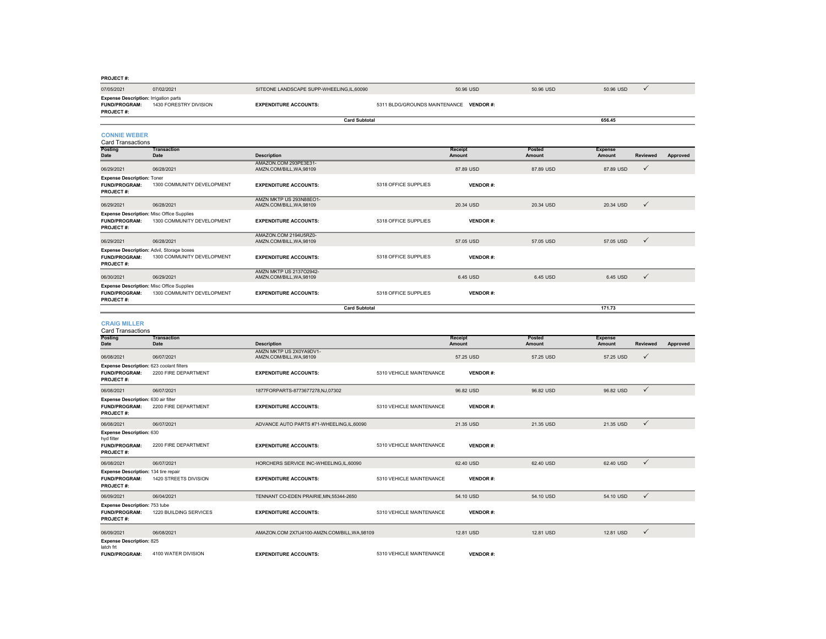| <b>PROJECT#:</b>                                                                             |                                    |                                                          |                                         |                              |                  |                          |                 |          |
|----------------------------------------------------------------------------------------------|------------------------------------|----------------------------------------------------------|-----------------------------------------|------------------------------|------------------|--------------------------|-----------------|----------|
| 07/05/2021                                                                                   | 07/02/2021                         | SITEONE LANDSCAPE SUPP-WHEELING.IL.60090                 |                                         | 50.96 USD                    | 50.96 USD        | 50.96 USD                | $\checkmark$    |          |
| <b>Expense Description: Irrigation parts</b><br><b>FUND/PROGRAM:</b><br><b>PROJECT#:</b>     | 1430 FORESTRY DIVISION             | <b>EXPENDITURE ACCOUNTS:</b>                             | 5311 BLDG/GROUNDS MAINTENANCE VENDOR #: |                              |                  |                          |                 |          |
|                                                                                              |                                    | <b>Card Subtotal</b>                                     |                                         |                              |                  | 656.45                   |                 |          |
|                                                                                              |                                    |                                                          |                                         |                              |                  |                          |                 |          |
| <b>CONNIE WEBER</b><br><b>Card Transactions</b>                                              |                                    |                                                          |                                         |                              |                  |                          |                 |          |
| <b>Posting</b><br>Date                                                                       | <b>Transaction</b><br>Date         | <b>Description</b>                                       |                                         | <b>Receipt</b><br>Amount     | Posted<br>Amount | <b>Expense</b><br>Amount | <b>Reviewed</b> | Approved |
| 06/29/2021                                                                                   | 06/28/2021                         | AMAZON.COM 293PE3E31-<br>AMZN.COM/BILL, WA,98109         |                                         | 87.89 USD                    | 87.89 USD        | 87.89 USD                | $\checkmark$    |          |
| <b>Expense Description: Toner</b><br><b>FUND/PROGRAM:</b><br><b>PROJECT#:</b>                | 1300 COMMUNITY DEVELOPMENT         | <b>EXPENDITURE ACCOUNTS:</b>                             | 5318 OFFICE SUPPLIES                    | <b>VENDOR#:</b>              |                  |                          |                 |          |
| 06/29/2021                                                                                   | 06/28/2021                         | AMZN MKTP US 293N88EO1-<br>AMZN.COM/BILL, WA, 98109      |                                         | 20.34 USD                    | 20.34 USD        | 20.34 USD                | $\checkmark$    |          |
| <b>Expense Description: Misc Office Supplies</b><br>FUND/PROGRAM:<br>PROJECT#:               | 1300 COMMUNITY DEVELOPMENT         | <b>EXPENDITURE ACCOUNTS:</b>                             | 5318 OFFICE SUPPLIES                    | <b>VENDOR#:</b>              |                  |                          |                 |          |
| 06/29/2021                                                                                   | 06/28/2021                         | AMAZON.COM 2194U5RZ0-<br>AMZN.COM/BILL, WA, 98109        |                                         | 57.05 USD                    | 57.05 USD        | 57.05 USD                | $\checkmark$    |          |
| Expense Description: Advil, Storage boxes<br>FUND/PROGRAM:<br><b>PROJECT#:</b>               | 1300 COMMUNITY DEVELOPMENT         | <b>EXPENDITURE ACCOUNTS:</b>                             | 5318 OFFICE SUPPLIES                    | <b>VENDOR#:</b>              |                  |                          |                 |          |
| 06/30/2021                                                                                   | 06/29/2021                         | AMZN MKTP US 213702942-<br>AMZN.COM/BILL.WA.98109        |                                         | 6.45 USD                     | 6.45 USD         | 6.45 USD                 | $\checkmark$    |          |
| <b>Expense Description: Misc Office Supplies</b><br><b>FUND/PROGRAM:</b><br><b>PROJECT#:</b> | 1300 COMMUNITY DEVELOPMENT         | <b>EXPENDITURE ACCOUNTS:</b>                             | 5318 OFFICE SUPPLIES                    | <b>VENDOR#:</b>              |                  |                          |                 |          |
|                                                                                              |                                    | <b>Card Subtotal</b>                                     |                                         |                              |                  | 171.73                   |                 |          |
|                                                                                              |                                    |                                                          |                                         |                              |                  |                          |                 |          |
|                                                                                              |                                    |                                                          |                                         |                              |                  |                          |                 |          |
| <b>CRAIG MILLER</b><br><b>Card Transactions</b>                                              |                                    |                                                          |                                         |                              |                  |                          |                 |          |
| Posting                                                                                      | <b>Transaction</b>                 |                                                          |                                         | <b>Receipt</b>               | Posted           | <b>Expense</b>           |                 |          |
| Date                                                                                         | Date                               | <b>Description</b><br>AMZN MKTP US 2X0YA9DV1-            |                                         | Amount                       | Amount           | Amount                   | Reviewed        | Approved |
| 06/08/2021<br>Expense Description: 623 coolant filters<br><b>FUND/PROGRAM:</b><br>PROJECT#:  | 06/07/2021<br>2200 FIRE DEPARTMENT | AMZN.COM/BILL, WA, 98109<br><b>EXPENDITURE ACCOUNTS:</b> | 5310 VEHICLE MAINTENANCE                | 57.25 USD<br><b>VENDOR#:</b> | 57.25 USD        | 57.25 USD                | $\checkmark$    |          |
| 06/08/2021                                                                                   | 06/07/2021                         | 1877FORPARTS-8773677278,NJ,07302                         |                                         | 96.82 USD                    | 96.82 USD        | 96.82 USD                | $\checkmark$    |          |
| Expense Description: 630 air filter<br><b>FUND/PROGRAM:</b><br>PROJECT#:                     | 2200 FIRE DEPARTMENT               | <b>EXPENDITURE ACCOUNTS:</b>                             | 5310 VEHICLE MAINTENANCE                | <b>VENDOR#:</b>              |                  |                          |                 |          |
| 06/08/2021                                                                                   | 06/07/2021                         | ADVANCE AUTO PARTS #71-WHEELING,IL,60090                 |                                         | 21.35 USD                    | 21.35 USD        | 21.35 USD                | $\checkmark$    |          |
| <b>Expense Description: 630</b><br>hyd filter<br><b>FUND/PROGRAM:</b><br>PROJECT#:           | 2200 FIRE DEPARTMENT               | <b>EXPENDITURE ACCOUNTS:</b>                             | 5310 VEHICLE MAINTENANCE                | <b>VENDOR#:</b>              |                  |                          |                 |          |
| 06/08/2021                                                                                   | 06/07/2021                         | HORCHERS SERVICE INC-WHEELING,IL,60090                   |                                         | 62.40 USD                    | 62.40 USD        | 62.40 USD                | $\checkmark$    |          |
| Expense Description: 134 tire repair<br>FUND/PROGRAM:<br>PROJECT#:                           | 1420 STREETS DIVISION              | <b>EXPENDITURE ACCOUNTS:</b>                             | 5310 VEHICLE MAINTENANCE                | <b>VENDOR#:</b>              |                  |                          |                 |          |
| 06/09/2021                                                                                   | 06/04/2021                         | TENNANT CO-EDEN PRAIRIE.MN.55344-2650                    |                                         | 54.10 USD                    | 54.10 USD        | 54.10 USD                | $\checkmark$    |          |
| <b>Expense Description: 753 tube</b><br>FUND/PROGRAM:<br><b>PROJECT#:</b>                    | 1220 BUILDING SERVICES             | <b>EXPENDITURE ACCOUNTS:</b>                             | 5310 VEHICLE MAINTENANCE                | <b>VENDOR#:</b>              |                  |                          |                 |          |
| 06/09/2021<br><b>Expense Description: 825</b>                                                | 06/08/2021                         | AMAZON.COM 2X7IJ4100-AMZN.COM/BILL, WA, 98109            |                                         | 12.81 USD                    | 12.81 USD        | 12.81 USD                | $\checkmark$    |          |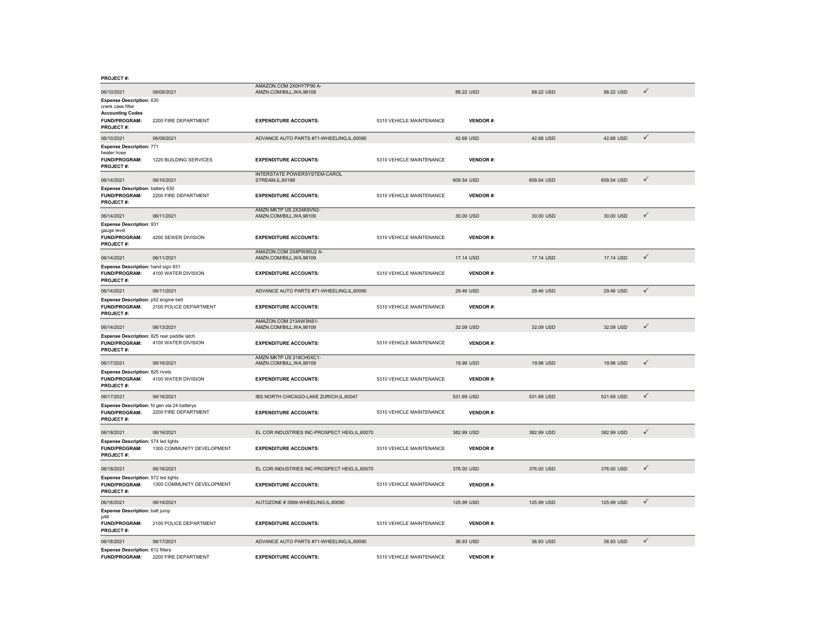|  | <b>PROJECT#</b> |  |
|--|-----------------|--|
|--|-----------------|--|

| 06/10/2021                                                                       | 06/09/2021                 | AMAZON.COM 2X0HY7P90 A-<br>AMZN.COM/BILL, WA, 98109 |                          | 88.22 USD       | 88.22 USD  | 88.22 USD  | $\checkmark$ |
|----------------------------------------------------------------------------------|----------------------------|-----------------------------------------------------|--------------------------|-----------------|------------|------------|--------------|
| <b>Expense Description: 630</b><br>crank case filter                             |                            |                                                     |                          |                 |            |            |              |
| <b>Accounting Codes</b><br>FUND/PROGRAM:<br>PROJECT#:                            | 2200 FIRE DEPARTMENT       | <b>EXPENDITURE ACCOUNTS:</b>                        | 5310 VEHICLE MAINTENANCE | <b>VENDOR#:</b> |            |            |              |
| 06/10/2021                                                                       | 06/09/2021                 | ADVANCE AUTO PARTS #71-WHEELING.IL.60090            |                          | 42.68 USD       | 42.68 USD  | 42.68 USD  | $\checkmark$ |
| <b>Expense Description: 771</b><br>heater hose                                   |                            |                                                     |                          |                 |            |            |              |
| FUND/PROGRAM:<br><b>PROJECT#:</b>                                                | 1220 BUILDING SERVICES     | <b>EXPENDITURE ACCOUNTS:</b>                        | 5310 VEHICLE MAINTENANCE | <b>VENDOR#:</b> |            |            |              |
| 06/14/2021                                                                       | 06/10/2021                 | INTERSTATE POWERSYSTEM-CAROL<br>STREAM, IL, 60188   |                          | 609.54 USD      | 609.54 USD | 609.54 USD | $\checkmark$ |
| Expense Description: battery 630<br><b>FUND/PROGRAM:</b><br>PROJECT#:            | 2200 FIRE DEPARTMENT       | <b>EXPENDITURE ACCOUNTS:</b>                        | 5310 VEHICLE MAINTENANCE | <b>VENDOR#:</b> |            |            |              |
| 06/14/2021                                                                       | 06/11/2021                 | AMZN MKTP US 2X24K9VN2-<br>AMZN.COM/BILL, WA, 98109 |                          | 30.00 USD       | 30.00 USD  | 30.00 USD  | $\checkmark$ |
| <b>Expense Description: 931</b><br>gauge level                                   |                            |                                                     |                          |                 |            |            |              |
| FUND/PROGRAM:<br><b>PROJECT#:</b>                                                | 4200 SEWER DIVISION        | <b>EXPENDITURE ACCOUNTS:</b>                        | 5310 VEHICLE MAINTENANCE | <b>VENDOR#:</b> |            |            |              |
| 06/14/2021                                                                       | 06/11/2021                 | AMAZON.COM 2X4PW95U2 A-<br>AMZN.COM/BILL, WA, 98109 |                          | 17.14 USD       | 17.14 USD  | 17.14 USD  | $\checkmark$ |
| Expense Description: hand sign 931<br><b>FUND/PROGRAM:</b><br>PROJECT#:          | 4100 WATER DIVISION        | <b>EXPENDITURE ACCOUNTS:</b>                        | 5310 VEHICLE MAINTENANCE | <b>VENDOR#:</b> |            |            |              |
| 06/14/2021                                                                       | 06/11/2021                 | ADVANCE AUTO PARTS #71-WHEELING,IL,60090            |                          | 29.46 USD       | 29.46 USD  | 29.46 USD  | $\checkmark$ |
| Expense Description: p52 engine belt<br>FUND/PROGRAM:<br><b>PROJECT#:</b>        | 2100 POLICE DEPARTMENT     | <b>EXPENDITURE ACCOUNTS:</b>                        | 5310 VEHICLE MAINTENANCE | <b>VENDOR#:</b> |            |            |              |
| 06/14/2021                                                                       | 06/13/2021                 | AMAZON.COM 213AW3NS1-<br>AMZN.COM/BILL, WA, 98109   |                          | 32.09 USD       | 32.09 USD  | 32.09 USD  | $\checkmark$ |
| Expense Description: 825 rear paddle latch<br><b>FUND/PROGRAM:</b><br>PROJECT#:  | 4100 WATER DIVISION        | <b>EXPENDITURE ACCOUNTS:</b>                        | 5310 VEHICLE MAINTENANCE | <b>VENDOR#:</b> |            |            |              |
| 06/17/2021                                                                       | 06/16/2021                 | AMZN MKTP US 218CH0XC1-<br>AMZN.COM/BILL, WA, 98109 |                          | 19.98 USD       | 19.98 USD  | 19.98 USD  | $\checkmark$ |
| <b>Expense Description: 825 rivets</b><br>FUND/PROGRAM:<br><b>PROJECT#:</b>      | 4100 WATER DIVISION        | <b>EXPENDITURE ACCOUNTS:</b>                        | 5310 VEHICLE MAINTENANCE | <b>VENDOR#:</b> |            |            |              |
| 06/17/2021                                                                       | 06/16/2021                 | IBS NORTH CHICAGO-LAKE ZURICH.IL.60047              |                          | 531.69 USD      | 531.69 USD | 531.69 USD | $\checkmark$ |
| Expense Description: fd gen sta 24 batterys<br><b>FUND/PROGRAM:</b><br>PROJECT#: | 2200 FIRE DEPARTMENT       | <b>EXPENDITURE ACCOUNTS:</b>                        | 5310 VEHICLE MAINTENANCE | <b>VENDOR#:</b> |            |            |              |
| 06/18/2021                                                                       | 06/16/2021                 | EL COR INDUSTRIES INC-PROSPECT HEIG,IL,60070        |                          | 382.99 USD      | 382.99 USD | 382.99 USD | $\checkmark$ |
| Expense Description: 574 led lights<br><b>FUND/PROGRAM:</b><br>PROJECT#:         | 1300 COMMUNITY DEVELOPMENT | <b>EXPENDITURE ACCOUNTS:</b>                        | 5310 VEHICLE MAINTENANCE | <b>VENDOR#:</b> |            |            |              |
| 06/18/2021                                                                       | 06/16/2021                 | EL COR INDUSTRIES INC-PROSPECT HEIG.IL.60070        |                          | 376,00 USD      | 376,00 USD | 376.00 USD | $\checkmark$ |
| Expense Description: 572 led lights                                              |                            |                                                     |                          |                 |            |            |              |
| <b>FUND/PROGRAM:</b><br>PROJECT#:                                                | 1300 COMMUNITY DEVELOPMENT | <b>EXPENDITURE ACCOUNTS:</b>                        | 5310 VEHICLE MAINTENANCE | <b>VENDOR#:</b> |            |            |              |
| 06/18/2021                                                                       | 06/16/2021                 | AUTOZONE #3569-WHEELING,IL,60090                    |                          | 125.99 USD      | 125.99 USD | 125.99 USD | $\checkmark$ |
| Expense Description: batt jump<br>p48                                            |                            |                                                     |                          |                 |            |            |              |
| <b>FUND/PROGRAM:</b><br>PROJECT#:                                                | 2100 POLICE DEPARTMENT     | <b>EXPENDITURE ACCOUNTS:</b>                        | 5310 VEHICLE MAINTENANCE | <b>VENDOR#:</b> |            |            |              |
| 06/18/2021                                                                       | 06/17/2021                 | ADVANCE AUTO PARTS #71-WHEELING,IL,60090            |                          | 36.93 USD       | 36.93 USD  | 36.93 USD  | $\checkmark$ |
| <b>Expense Description: 612 filters</b><br><b>FUND/PROGRAM:</b>                  | 2200 FIRE DEPARTMENT       | <b>EXPENDITURE ACCOUNTS:</b>                        | 5310 VEHICLE MAINTENANCE | <b>VENDOR#:</b> |            |            |              |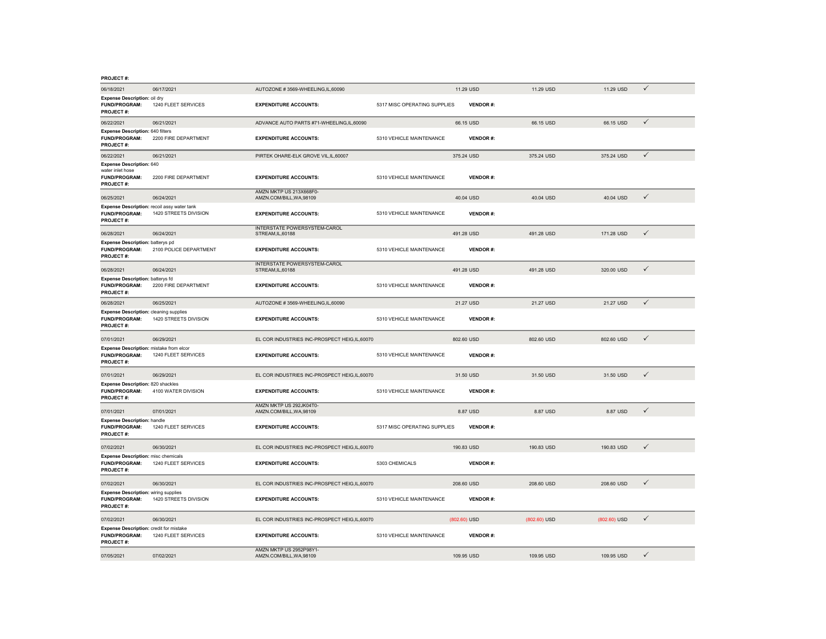| PROJECT #:                                                                                |                        |                                                          |                              |                 |              |              |              |
|-------------------------------------------------------------------------------------------|------------------------|----------------------------------------------------------|------------------------------|-----------------|--------------|--------------|--------------|
| 06/18/2021                                                                                | 06/17/2021             | AUTOZONE #3569-WHEELING.IL.60090                         |                              | 11.29 USD       | 11.29 USD    | 11.29 USD    | ✓            |
| Expense Description: oil dry<br><b>FUND/PROGRAM:</b><br>PROJECT#:                         | 1240 FLEET SERVICES    | <b>EXPENDITURE ACCOUNTS:</b>                             | 5317 MISC OPERATING SUPPLIES | <b>VENDOR#:</b> |              |              |              |
| 06/22/2021                                                                                | 06/21/2021             | ADVANCE AUTO PARTS #71-WHEELING,IL,60090                 |                              | 66.15 USD       | 66.15 USD    | 66.15 USD    | $\checkmark$ |
| <b>Expense Description: 640 filters</b><br><b>FUND/PROGRAM:</b><br>PROJECT#:              | 2200 FIRE DEPARTMENT   | <b>EXPENDITURE ACCOUNTS:</b>                             | 5310 VEHICLE MAINTENANCE     | <b>VENDOR#:</b> |              |              |              |
| 06/22/2021                                                                                | 06/21/2021             | PIRTEK OHARE-ELK GROVE VIL, IL, 60007                    |                              | 375.24 USD      | 375.24 USD   | 375.24 USD   | ✓            |
| <b>Expense Description: 640</b><br>water inlet hose<br>FUND/PROGRAM:<br><b>PROJECT#:</b>  | 2200 FIRE DEPARTMENT   | <b>EXPENDITURE ACCOUNTS:</b>                             | 5310 VEHICLE MAINTENANCE     | <b>VENDOR#:</b> |              |              |              |
| 06/25/2021                                                                                | 06/24/2021             | AMZN MKTP US 213X668F0-<br>AMZN.COM/BILL, WA, 98109      |                              | 40.04 USD       | 40.04 USD    | 40.04 USD    | $\checkmark$ |
| Expense Description: recoil assy water tank<br><b>FUND/PROGRAM:</b><br>PROJECT #:         | 1420 STREETS DIVISION  | <b>EXPENDITURE ACCOUNTS:</b>                             | 5310 VEHICLE MAINTENANCE     | <b>VENDOR#:</b> |              |              |              |
| 06/28/2021                                                                                | 06/24/2021             | <b>INTERSTATE POWERSYSTEM-CAROL</b><br>STREAM, IL, 60188 |                              | 491.28 USD      | 491.28 USD   | 171.28 USD   | $\checkmark$ |
| Expense Description: batterys pd<br><b>FUND/PROGRAM:</b><br>PROJECT #:                    | 2100 POLICE DEPARTMENT | <b>EXPENDITURE ACCOUNTS:</b>                             | 5310 VEHICLE MAINTENANCE     | <b>VENDOR#:</b> |              |              |              |
| 06/28/2021                                                                                | 06/24/2021             | <b>INTERSTATE POWERSYSTEM-CAROL</b><br>STREAM, IL, 60188 |                              | 491.28 USD      | 491.28 USD   | 320.00 USD   | $\checkmark$ |
| Expense Description: batterys fd<br>FUND/PROGRAM:<br>PROJECT#:                            | 2200 FIRE DEPARTMENT   | <b>EXPENDITURE ACCOUNTS:</b>                             | 5310 VEHICLE MAINTENANCE     | <b>VENDOR#:</b> |              |              |              |
| 06/28/2021                                                                                | 06/25/2021             | AUTOZONE #3569-WHEELING,IL,60090                         |                              | 21.27 USD       | 21.27 USD    | 21.27 USD    | $\checkmark$ |
| <b>Expense Description: cleaning supplies</b><br><b>FUND/PROGRAM:</b><br><b>PROJECT#:</b> | 1420 STREETS DIVISION  | <b>EXPENDITURE ACCOUNTS:</b>                             | 5310 VEHICLE MAINTENANCE     | <b>VENDOR#:</b> |              |              |              |
| 07/01/2021                                                                                | 06/29/2021             | EL COR INDUSTRIES INC-PROSPECT HEIG.IL.60070             |                              | 802.60 USD      | 802.60 USD   | 802.60 USD   | $\checkmark$ |
| Expense Description: mistake from elcor<br><b>FUND/PROGRAM:</b><br>PROJECT#:              | 1240 FLEET SERVICES    | <b>EXPENDITURE ACCOUNTS:</b>                             | 5310 VEHICLE MAINTENANCE     | <b>VENDOR#:</b> |              |              |              |
| 07/01/2021                                                                                | 06/29/2021             | EL COR INDUSTRIES INC-PROSPECT HEIG.IL.60070             |                              | 31.50 USD       | 31.50 USD    | 31,50 USD    | $\checkmark$ |
| Expense Description: 820 shackles<br><b>FUND/PROGRAM:</b><br>PROJECT#:                    | 4100 WATER DIVISION    | <b>EXPENDITURE ACCOUNTS:</b>                             | 5310 VEHICLE MAINTENANCE     | VENDOR#:        |              |              |              |
| 07/01/2021                                                                                | 07/01/2021             | AMZN MKTP US 292JK04T0-<br>AMZN.COM/BILL, WA, 98109      |                              | 8.87 USD        | 8.87 USD     | 8.87 USD     | $\checkmark$ |
| <b>Expense Description: handle</b><br>FUND/PROGRAM:<br><b>PROJECT#:</b>                   | 1240 FLEET SERVICES    | <b>EXPENDITURE ACCOUNTS:</b>                             | 5317 MISC OPERATING SUPPLIES | <b>VENDOR#:</b> |              |              |              |
| 07/02/2021                                                                                | 06/30/2021             | EL COR INDUSTRIES INC-PROSPECT HEIG,IL,60070             |                              | 190.83 USD      | 190.83 USD   | 190.83 USD   | $\checkmark$ |
| <b>Expense Description:</b> misc chemicals<br><b>FUND/PROGRAM:</b><br><b>PROJECT#:</b>    | 1240 FLEET SERVICES    | <b>EXPENDITURE ACCOUNTS:</b>                             | 5303 CHEMICALS               | <b>VENDOR#:</b> |              |              |              |
| 07/02/2021                                                                                | 06/30/2021             | EL COR INDUSTRIES INC-PROSPECT HEIG,IL,60070             |                              | 208.60 USD      | 208.60 USD   | 208.60 USD   | $\checkmark$ |
| <b>Expense Description:</b> wiring supplies<br>FUND/PROGRAM:<br>PROJECT#:                 | 1420 STREETS DIVISION  | <b>EXPENDITURE ACCOUNTS:</b>                             | 5310 VEHICLE MAINTENANCE     | <b>VENDOR#:</b> |              |              |              |
| 07/02/2021                                                                                | 06/30/2021             | EL COR INDUSTRIES INC-PROSPECT HEIG,IL,60070             |                              | (802.60) USD    | (802.60) USD | (802.60) USD | $\checkmark$ |
| Expense Description: credit for mistake<br>FUND/PROGRAM:<br>PROJECT#:                     | 1240 FLEET SERVICES    | <b>EXPENDITURE ACCOUNTS:</b>                             | 5310 VEHICLE MAINTENANCE     | <b>VENDOR#:</b> |              |              |              |

AMZN MKTP US 2952P98Y1- AMZN.COM/BILL,WA,98109 109.95 USD 109.95 USD 109.95 USD

109.95 USD  $\checkmark$ 

07/05/2021 07/02/2021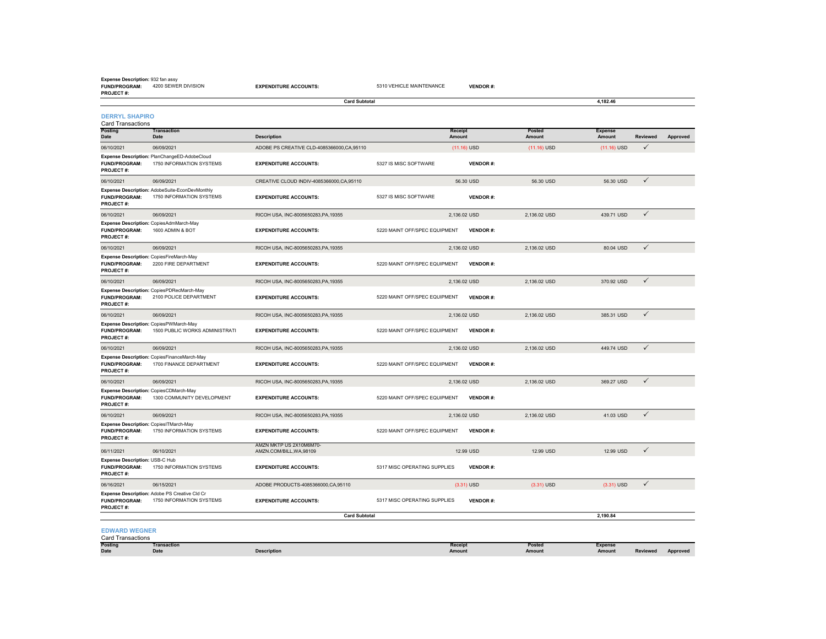#### **Expense Description:** 932 fan assy

**FUND/PROGRAM:** 4200 SEWER DIVISION**PROJECT #: EXPENDITURE ACCOUNTS:** 5310 VEHICLE MAINTENANCE **VENDOR #:**

|                                                                                      |                                                                            | <b>Card Subtotal</b>                                |                               |                          |                  | 4,182.46                 |              |          |
|--------------------------------------------------------------------------------------|----------------------------------------------------------------------------|-----------------------------------------------------|-------------------------------|--------------------------|------------------|--------------------------|--------------|----------|
| <b>DERRYL SHAPIRO</b><br><b>Card Transactions</b>                                    |                                                                            |                                                     |                               |                          |                  |                          |              |          |
| Posting<br>Date                                                                      | <b>Transaction</b><br>Date                                                 | <b>Description</b>                                  |                               | <b>Receipt</b><br>Amount | Posted<br>Amount | <b>Expense</b><br>Amount | Reviewed     | Approved |
| 06/10/2021                                                                           | 06/09/2021                                                                 | ADOBE PS CREATIVE CLD-4085366000, CA, 95110         |                               | $(11.16)$ USD            | $(11.16)$ USD    | $(11.16)$ USD            | $\checkmark$ |          |
| <b>FUND/PROGRAM:</b><br>PROJECT#:                                                    | Expense Description: PlanChangeED-AdobeCloud<br>1750 INFORMATION SYSTEMS   | <b>EXPENDITURE ACCOUNTS:</b>                        | 5327 IS MISC SOFTWARE         | <b>VENDOR#:</b>          |                  |                          |              |          |
| 06/10/2021                                                                           | 06/09/2021                                                                 | CREATIVE CLOUD INDIV-4085366000, CA, 95110          |                               | 56.30 USD                | 56.30 USD        | 56.30 USD                | $\checkmark$ |          |
| <b>FUND/PROGRAM:</b><br>PROJECT#:                                                    | Expense Description: AdobeSuite-EconDevMonthly<br>1750 INFORMATION SYSTEMS | <b>EXPENDITURE ACCOUNTS:</b>                        | 5327 IS MISC SOFTWARE         | <b>VENDOR#:</b>          |                  |                          |              |          |
| 06/10/2021                                                                           | 06/09/2021                                                                 | RICOH USA, INC-8005650283, PA, 19355                |                               | 2,136.02 USD             | 2,136.02 USD     | 439.71 USD               | $\checkmark$ |          |
| <b>FUND/PROGRAM:</b><br>PROJECT#:                                                    | Expense Description: CopiesAdmMarch-May<br>1600 ADMIN & BOT                | <b>EXPENDITURE ACCOUNTS:</b>                        | 5220 MAINT OFF/SPEC EQUIPMENT | <b>VENDOR#:</b>          |                  |                          |              |          |
| 06/10/2021                                                                           | 06/09/2021                                                                 | RICOH USA, INC-8005650283, PA, 19355                |                               | 2,136.02 USD             | 2,136.02 USD     | 80.04 USD                | $\checkmark$ |          |
| Expense Description: CopiesFireMarch-May<br><b>FUND/PROGRAM:</b><br><b>PROJECT#:</b> | 2200 FIRE DEPARTMENT                                                       | <b>EXPENDITURE ACCOUNTS:</b>                        | 5220 MAINT OFF/SPEC EQUIPMENT | <b>VENDOR#:</b>          |                  |                          |              |          |
| 06/10/2021                                                                           | 06/09/2021                                                                 | RICOH USA, INC-8005650283, PA.19355                 |                               | 2.136.02 USD             | 2.136.02 USD     | 370.92 USD               | $\checkmark$ |          |
| <b>FUND/PROGRAM:</b><br><b>PROJECT#:</b>                                             | Expense Description: CopiesPDRecMarch-May<br>2100 POLICE DEPARTMENT        | <b>EXPENDITURE ACCOUNTS:</b>                        | 5220 MAINT OFF/SPEC EQUIPMENT | <b>VENDOR#:</b>          |                  |                          |              |          |
| 06/10/2021                                                                           | 06/09/2021                                                                 | RICOH USA, INC-8005650283, PA, 19355                |                               | 2,136.02 USD             | 2,136.02 USD     | 385.31 USD               | $\checkmark$ |          |
| Expense Description: CopiesPWMarch-May<br><b>FUND/PROGRAM:</b><br>PROJECT#:          | 1500 PUBLIC WORKS ADMINISTRATI                                             | <b>EXPENDITURE ACCOUNTS:</b>                        | 5220 MAINT OFF/SPEC EQUIPMENT | <b>VENDOR#:</b>          |                  |                          |              |          |
| 06/10/2021                                                                           | 06/09/2021                                                                 | RICOH USA, INC-8005650283, PA, 19355                |                               | 2,136.02 USD             | 2,136.02 USD     | 449.74 USD               | $\checkmark$ |          |
| <b>FUND/PROGRAM:</b><br>PROJECT#:                                                    | Expense Description: CopiesFinanceMarch-May<br>1700 FINANCE DEPARTMENT     | <b>EXPENDITURE ACCOUNTS:</b>                        | 5220 MAINT OFF/SPEC EQUIPMENT | <b>VENDOR#:</b>          |                  |                          |              |          |
| 06/10/2021                                                                           | 06/09/2021                                                                 | RICOH USA. INC-8005650283.PA.19355                  |                               | 2.136.02 USD             | 2.136.02 USD     | 369.27 USD               | $\checkmark$ |          |
| Expense Description: CopiesCDMarch-May<br><b>FUND/PROGRAM:</b><br><b>PROJECT#:</b>   | 1300 COMMUNITY DEVELOPMENT                                                 | <b>EXPENDITURE ACCOUNTS:</b>                        | 5220 MAINT OFF/SPEC EQUIPMENT | <b>VENDOR#:</b>          |                  |                          |              |          |
| 06/10/2021                                                                           | 06/09/2021                                                                 | RICOH USA, INC-8005650283, PA, 19355                |                               | 2,136.02 USD             | 2,136.02 USD     | 41.03 USD                | $\checkmark$ |          |
| Expense Description: CopiesITMarch-May<br><b>FUND/PROGRAM:</b><br><b>PROJECT#:</b>   | 1750 INFORMATION SYSTEMS                                                   | <b>EXPENDITURE ACCOUNTS:</b>                        | 5220 MAINT OFF/SPEC EQUIPMENT | <b>VENDOR#:</b>          |                  |                          |              |          |
| 06/11/2021                                                                           | 06/10/2021                                                                 | AMZN MKTP US 2X10M6M70-<br>AMZN.COM/BILL, WA, 98109 |                               | 12.99 USD                | 12.99 USD        | 12.99 USD                | $\checkmark$ |          |
| Expense Description: USB-C Hub<br><b>FUND/PROGRAM:</b><br><b>PROJECT#:</b>           | 1750 INFORMATION SYSTEMS                                                   | <b>EXPENDITURE ACCOUNTS:</b>                        | 5317 MISC OPERATING SUPPLIES  | <b>VENDOR#:</b>          |                  |                          |              |          |
| 06/16/2021                                                                           | 06/15/2021                                                                 | ADOBE PRODUCTS-4085366000, CA, 95110                |                               | $(3.31)$ USD             | $(3.31)$ USD     | $(3.31)$ USD             | $\checkmark$ |          |
| <b>FUND/PROGRAM:</b><br>PROJECT#:                                                    | Expense Description: Adobe PS Creative Cld Cr<br>1750 INFORMATION SYSTEMS  | <b>EXPENDITURE ACCOUNTS:</b>                        | 5317 MISC OPERATING SUPPLIES  | <b>VENDOR#:</b>          |                  |                          |              |          |
|                                                                                      |                                                                            | <b>Card Subtotal</b>                                |                               |                          |                  | 2.190.84                 |              |          |
| <b>EDWARD WEGNER</b>                                                                 |                                                                            |                                                     |                               |                          |                  |                          |              |          |

### Card Transactions

**Posting Date Transaction Date**<br> **Date**<br> **Date**<br> **Description Receipt Amount Posted Amount Expense Amount Reviewed Approved**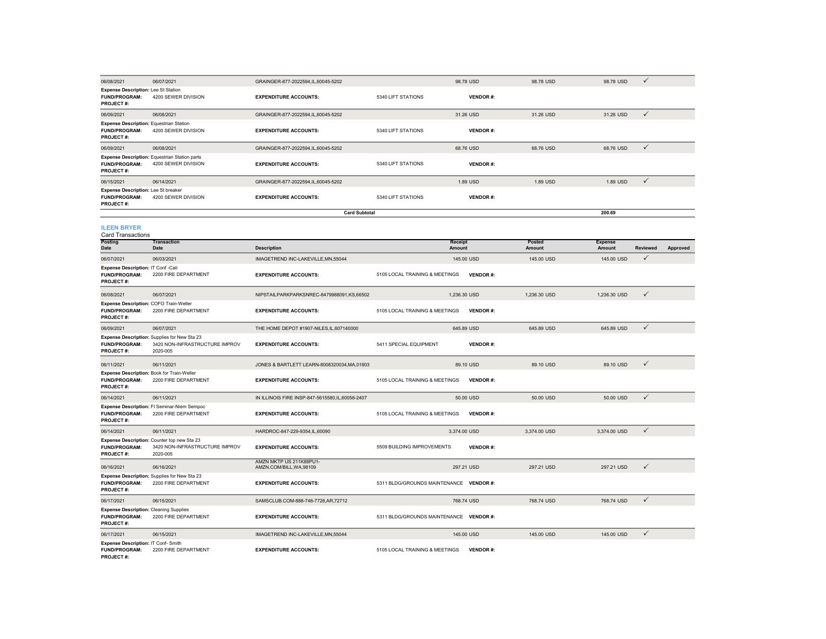| 06/08/2021                                                                          | 06/07/2021                                                                                 | GRAINGER-877-2022594,IL,60045-5202                  |                                         | 98.78 USD         | 98.78 USD        | 98.78 USD                | ✓               |          |
|-------------------------------------------------------------------------------------|--------------------------------------------------------------------------------------------|-----------------------------------------------------|-----------------------------------------|-------------------|------------------|--------------------------|-----------------|----------|
| Expense Description: Lee St Station<br><b>FUND/PROGRAM:</b><br><b>PROJECT#:</b>     | 4200 SEWER DIVISION                                                                        | <b>EXPENDITURE ACCOUNTS:</b>                        | 5340 LIFT STATIONS                      | <b>VENDOR#:</b>   |                  |                          |                 |          |
| 06/09/2021                                                                          | 06/08/2021                                                                                 | GRAINGER-877-2022594,IL,60045-5202                  |                                         | 31.26 USD         | 31.26 USD        | 31.26 USD                | $\checkmark$    |          |
| <b>Expense Description: Equestrian Station</b><br>FUND/PROGRAM:<br><b>PROJECT#:</b> | 4200 SEWER DIVISION                                                                        | <b>EXPENDITURE ACCOUNTS:</b>                        | 5340 LIFT STATIONS                      | <b>VENDOR#:</b>   |                  |                          |                 |          |
| 06/09/2021                                                                          | 06/08/2021                                                                                 | GRAINGER-877-2022594,IL,60045-5202                  |                                         | 68.76 USD         | 68.76 USD        | 68.76 USD                | $\checkmark$    |          |
| <b>FUND/PROGRAM:</b><br>PROJECT#:                                                   | <b>Expense Description: Equestrian Station parts</b><br>4200 SEWER DIVISION                | <b>EXPENDITURE ACCOUNTS:</b>                        | 5340 LIFT STATIONS                      | <b>VENDOR#:</b>   |                  |                          |                 |          |
| 06/15/2021                                                                          | 06/14/2021                                                                                 | GRAINGER-877-2022594,IL,60045-5202                  |                                         | 1.89 USD          | 1.89 USD         | 1.89 USD                 | $\checkmark$    |          |
| Expense Description: Lee St breaker<br>FUND/PROGRAM:<br>PROJECT#:                   | 4200 SEWER DIVISION                                                                        | <b>EXPENDITURE ACCOUNTS:</b>                        | 5340 LIFT STATIONS                      | <b>VENDOR#:</b>   |                  |                          |                 |          |
|                                                                                     |                                                                                            | <b>Card Subtotal</b>                                |                                         |                   |                  | 200.69                   |                 |          |
| <b>ILEEN BRYER</b><br><b>Card Transactions</b>                                      |                                                                                            |                                                     |                                         |                   |                  |                          |                 |          |
| <b>Posting</b><br>Date                                                              | <b>Transaction</b><br>Date                                                                 | <b>Description</b>                                  |                                         | Receipt<br>Amount | Posted<br>Amount | <b>Expense</b><br>Amount | <b>Reviewed</b> | Approved |
| 06/07/2021                                                                          | 06/03/2021                                                                                 | IMAGETREND INC-LAKEVILLE, MN, 55044                 |                                         | 145,00 USD        | 145,00 USD       | 145.00 USD               | $\checkmark$    |          |
| Expense Description: IT Conf -Cali<br><b>FUND/PROGRAM:</b><br><b>PROJECT#:</b>      | 2200 FIRE DEPARTMENT                                                                       | <b>EXPENDITURE ACCOUNTS:</b>                        | 5105 LOCAL TRAINING & MEETINGS          | <b>VENDOR#:</b>   |                  |                          |                 |          |
| 06/08/2021                                                                          | 06/07/2021                                                                                 | NIPSTAILPARKPARKSNREC-8479988091,KS,66502           |                                         | 1,236.30 USD      | 1,236.30 USD     | 1,236.30 USD             | ✓               |          |
| Expense Description: COFO Train-Weller<br><b>FUND/PROGRAM:</b><br>PROJECT#:         | 2200 FIRE DEPARTMENT                                                                       | <b>EXPENDITURE ACCOUNTS:</b>                        | 5105 LOCAL TRAINING & MEETINGS          | <b>VENDOR#:</b>   |                  |                          |                 |          |
| 06/09/2021                                                                          | 06/07/2021                                                                                 | THE HOME DEPOT #1907-NILES, IL, 607140000           |                                         | 645.89 USD        | 645.89 USD       | 645.89 USD               | $\checkmark$    |          |
| FUND/PROGRAM:<br>PROJECT#:                                                          | Expense Description: Supplies for New Sta 23<br>3420 NON-INFRASTRUCTURE IMPROV<br>2020-005 | <b>EXPENDITURE ACCOUNTS:</b>                        | 5411 SPECIAL EQUIPMENT                  | <b>VENDOR#:</b>   |                  |                          |                 |          |
| 06/11/2021                                                                          | 06/11/2021                                                                                 | JONES & BARTLETT LEARN-8008320034,MA,01803          |                                         | 89.10 USD         | 89.10 USD        | 89.10 USD                | $\checkmark$    |          |
| Expense Description: Book for Train-Weller<br>FUND/PROGRAM:<br>PROJECT#:            | 2200 FIRE DEPARTMENT                                                                       | <b>EXPENDITURE ACCOUNTS:</b>                        | 5105 LOCAL TRAINING & MEETINGS          | <b>VENDOR#:</b>   |                  |                          |                 |          |
| 06/14/2021                                                                          | 06/11/2021                                                                                 | IN ILLINOIS FIRE INSP-847-5615580,IL,60056-2407     |                                         | 50.00 USD         | 50.00 USD        | 50.00 USD                | $\checkmark$    |          |
| <b>FUND/PROGRAM:</b><br>PROJECT#:                                                   | Expense Description: FI Seminar-Niem Sempoc<br>2200 FIRE DEPARTMENT                        | <b>EXPENDITURE ACCOUNTS:</b>                        | 5105 LOCAL TRAINING & MEETINGS          | <b>VENDOR#:</b>   |                  |                          |                 |          |
| 06/14/2021                                                                          | 06/11/2021                                                                                 | HARDROC-847-229-9354.IL.60090                       |                                         | 3.374.00 USD      | 3.374.00 USD     | 3.374.00 USD             | $\checkmark$    |          |
| <b>FUND/PROGRAM:</b><br><b>PROJECT#:</b>                                            | Expense Description: Counter top new Sta 23<br>3420 NON-INFRASTRUCTURE IMPROV<br>2020-005  | <b>EXPENDITURE ACCOUNTS:</b>                        | 5509 BUILDING IMPROVEMENTS              | <b>VENDOR#:</b>   |                  |                          |                 |          |
| 06/16/2021                                                                          | 06/16/2021                                                                                 | AMZN MKTP US 211K88PU1-<br>AMZN.COM/BILL, WA, 98109 |                                         | 297.21 USD        | 297.21 USD       | 297.21 USD               | $\checkmark$    |          |
| <b>FUND/PROGRAM:</b><br>PROJECT#:                                                   | Expense Description: Supplies for New Sta 23<br>2200 FIRE DEPARTMENT                       | <b>EXPENDITURE ACCOUNTS:</b>                        | 5311 BLDG/GROUNDS MAINTENANCE VENDOR #: |                   |                  |                          |                 |          |
| 06/17/2021                                                                          | 06/15/2021                                                                                 | SAMSCLUB.COM-888-746-7726,AR,72712                  |                                         | 768.74 USD        | 768.74 USD       | 768.74 USD               | $\checkmark$    |          |
| <b>Expense Description: Cleaning Supplies</b><br><b>FUND/PROGRAM:</b><br>PROJECT#:  | 2200 FIRE DEPARTMENT                                                                       | <b>EXPENDITURE ACCOUNTS:</b>                        | 5311 BLDG/GROUNDS MAINTENANCE VENDOR #: |                   |                  |                          |                 |          |
| 06/17/2021                                                                          | 06/15/2021                                                                                 | IMAGETREND INC-LAKEVILLE, MN, 55044                 |                                         | 145.00 USD        | 145.00 USD       | 145.00 USD               | $\checkmark$    |          |
| Expense Description: IT Conf- Smith<br><b>FUND/PROGRAM:</b>                         | 2200 FIRE DEPARTMENT                                                                       | <b>EXPENDITURE ACCOUNTS:</b>                        | 5105 LOCAL TRAINING & MEETINGS          | <b>VENDOR#:</b>   |                  |                          |                 |          |

**PROJECT #:**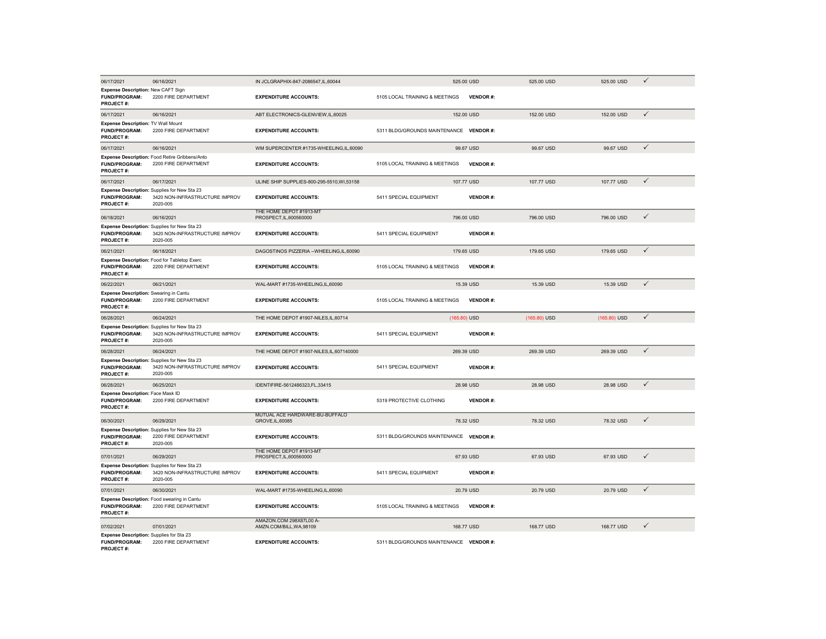| 06/17/2021                                                                                | 06/16/2021                                                                                 | IN JCLGRAPHIX-847-2086547,IL,60044                 | 525.00 USD                              | 525.00 USD      | 525.00 USD     | $\checkmark$ |  |
|-------------------------------------------------------------------------------------------|--------------------------------------------------------------------------------------------|----------------------------------------------------|-----------------------------------------|-----------------|----------------|--------------|--|
| Expense Description: New CAFT Sign<br><b>FUND/PROGRAM:</b><br><b>PROJECT#:</b>            | 2200 FIRE DEPARTMENT                                                                       | <b>EXPENDITURE ACCOUNTS:</b>                       | 5105 LOCAL TRAINING & MEETINGS          | <b>VENDOR#:</b> |                |              |  |
| 06/17/2021                                                                                | 06/16/2021                                                                                 | ABT ELECTRONICS-GLENVIEW, IL, 60025                | 152.00 USD                              | 152.00 USD      | 152.00 USD     | $\checkmark$ |  |
| <b>Expense Description: TV Wall Mount</b><br>FUND/PROGRAM:<br><b>PROJECT#:</b>            | 2200 FIRE DEPARTMENT                                                                       | <b>EXPENDITURE ACCOUNTS:</b>                       | 5311 BLDG/GROUNDS MAINTENANCE           | <b>VENDOR#:</b> |                |              |  |
| 06/17/2021                                                                                | 06/16/2021                                                                                 | WM SUPERCENTER #1735-WHEELING,IL,60090             | 99.67 USD                               | 99.67 USD       | 99.67 USD      | $\checkmark$ |  |
| <b>FUND/PROGRAM:</b><br><b>PROJECT#:</b>                                                  | Expense Description: Food Retire Gribbens/Anto<br>2200 FIRE DEPARTMENT                     | <b>EXPENDITURE ACCOUNTS:</b>                       | 5105 LOCAL TRAINING & MEETINGS          | <b>VENDOR#:</b> |                |              |  |
| 06/17/2021                                                                                | 06/17/2021                                                                                 | ULINE SHIP SUPPLIES-800-295-5510, WI, 53158        | 107,77 USD                              | 107.77 USD      | 107,77 USD     | $\checkmark$ |  |
| <b>FUND/PROGRAM:</b><br>PROJECT#:                                                         | Expense Description: Supplies for New Sta 23<br>3420 NON-INFRASTRUCTURE IMPROV<br>2020-005 | <b>EXPENDITURE ACCOUNTS:</b>                       | 5411 SPECIAL EQUIPMENT                  | <b>VENDOR#:</b> |                |              |  |
| 06/18/2021                                                                                | 06/16/2021                                                                                 | THE HOME DEPOT #1913-MT<br>PROSPECT, IL, 600560000 | 796.00 USD                              | 796.00 USD      | 796.00 USD     | $\checkmark$ |  |
| <b>FUND/PROGRAM:</b><br><b>PROJECT#:</b>                                                  | Expense Description: Supplies for New Sta 23<br>3420 NON-INFRASTRUCTURE IMPROV<br>2020-005 | <b>EXPENDITURE ACCOUNTS:</b>                       | 5411 SPECIAL EQUIPMENT                  | <b>VENDOR#:</b> |                |              |  |
| 06/21/2021                                                                                | 06/18/2021                                                                                 | DAGOSTINOS PIZZERIA -- WHEELING, IL, 60090         | 179.65 USD                              | 179.65 USD      | 179.65 USD     | $\checkmark$ |  |
| FUND/PROGRAM:<br>PROJECT#:                                                                | Expense Description: Food for Tabletop Exerc<br>2200 FIRE DEPARTMENT                       | <b>EXPENDITURE ACCOUNTS:</b>                       | 5105 LOCAL TRAINING & MEETINGS          | <b>VENDOR#:</b> |                |              |  |
| 06/22/2021                                                                                | 06/21/2021                                                                                 | WAL-MART #1735-WHEELING,IL,60090                   | 15.39 USD                               | 15.39 USD       | 15.39 USD      | $\checkmark$ |  |
| <b>Expense Description:</b> Swearing in Cantu<br><b>FUND/PROGRAM:</b><br><b>PROJECT#:</b> | 2200 FIRE DEPARTMENT                                                                       | <b>EXPENDITURE ACCOUNTS:</b>                       | 5105 LOCAL TRAINING & MEETINGS          | <b>VENDOR#:</b> |                |              |  |
| 06/28/2021                                                                                | 06/24/2021                                                                                 | THE HOME DEPOT #1907-NILES,IL,60714                | (165.80) USD                            | (165.80) USD    | $(165.80)$ USD | $\checkmark$ |  |
| <b>FUND/PROGRAM:</b><br>PROJECT#:                                                         | Expense Description: Supplies for New Sta 23<br>3420 NON-INFRASTRUCTURE IMPROV<br>2020-005 | <b>EXPENDITURE ACCOUNTS:</b>                       | 5411 SPECIAL EQUIPMENT                  | <b>VENDOR#:</b> |                |              |  |
| 06/28/2021                                                                                | 06/24/2021                                                                                 | THE HOME DEPOT #1907-NILES, IL, 607140000          | 269.39 USD                              | 269.39 USD      | 269.39 USD     | $\checkmark$ |  |
| <b>FUND/PROGRAM:</b><br><b>PROJECT#:</b>                                                  | Expense Description: Supplies for New Sta 23<br>3420 NON-INFRASTRUCTURE IMPROV<br>2020-005 | <b>EXPENDITURE ACCOUNTS:</b>                       | 5411 SPECIAL EQUIPMENT                  | <b>VENDOR#:</b> |                |              |  |
| 06/28/2021                                                                                | 06/25/2021                                                                                 | IDENTIFIRE-5612486323,FL,33415                     | 28.98 USD                               | 28.98 USD       | 28.98 USD      | $\checkmark$ |  |
| Expense Description: Face Mask ID<br>FUND/PROGRAM:<br><b>PROJECT#:</b>                    | 2200 FIRE DEPARTMENT                                                                       | <b>EXPENDITURE ACCOUNTS:</b>                       | 5319 PROTECTIVE CLOTHING                | <b>VENDOR#:</b> |                |              |  |
| 06/30/2021                                                                                | 06/29/2021                                                                                 | MUTUAL ACE HARDWARE-BU-BUFFALO<br>GROVE, IL, 60085 | 78.32 USD                               | 78.32 USD       | 78.32 USD      | $\checkmark$ |  |
| <b>FUND/PROGRAM:</b><br><b>PROJECT#:</b>                                                  | Expense Description: Supplies for New Sta 23<br>2200 FIRE DEPARTMENT<br>2020-005           | <b>EXPENDITURE ACCOUNTS:</b>                       | 5311 BLDG/GROUNDS MAINTENANCE VENDOR #: |                 |                |              |  |
| 07/01/2021                                                                                | 06/29/2021                                                                                 | THE HOME DEPOT #1913-MT<br>PROSPECT, IL, 600560000 | 67.93 USD                               | 67.93 USD       | 67.93 USD      | $\checkmark$ |  |
| <b>FUND/PROGRAM:</b><br><b>PROJECT#:</b>                                                  | Expense Description: Supplies for New Sta 23<br>3420 NON-INFRASTRUCTURE IMPROV<br>2020-005 | <b>EXPENDITURE ACCOUNTS:</b>                       | 5411 SPECIAL EQUIPMENT                  | <b>VENDOR#:</b> |                |              |  |
| 07/01/2021                                                                                | 06/30/2021                                                                                 | WAL-MART #1735-WHEELING,IL,60090                   | 20.79 USD                               | 20.79 USD       | 20.79 USD      | $\checkmark$ |  |
| <b>FUND/PROGRAM:</b><br>PROJECT#:                                                         | Expense Description: Food swearing in Cantu<br>2200 FIRE DEPARTMENT                        | <b>EXPENDITURE ACCOUNTS:</b>                       | 5105 LOCAL TRAINING & MEETINGS          | <b>VENDOR#:</b> |                |              |  |
| 07/02/2021                                                                                | 07/01/2021                                                                                 | AMAZON.COM 298X87L00 A-<br>AMZN.COM/BILL.WA.98109  | 168,77 USD                              | 168,77 USD      | 168,77 USD     | ✓            |  |
| Expense Description: Supplies for Sta 23<br><b>FUND/PROGRAM:</b><br>PROJECT#:             | 2200 FIRE DEPARTMENT                                                                       | <b>EXPENDITURE ACCOUNTS:</b>                       | 5311 BLDG/GROUNDS MAINTENANCE VENDOR #: |                 |                |              |  |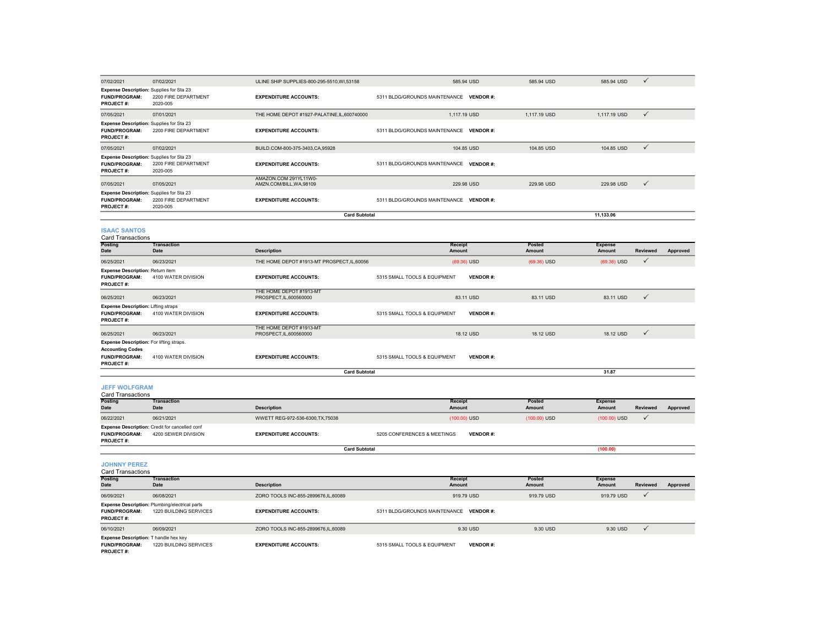| 07/02/2021                                                                                                               | 07/02/2021                       | ULINE SHIP SUPPLIES-800-295-5510, WI, 53158       | 585.94 USD                                       | 585.94 USD   | 585.94 USD   | $\checkmark$ |  |  |  |
|--------------------------------------------------------------------------------------------------------------------------|----------------------------------|---------------------------------------------------|--------------------------------------------------|--------------|--------------|--------------|--|--|--|
| <b>Expense Description:</b> Supplies for Sta 23<br><b>FUND/PROGRAM:</b><br><b>PROJECT#:</b>                              | 2200 FIRE DEPARTMENT<br>2020-005 | <b>EXPENDITURE ACCOUNTS:</b>                      | 5311 BLDG/GROUNDS MAINTENANCE VENDOR #:          |              |              |              |  |  |  |
| 07/05/2021                                                                                                               | 07/01/2021                       | THE HOME DEPOT #1927-PALATINE,IL,600740000        | 1,117.19 USD                                     | 1,117.19 USD | 1,117.19 USD | $\checkmark$ |  |  |  |
| <b>Expense Description:</b> Supplies for Sta 23<br><b>FUND/PROGRAM:</b><br><b>PROJECT#:</b>                              | 2200 FIRE DEPARTMENT             | <b>EXPENDITURE ACCOUNTS:</b>                      | 5311 BLDG/GROUNDS MAINTENANCE VENDOR #:          |              |              |              |  |  |  |
| 07/05/2021                                                                                                               | 07/02/2021                       | BUILD.COM-800-375-3403,CA,95928                   | 104.85 USD                                       | 104.85 USD   | 104.85 USD   | ✓            |  |  |  |
| Expense Description: Supplies for Sta 23<br><b>FUND/PROGRAM:</b><br>2200 FIRE DEPARTMENT<br><b>PROJECT#:</b><br>2020-005 |                                  | <b>EXPENDITURE ACCOUNTS:</b>                      | 5311 BLDG/GROUNDS MAINTENANCE<br><b>VENDOR#:</b> |              |              |              |  |  |  |
| 07/05/2021                                                                                                               | 07/05/2021                       | AMAZON.COM 291YL11W0-<br>AMZN.COM/BILL, WA, 98109 | 229.98 USD                                       | 229.98 USD   | 229.98 USD   | $\checkmark$ |  |  |  |
| <b>Expense Description:</b> Supplies for Sta 23<br><b>FUND/PROGRAM:</b><br><b>PROJECT#:</b>                              | 2200 FIRE DEPARTMENT<br>2020-005 | <b>EXPENDITURE ACCOUNTS:</b>                      | 5311 BLDG/GROUNDS MAINTENANCE VENDOR #:          |              |              |              |  |  |  |
|                                                                                                                          |                                  | <b>Card Subtotal</b>                              |                                                  |              | 11.133.06    |              |  |  |  |
| <b>ISAAC SANTOS</b>                                                                                                      |                                  |                                                   |                                                  |              |              |              |  |  |  |

| <b>ISAAC SANTOS</b> |                   |
|---------------------|-------------------|
|                     | Card Transactions |

| <b>Posting</b><br>Date                                                                                          | <b>Transaction</b><br>Date                                            | <b>Description</b>                                 | Receipt<br>Amount                               | Posted<br><b>Amount</b> | <b>Expense</b><br><b>Reviewed</b><br>Amount<br>Approved |
|-----------------------------------------------------------------------------------------------------------------|-----------------------------------------------------------------------|----------------------------------------------------|-------------------------------------------------|-------------------------|---------------------------------------------------------|
| 06/25/2021                                                                                                      | 06/23/2021                                                            | THE HOME DEPOT #1913-MT PROSPECT.IL.60056          | $(69.36)$ USD                                   | $(69.36)$ USD           | $(69.36)$ USD<br>$\checkmark$                           |
| <b>Expense Description: Return item</b><br><b>FUND/PROGRAM:</b><br><b>PROJECT#:</b>                             | 4100 WATER DIVISION                                                   | <b>EXPENDITURE ACCOUNTS:</b>                       | 5315 SMALL TOOLS & EQUIPMENT<br><b>VENDOR#:</b> |                         |                                                         |
| 06/25/2021                                                                                                      | 06/23/2021                                                            | THE HOME DEPOT #1913-MT<br>PROSPECT, IL, 600560000 | 83.11 USD                                       | 83.11 USD               | $\checkmark$<br>83.11 USD                               |
| <b>Expense Description: Lifting straps</b><br><b>FUND/PROGRAM:</b><br><b>PROJECT#:</b>                          | 4100 WATER DIVISION                                                   | <b>EXPENDITURE ACCOUNTS:</b>                       | 5315 SMALL TOOLS & EQUIPMENT<br><b>VENDOR#:</b> |                         |                                                         |
| 06/25/2021                                                                                                      | 06/23/2021                                                            | THE HOME DEPOT #1913-MT<br>PROSPECT, IL, 600560000 | 18.12 USD                                       | 18.12 USD               | $\checkmark$<br>18.12 USD                               |
| <b>Expense Description: For lifting straps.</b><br><b>Accounting Codes</b><br><b>FUND/PROGRAM:</b><br>PROJECT#: | 4100 WATER DIVISION                                                   | <b>EXPENDITURE ACCOUNTS:</b>                       | 5315 SMALL TOOLS & EQUIPMENT<br><b>VENDOR#:</b> |                         |                                                         |
|                                                                                                                 |                                                                       | <b>Card Subtotal</b>                               |                                                 |                         | 31.87                                                   |
| <b>JEFF WOLFGRAM</b><br>Card Transactions                                                                       |                                                                       |                                                    |                                                 |                         |                                                         |
| <b>Posting</b><br>Date                                                                                          | <b>Transaction</b><br>Date                                            | <b>Description</b>                                 | Receipt<br>Amount                               | Posted<br>Amount        | <b>Expense</b><br><b>Reviewed</b><br>Amount<br>Approved |
| 06/22/2021                                                                                                      | 06/21/2021                                                            | WWETT REG-972-536-6300, TX, 75038                  | (100.00) USD                                    | $(100.00)$ USD          | $\checkmark$<br>$(100.00)$ USD                          |
| <b>FUND/PROGRAM:</b><br><b>PROJECT#:</b>                                                                        | Expense Description: Credit for cancelled conf<br>4200 SEWER DIVISION | <b>EXPENDITURE ACCOUNTS:</b>                       | 5205 CONFERENCES & MEETINGS<br><b>VENDOR#:</b>  |                         |                                                         |

Card Transactions**JOHNNY PEREZ**

| Card Transacuons                                                                  |                                                                                 |                                     |                                                 |                  |                          |                 |          |
|-----------------------------------------------------------------------------------|---------------------------------------------------------------------------------|-------------------------------------|-------------------------------------------------|------------------|--------------------------|-----------------|----------|
| <b>Posting</b><br><b>Date</b>                                                     | <b>Transaction</b><br><b>Date</b>                                               | <b>Description</b>                  | <b>Receipt</b><br>Amount                        | Posted<br>Amount | <b>Expense</b><br>Amount | <b>Reviewed</b> | Approved |
| 06/09/2021                                                                        | 06/08/2021                                                                      | ZORO TOOLS INC-855-2899676,IL,60089 | 919.79 USD                                      | 919.79 USD       | 919,79 USD               |                 |          |
| <b>FUND/PROGRAM:</b><br><b>PROJECT#:</b>                                          | <b>Expense Description: Plumbing/electrical parts</b><br>1220 BUILDING SERVICES | <b>EXPENDITURE ACCOUNTS:</b>        | 5311 BLDG/GROUNDS MAINTENANCE VENDOR #:         |                  |                          |                 |          |
| 06/10/2021                                                                        | 06/09/2021                                                                      | ZORO TOOLS INC-855-2899676,IL,60089 | 9.30 USD                                        | 9.30 USD         | 9.30 USD                 |                 |          |
| Expense Description: T handle hex key<br><b>FUND/PROGRAM:</b><br><b>PROJECT#:</b> | 1220 BUILDING SERVICES                                                          | <b>EXPENDITURE ACCOUNTS:</b>        | 5315 SMALL TOOLS & EQUIPMENT<br><b>VENDOR#:</b> |                  |                          |                 |          |

**(100.00)**

**Card Subtotal**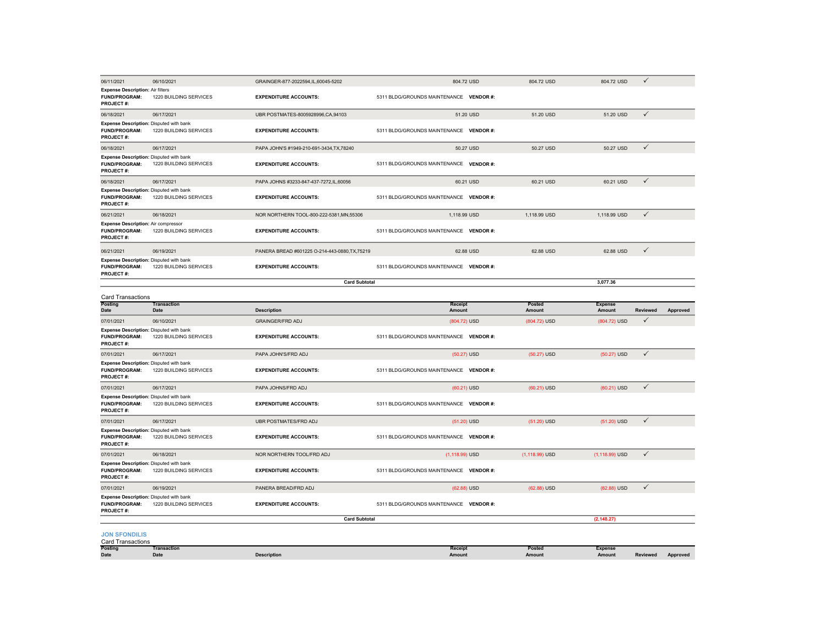| 06/11/2021                                                                          | 06/10/2021                 | GRAINGER-877-2022594,IL,60045-5202             | 804.72 USD                              | 804.72 USD        | 804.72 USD                      | $\checkmark$    |                 |
|-------------------------------------------------------------------------------------|----------------------------|------------------------------------------------|-----------------------------------------|-------------------|---------------------------------|-----------------|-----------------|
| <b>Expense Description: Air filters</b><br><b>FUND/PROGRAM:</b><br>PROJECT#:        | 1220 BUILDING SERVICES     | <b>EXPENDITURE ACCOUNTS:</b>                   | 5311 BLDG/GROUNDS MAINTENANCE VENDOR #: |                   |                                 |                 |                 |
| 06/18/2021                                                                          | 06/17/2021                 | UBR POSTMATES-8005928996,CA,94103              | 51.20 USD                               | 51.20 USD         | 51.20 USD                       | $\checkmark$    |                 |
| Expense Description: Disputed with bank<br><b>FUND/PROGRAM:</b><br>PROJECT#:        | 1220 BUILDING SERVICES     | <b>EXPENDITURE ACCOUNTS:</b>                   | 5311 BLDG/GROUNDS MAINTENANCE VENDOR #: |                   |                                 |                 |                 |
| 06/18/2021                                                                          | 06/17/2021                 | PAPA JOHN'S #1949-210-691-3434, TX, 78240      | 50.27 USD                               | 50.27 USD         | 50.27 USD                       | ✓               |                 |
| Expense Description: Disputed with bank<br>FUND/PROGRAM:<br><b>PROJECT#:</b>        | 1220 BUILDING SERVICES     | <b>EXPENDITURE ACCOUNTS:</b>                   | 5311 BLDG/GROUNDS MAINTENANCE VENDOR #: |                   |                                 |                 |                 |
| 06/18/2021                                                                          | 06/17/2021                 | PAPA JOHNS #3233-847-437-7272,IL,60056         | 60.21 USD                               | 60.21 USD         | 60.21 USD                       | $\checkmark$    |                 |
| Expense Description: Disputed with bank<br><b>FUND/PROGRAM:</b><br><b>PROJECT#:</b> | 1220 BUILDING SERVICES     | <b>EXPENDITURE ACCOUNTS:</b>                   | 5311 BLDG/GROUNDS MAINTENANCE VENDOR #: |                   |                                 |                 |                 |
| 06/21/2021                                                                          | 06/18/2021                 | NOR NORTHERN TOOL-800-222-5381, MN, 55306      | 1,118.99 USD                            | 1,118.99 USD      | 1,118.99 USD                    | $\checkmark$    |                 |
| <b>Expense Description: Air compressor</b><br><b>FUND/PROGRAM:</b><br>PROJECT#:     | 1220 BUILDING SERVICES     | <b>EXPENDITURE ACCOUNTS:</b>                   | 5311 BLDG/GROUNDS MAINTENANCE VENDOR #: |                   |                                 |                 |                 |
| 06/21/2021                                                                          | 06/19/2021                 | PANERA BREAD #601225 O-214-443-0880, TX, 75219 | 62.88 USD                               | 62.88 USD         | 62.88 USD                       | $\checkmark$    |                 |
| Expense Description: Disputed with bank<br><b>FUND/PROGRAM:</b><br>PROJECT#:        | 1220 BUILDING SERVICES     | <b>EXPENDITURE ACCOUNTS:</b>                   | 5311 BLDG/GROUNDS MAINTENANCE VENDOR #: |                   |                                 |                 |                 |
|                                                                                     |                            | <b>Card Subtotal</b>                           |                                         |                   | 3,077.36                        |                 |                 |
| Card Transactions                                                                   |                            |                                                |                                         |                   |                                 |                 |                 |
| Posting<br>Date                                                                     | <b>Transaction</b><br>Date | <b>Description</b>                             | Receipt<br>Amount                       | Posted<br>Amount  | <b>Expense</b><br>Amount        | Reviewed        | Approved        |
| 07/01/2021                                                                          | 06/10/2021                 | <b>GRAINGER/FRD ADJ</b>                        | (804.72) USD                            | (804.72) USD      | (804.72) USD                    | ✓               |                 |
| Expense Description: Disputed with bank<br>FUND/PROGRAM:<br>PROJECT#:               | 1220 BUILDING SERVICES     | <b>EXPENDITURE ACCOUNTS:</b>                   | 5311 BLDG/GROUNDS MAINTENANCE VENDOR #: |                   |                                 |                 |                 |
| 07/01/2021                                                                          | 06/17/2021                 | PAPA JOHN'S/FRD ADJ                            | $(50.27)$ USD                           | $(50.27)$ USD     | $(50.27)$ USD                   | $\checkmark$    |                 |
| Expense Description: Disputed with bank<br><b>FUND/PROGRAM:</b><br>PROJECT#:        | 1220 BUILDING SERVICES     | <b>EXPENDITURE ACCOUNTS:</b>                   | 5311 BLDG/GROUNDS MAINTENANCE VENDOR #: |                   |                                 |                 |                 |
| 07/01/2021                                                                          | 06/17/2021                 | PAPA JOHNS/FRD ADJ                             | $(60.21)$ USD                           | (60.21) USD       | (60.21) USD                     | $\checkmark$    |                 |
| Expense Description: Disputed with bank<br>FUND/PROGRAM:<br>PROJECT#:               | 1220 BUILDING SERVICES     | <b>EXPENDITURE ACCOUNTS:</b>                   | 5311 BLDG/GROUNDS MAINTENANCE VENDOR #: |                   |                                 |                 |                 |
| 07/01/2021                                                                          | 06/17/2021                 | UBR POSTMATES/FRD ADJ                          | $(51.20)$ USD                           | $(51.20)$ USD     | $(51.20)$ USD                   | $\checkmark$    |                 |
| Expense Description: Disputed with bank<br>FUND/PROGRAM:<br><b>PROJECT#:</b>        | 1220 BUILDING SERVICES     | <b>EXPENDITURE ACCOUNTS:</b>                   | 5311 BLDG/GROUNDS MAINTENANCE VENDOR #: |                   |                                 |                 |                 |
| 07/01/2021                                                                          | 06/18/2021                 | NOR NORTHERN TOOL/FRD ADJ                      | $(1, 118.99)$ USD                       | $(1, 118.99)$ USD | $(1, 118.99)$ USD               | $\checkmark$    |                 |
| Expense Description: Disputed with bank<br><b>FUND/PROGRAM:</b><br>PROJECT#:        | 1220 BUILDING SERVICES     | <b>EXPENDITURE ACCOUNTS:</b>                   | 5311 BLDG/GROUNDS MAINTENANCE VENDOR #: |                   |                                 |                 |                 |
| 07/01/2021                                                                          | 06/19/2021                 | PANERA BREAD/FRD ADJ                           | (62.88) USD                             | $(62.88)$ USD     | (62.88) USD                     | $\checkmark$    |                 |
| Expense Description: Disputed with bank<br>FUND/PROGRAM:<br><b>PROJECT#:</b>        | 1220 BUILDING SERVICES     | <b>EXPENDITURE ACCOUNTS:</b>                   | 5311 BLDG/GROUNDS MAINTENANCE VENDOR #: |                   |                                 |                 |                 |
|                                                                                     |                            | <b>Card Subtotal</b>                           |                                         |                   | (2, 148.27)                     |                 |                 |
| <b>JON SFONDILIS</b><br><b>Card Transactions</b>                                    |                            |                                                |                                         |                   |                                 |                 |                 |
| Posting<br><b>Date</b>                                                              | <b>Transaction</b><br>Date | <b>Description</b>                             | Receipt<br>Amount                       | Posted<br>Amount  | <b>Expense</b><br><b>Amount</b> | <b>Reviewed</b> | <b>Approved</b> |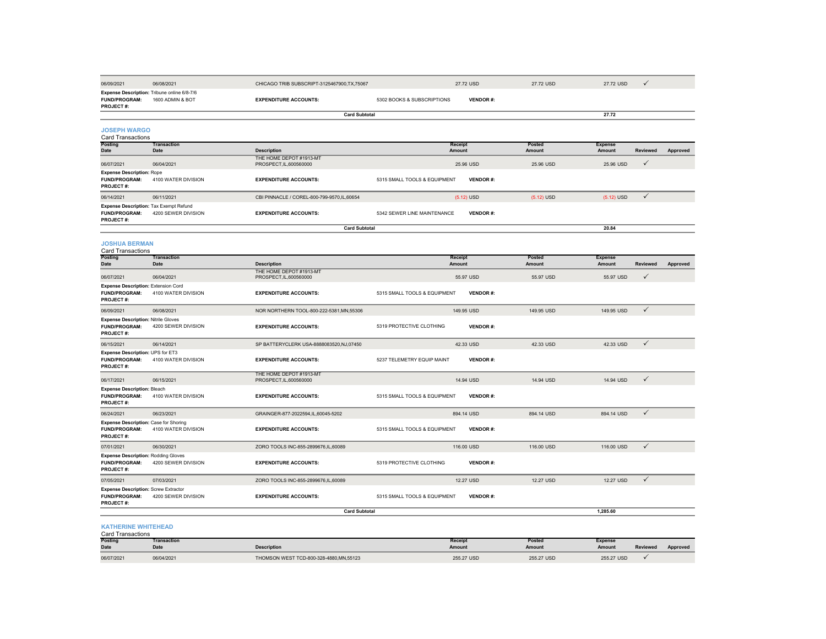| 06/09/2021                                                                              | 06/08/2021                 | CHICAGO TRIB SUBSCRIPT-3125467900, TX, 75067       |                              | 27.72 USD       | 27.72 USD               | 27.72 USD                | $\checkmark$    |          |
|-----------------------------------------------------------------------------------------|----------------------------|----------------------------------------------------|------------------------------|-----------------|-------------------------|--------------------------|-----------------|----------|
| Expense Description: Tribune online 6/8-7/6<br><b>FUND/PROGRAM:</b><br><b>PROJECT#:</b> | 1600 ADMIN & BOT           | <b>EXPENDITURE ACCOUNTS:</b>                       | 5302 BOOKS & SUBSCRIPTIONS   | <b>VENDOR#:</b> |                         |                          |                 |          |
|                                                                                         |                            | <b>Card Subtotal</b>                               |                              |                 |                         | 27.72                    |                 |          |
| <b>JOSEPH WARGO</b><br>Card Transactions                                                |                            |                                                    |                              |                 |                         |                          |                 |          |
| <b>Posting</b><br>Date                                                                  | <b>Transaction</b><br>Date | <b>Description</b>                                 | Receipt<br>Amount            |                 | Posted<br><b>Amount</b> | <b>Expense</b><br>Amount | <b>Reviewed</b> | Approved |
| 06/07/2021                                                                              | 06/04/2021                 | THE HOME DEPOT #1913-MT<br>PROSPECT, IL, 600560000 |                              | 25.96 USD       | 25.96 USD               | 25.96 USD                | $\checkmark$    |          |
| <b>Expense Description: Rope</b><br><b>FUND/PROGRAM:</b><br>PROJECT #:                  | 4100 WATER DIVISION        | <b>EXPENDITURE ACCOUNTS:</b>                       | 5315 SMALL TOOLS & EQUIPMENT | <b>VENDOR#:</b> |                         |                          |                 |          |
| 06/14/2021                                                                              | 06/11/2021                 | CBI PINNACLE / COREL-800-799-9570,IL,60654         |                              | $(5.12)$ USD    | $(5.12)$ USD            | $(5.12)$ USD             | $\checkmark$    |          |
| Expense Description: Tax Exempt Refund<br><b>FUND/PROGRAM:</b><br>PROJECT#:             | 4200 SEWER DIVISION        | <b>EXPENDITURE ACCOUNTS:</b>                       | 5342 SEWER LINE MAINTENANCE  | <b>VENDOR#:</b> |                         |                          |                 |          |
|                                                                                         |                            | <b>Card Subtotal</b>                               |                              |                 |                         | 20.84                    |                 |          |
| <b>JOSHUA BERMAN</b><br><b>Card Transactions</b>                                        |                            |                                                    |                              |                 |                         |                          |                 |          |
| <b>Posting</b><br><b>Date</b>                                                           | <b>Transaction</b><br>Date | <b>Description</b>                                 | Receipt<br>Amount            |                 | Posted<br>Amount        | <b>Expense</b><br>Amount | Reviewed        | Approved |
| 06/07/2021                                                                              | 06/04/2021                 | THE HOME DEPOT #1913-MT<br>PROSPECT, IL, 600560000 |                              | 55.97 USD       | 55.97 USD               | 55.97 USD                | ✓               |          |
| <b>Expense Description: Extension Cord</b><br>FUND/PROGRAM:<br>PROJECT#:                | 4100 WATER DIVISION        | <b>EXPENDITURE ACCOUNTS:</b>                       | 5315 SMALL TOOLS & EQUIPMENT | <b>VENDOR#:</b> |                         |                          |                 |          |
| 06/09/2021                                                                              | 06/08/2021                 | NOR NORTHERN TOOL-800-222-5381, MN, 55306          |                              | 149.95 USD      | 149.95 USD              | 149.95 USD               | $\checkmark$    |          |
| <b>Expense Description: Nitrile Gloves</b><br>FUND/PROGRAM:<br>PROJECT#:                | 4200 SEWER DIVISION        | <b>EXPENDITURE ACCOUNTS:</b>                       | 5319 PROTECTIVE CLOTHING     | <b>VENDOR#:</b> |                         |                          |                 |          |
| 06/15/2021                                                                              | 06/14/2021                 | SP BATTERYCLERK USA-8888083520,NJ,07450            |                              | 42.33 USD       | 42.33 USD               | 42.33 USD                | $\checkmark$    |          |
| Expense Description: UPS for ET3<br>FUND/PROGRAM:<br>PROJECT#:                          | 4100 WATER DIVISION        | <b>EXPENDITURE ACCOUNTS:</b>                       | 5237 TELEMETRY EQUIP MAINT   | <b>VENDOR#:</b> |                         |                          |                 |          |
| 06/17/2021                                                                              | 06/15/2021                 | THE HOME DEPOT #1913-MT<br>PROSPECT.IL.600560000   |                              | 14.94 USD       | 14.94 USD               | 14.94 USD                | $\checkmark$    |          |
| <b>Expense Description: Bleach</b><br><b>FUND/PROGRAM:</b><br>PROJECT#:                 | 4100 WATER DIVISION        | <b>EXPENDITURE ACCOUNTS:</b>                       | 5315 SMALL TOOLS & EQUIPMENT | <b>VENDOR#:</b> |                         |                          |                 |          |
| 06/24/2021                                                                              | 06/23/2021                 | GRAINGER-877-2022594,IL,60045-5202                 |                              | 894.14 USD      | 894.14 USD              | 894.14 USD               | $\checkmark$    |          |
| Expense Description: Case for Shoring<br>FUND/PROGRAM:<br><b>PROJECT#:</b>              | 4100 WATER DIVISION        | <b>EXPENDITURE ACCOUNTS:</b>                       | 5315 SMALL TOOLS & EQUIPMENT | <b>VENDOR#:</b> |                         |                          |                 |          |
| 07/01/2021                                                                              | 06/30/2021                 | ZORO TOOLS INC-855-2899676,IL,60089                |                              | 116,00 USD      | 116,00 USD              | 116,00 USD               | $\checkmark$    |          |
| <b>Expense Description: Rodding Gloves</b><br>FUND/PROGRAM:<br><b>PROJECT#:</b>         | 4200 SEWER DIVISION        | <b>EXPENDITURE ACCOUNTS:</b>                       | 5319 PROTECTIVE CLOTHING     | <b>VENDOR#:</b> |                         |                          |                 |          |
| 07/05/2021                                                                              | 07/03/2021                 | ZORO TOOLS INC-855-2899676,IL,60089                |                              | 12.27 USD       | 12.27 USD               | 12.27 USD                | $\checkmark$    |          |
| <b>Expense Description: Screw Extractor</b><br>FUND/PROGRAM:<br><b>PROJECT#:</b>        | 4200 SEWER DIVISION        | <b>EXPENDITURE ACCOUNTS:</b>                       | 5315 SMALL TOOLS & EQUIPMENT | <b>VENDOR#:</b> |                         |                          |                 |          |
|                                                                                         |                            | <b>Card Subtotal</b>                               |                              |                 |                         | 1,285.60                 |                 |          |
| <b>KATHERINE WHITEHEAD</b><br><b>Card Transactions</b>                                  |                            |                                                    |                              |                 |                         |                          |                 |          |
| Posting<br>Date                                                                         | Transaction<br>Date        | <b>Description</b>                                 | Receipt<br>Amount            |                 | Posted<br>Amount        | <b>Expense</b><br>Amount | Reviewed        | Approved |
| 06/07/2021                                                                              | 06/04/2021                 | THOMSON WEST TCD-800-328-4880 MN 55123             |                              | 255.27 USD      | 255.27 USD              | 255.27 USD               | ✓               |          |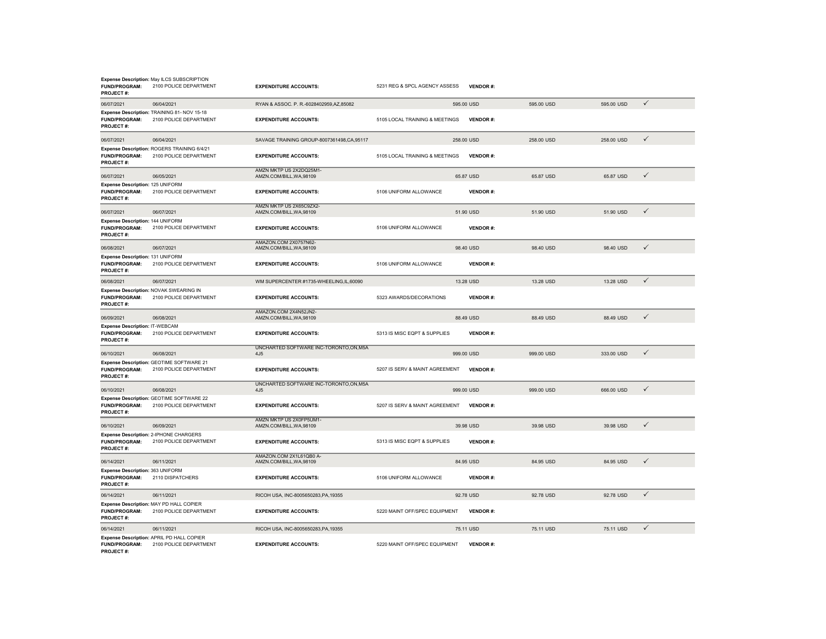| <b>FUND/PROGRAM:</b><br><b>PROJECT#:</b>                                     | Expense Description: May ILCS SUBSCRIPTION<br>2100 POLICE DEPARTMENT  | <b>EXPENDITURE ACCOUNTS:</b>                             | 5231 REG & SPCL AGENCY ASSESS  | <b>VENDOR#:</b> |            |            |              |
|------------------------------------------------------------------------------|-----------------------------------------------------------------------|----------------------------------------------------------|--------------------------------|-----------------|------------|------------|--------------|
| 06/07/2021                                                                   | 06/04/2021                                                            | RYAN & ASSOC. P. R.-6028402959,AZ,85082                  |                                | 595.00 USD      | 595.00 USD | 595.00 USD | $\checkmark$ |
| <b>FUND/PROGRAM:</b><br>PROJECT#:                                            | Expense Description: TRAINING 81- NOV 15-18<br>2100 POLICE DEPARTMENT | <b>EXPENDITURE ACCOUNTS:</b>                             | 5105 LOCAL TRAINING & MEETINGS | <b>VENDOR#:</b> |            |            |              |
| 06/07/2021                                                                   | 06/04/2021                                                            | SAVAGE TRAINING GROUP-8007361498,CA,95117                |                                | 258.00 USD      | 258.00 USD | 258.00 USD | $\checkmark$ |
| FUND/PROGRAM:<br>PROJECT#:                                                   | Expense Description: ROGERS TRAINING 6/4/21<br>2100 POLICE DEPARTMENT | <b>EXPENDITURE ACCOUNTS:</b>                             | 5105 LOCAL TRAINING & MEETINGS | <b>VENDOR#:</b> |            |            |              |
| 06/07/2021                                                                   | 06/05/2021                                                            | AMZN MKTP US 2X2DQ25M1-<br>AMZN.COM/BILL, WA, 98109      |                                | 65.87 USD       | 65.87 USD  | 65.87 USD  | $\checkmark$ |
| Expense Description: 125 UNIFORM<br><b>FUND/PROGRAM:</b><br><b>PROJECT#:</b> | 2100 POLICE DEPARTMENT                                                | <b>EXPENDITURE ACCOUNTS:</b>                             | 5106 UNIFORM ALLOWANCE         | <b>VENDOR#:</b> |            |            |              |
| 06/07/2021                                                                   | 06/07/2021                                                            | AMZN MKTP US 2X65C9ZX2-<br>AMZN.COM/BILL.WA.98109        |                                | 51.90 USD       | 51.90 USD  | 51.90 USD  | $\checkmark$ |
| Expense Description: 144 UNIFORM<br>FUND/PROGRAM:<br>PROJECT#:               | 2100 POLICE DEPARTMENT                                                | <b>EXPENDITURE ACCOUNTS:</b>                             | 5106 UNIFORM ALLOWANCE         | <b>VENDOR#:</b> |            |            |              |
| 06/08/2021                                                                   | 06/07/2021                                                            | AMAZON.COM 2X0757N62-<br>AMZN.COM/BILL, WA, 98109        |                                | 98.40 USD       | 98.40 USD  | 98.40 USD  | $\checkmark$ |
| Expense Description: 131 UNIFORM<br>FUND/PROGRAM:<br>PROJECT#:               | 2100 POLICE DEPARTMENT                                                | <b>EXPENDITURE ACCOUNTS:</b>                             | 5106 UNIFORM ALLOWANCE         | <b>VENDOR#:</b> |            |            |              |
| 06/08/2021                                                                   | 06/07/2021                                                            | WM SUPERCENTER #1735-WHEELING.IL.60090                   |                                | 13.28 USD       | 13.28 USD  | 13.28 USD  | $\checkmark$ |
| <b>FUND/PROGRAM:</b><br>PROJECT#:                                            | Expense Description: NOVAK SWEARING IN<br>2100 POLICE DEPARTMENT      | <b>EXPENDITURE ACCOUNTS:</b>                             | 5323 AWARDS/DECORATIONS        | <b>VENDOR#:</b> |            |            |              |
| 06/09/2021                                                                   | 06/08/2021                                                            | AMAZON.COM 2X4N52JN2-<br>AMZN.COM/BILL, WA, 98109        |                                | 88.49 USD       | 88.49 USD  | 88.49 USD  | $\checkmark$ |
| <b>Expense Description: IT-WEBCAM</b><br><b>FUND/PROGRAM:</b><br>PROJECT#:   | 2100 POLICE DEPARTMENT                                                | <b>EXPENDITURE ACCOUNTS:</b>                             | 5313 IS MISC EQPT & SUPPLIES   | <b>VENDOR#:</b> |            |            |              |
| 06/10/2021                                                                   | 06/08/2021                                                            | UNCHARTED SOFTWARE INC-TORONTO.ON.M5A<br>4J <sub>5</sub> |                                | 999.00 USD      | 999.00 USD | 333.00 USD | $\checkmark$ |
| <b>FUND/PROGRAM:</b><br><b>PROJECT#:</b>                                     | Expense Description: GEOTIME SOFTWARE 21<br>2100 POLICE DEPARTMENT    | <b>EXPENDITURE ACCOUNTS:</b>                             | 5207 IS SERV & MAINT AGREEMENT | <b>VENDOR#:</b> |            |            |              |
| 06/10/2021                                                                   | 06/08/2021                                                            | UNCHARTED SOFTWARE INC-TORONTO.ON.M5A<br>4.15            |                                | 999.00 USD      | 999.00 USD | 666.00 USD | $\checkmark$ |
| <b>FUND/PROGRAM:</b><br>PROJECT#:                                            | Expense Description: GEOTIME SOFTWARE 22<br>2100 POLICE DEPARTMENT    | <b>EXPENDITURE ACCOUNTS:</b>                             | 5207 IS SERV & MAINT AGREEMENT | <b>VENDOR#:</b> |            |            |              |
| 06/10/2021                                                                   | 06/09/2021                                                            | AMZN MKTP US 2X0FP5UM1-<br>AMZN.COM/BILL, WA, 98109      |                                | 39.98 USD       | 39.98 USD  | 39.98 USD  | $\checkmark$ |
| <b>FUND/PROGRAM:</b><br>PROJECT#:                                            | Expense Description: 2-IPHONE CHARGERS<br>2100 POLICE DEPARTMENT      | <b>EXPENDITURE ACCOUNTS:</b>                             | 5313 IS MISC EQPT & SUPPLIES   | <b>VENDOR#:</b> |            |            |              |
| 06/14/2021                                                                   | 06/11/2021                                                            | AMAZON.COM 2X1L61QB0 A-<br>AMZN.COM/BILL, WA, 98109      |                                | 84.95 USD       | 84.95 USD  | 84.95 USD  | $\checkmark$ |
| Expense Description: 363 UNIFORM<br><b>FUND/PROGRAM:</b><br>PROJECT#:        | 2110 DISPATCHERS                                                      | <b>EXPENDITURE ACCOUNTS:</b>                             | 5106 UNIFORM ALLOWANCE         | <b>VENDOR#:</b> |            |            |              |
| 06/14/2021                                                                   | 06/11/2021                                                            | RICOH USA, INC-8005650283, PA, 19355                     |                                | 92.78 USD       | 92.78 USD  | 92.78 USD  | $\checkmark$ |
| FUND/PROGRAM:<br>PROJECT#:                                                   | Expense Description: MAY PD HALL COPIER<br>2100 POLICE DEPARTMENT     | <b>EXPENDITURE ACCOUNTS:</b>                             | 5220 MAINT OFF/SPEC EQUIPMENT  | <b>VENDOR#:</b> |            |            |              |
| 06/14/2021                                                                   | 06/11/2021                                                            | RICOH USA, INC-8005650283, PA, 19355                     |                                | 75.11 USD       | 75.11 USD  | 75.11 USD  | $\checkmark$ |
| <b>FUND/PROGRAM:</b><br>PROJECT#:                                            | Expense Description: APRIL PD HALL COPIER<br>2100 POLICE DEPARTMENT   | <b>EXPENDITURE ACCOUNTS:</b>                             | 5220 MAINT OFF/SPEC EQUIPMENT  | <b>VENDOR#:</b> |            |            |              |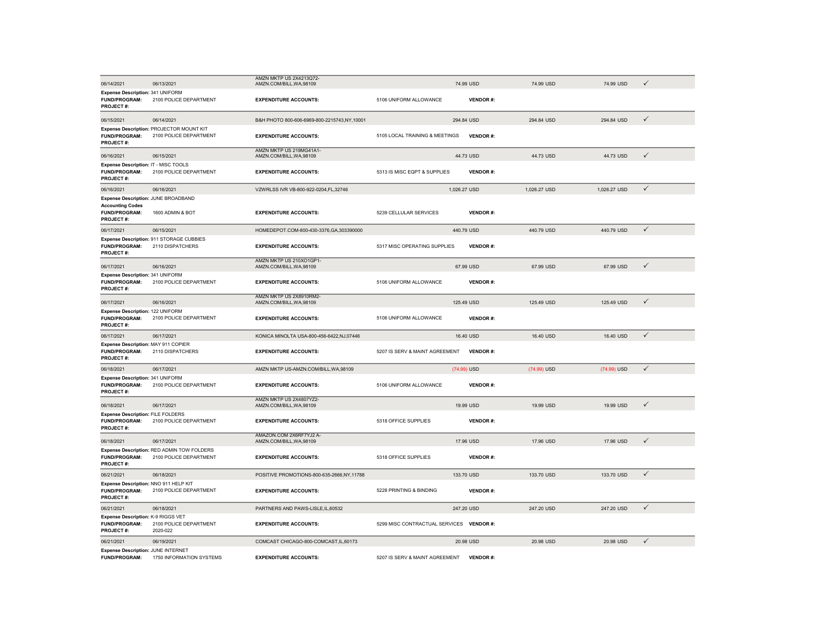|                                                                                              |                                                                      | AMZN MKTP US 2X4213Q72-                             |                                          |                 |              |              |              |
|----------------------------------------------------------------------------------------------|----------------------------------------------------------------------|-----------------------------------------------------|------------------------------------------|-----------------|--------------|--------------|--------------|
| 06/14/2021                                                                                   | 06/13/2021                                                           | AMZN.COM/BILL, WA, 98109                            |                                          | 74.99 USD       | 74.99 USD    | 74.99 USD    | $\checkmark$ |
| Expense Description: 341 UNIFORM<br>FUND/PROGRAM:<br><b>PROJECT#:</b>                        | 2100 POLICE DEPARTMENT                                               | <b>EXPENDITURE ACCOUNTS:</b>                        | 5106 UNIFORM ALLOWANCE                   | <b>VENDOR#:</b> |              |              |              |
| 06/15/2021                                                                                   | 06/14/2021                                                           | B&H PHOTO 800-606-6969-800-2215743,NY,10001         |                                          | 294.84 USD      | 294.84 USD   | 294.84 USD   | $\checkmark$ |
| <b>FUND/PROGRAM:</b><br>PROJECT#:                                                            | Expense Description: PROJECTOR MOUNT KIT<br>2100 POLICE DEPARTMENT   | <b>EXPENDITURE ACCOUNTS:</b>                        | 5105 LOCAL TRAINING & MEETINGS           | <b>VENDOR#:</b> |              |              |              |
| 06/16/2021                                                                                   | 06/15/2021                                                           | AMZN MKTP US 219MG41A1-<br>AMZN.COM/BILL.WA.98109   |                                          | 44.73 USD       | 44.73 USD    | 44.73 USD    | $\checkmark$ |
| Expense Description: IT - MISC TOOLS<br><b>FUND/PROGRAM:</b><br>PROJECT#:                    | 2100 POLICE DEPARTMENT                                               | <b>EXPENDITURE ACCOUNTS:</b>                        | 5313 IS MISC EQPT & SUPPLIES             | <b>VENDOR#:</b> |              |              |              |
| 06/16/2021                                                                                   | 06/16/2021                                                           | VZWRLSS IVR VB-800-922-0204,FL,32746                |                                          | 1,026.27 USD    | 1,026.27 USD | 1,026.27 USD | $\checkmark$ |
| Expense Description: JUNE BROADBAND<br><b>Accounting Codes</b><br>FUND/PROGRAM:<br>PROJECT#: | 1600 ADMIN & BOT                                                     | <b>EXPENDITURE ACCOUNTS:</b>                        | 5239 CELLULAR SERVICES                   | <b>VENDOR#:</b> |              |              |              |
| 06/17/2021                                                                                   | 06/15/2021                                                           | HOMEDEPOT.COM-800-430-3376.GA.303390000             |                                          | 440.79 USD      | 440.79 USD   | 440.79 USD   | $\checkmark$ |
| <b>FUND/PROGRAM:</b><br>PROJECT#:                                                            | Expense Description: 911 STORAGE CUBBIES<br>2110 DISPATCHERS         | <b>EXPENDITURE ACCOUNTS:</b>                        | 5317 MISC OPERATING SUPPLIES             | <b>VENDOR#:</b> |              |              |              |
| 06/17/2021                                                                                   | 06/16/2021                                                           | AMZN MKTP US 210XO1GP1-<br>AMZN.COM/BILL, WA, 98109 |                                          | 67.99 USD       | 67.99 USD    | 67.99 USD    | ✓            |
| Expense Description: 341 UNIFORM<br><b>FUND/PROGRAM:</b><br>PROJECT#:                        | 2100 POLICE DEPARTMENT                                               | <b>EXPENDITURE ACCOUNTS:</b>                        | 5106 UNIFORM ALLOWANCE                   | <b>VENDOR#:</b> |              |              |              |
| 06/17/2021                                                                                   | 06/16/2021                                                           | AMZN MKTP US 2X8910RM2-<br>AMZN.COM/BILL, WA, 98109 |                                          | 125.49 USD      | 125.49 USD   | 125.49 USD   | $\checkmark$ |
| Expense Description: 122 UNIFORM<br><b>FUND/PROGRAM:</b><br>PROJECT#:                        | 2100 POLICE DEPARTMENT                                               | <b>EXPENDITURE ACCOUNTS:</b>                        | 5106 UNIFORM ALLOWANCE                   | <b>VENDOR#:</b> |              |              |              |
| 06/17/2021                                                                                   | 06/17/2021                                                           | KONICA MINOLTA USA-800-456-6422,NJ,07446            |                                          | 16.40 USD       | 16,40 USD    | 16,40 USD    | $\checkmark$ |
| Expense Description: MAY 911 COPIER<br><b>FUND/PROGRAM:</b><br><b>PROJECT#:</b>              | 2110 DISPATCHERS                                                     | <b>EXPENDITURE ACCOUNTS:</b>                        | 5207 IS SERV & MAINT AGREEMENT           | <b>VENDOR#:</b> |              |              |              |
| 06/18/2021                                                                                   | 06/17/2021                                                           | AMZN MKTP US-AMZN.COM/BILL.WA.98109                 |                                          | (74.99) USD     | (74.99) USD  | (74.99) USD  | $\checkmark$ |
| Expense Description: 341 UNIFORM<br><b>FUND/PROGRAM:</b><br>PROJECT#:                        | 2100 POLICE DEPARTMENT                                               | <b>EXPENDITURE ACCOUNTS:</b>                        | 5106 UNIFORM ALLOWANCE                   | <b>VENDOR#:</b> |              |              |              |
| 06/18/2021                                                                                   | 06/17/2021                                                           | AMZN MKTP US 2X4807YZ2-<br>AMZN.COM/BILL, WA, 98109 |                                          | 19.99 USD       | 19.99 USD    | 19.99 USD    | $\checkmark$ |
| <b>Expense Description: FILE FOLDERS</b><br><b>FUND/PROGRAM:</b><br>PROJECT#:                | 2100 POLICE DEPARTMENT                                               | <b>EXPENDITURE ACCOUNTS:</b>                        | 5318 OFFICE SUPPLIES                     | <b>VENDOR#:</b> |              |              |              |
| 06/18/2021                                                                                   | 06/17/2021                                                           | AMAZON.COM 2X6RF7YJ2 A-<br>AMZN.COM/BILL, WA, 98109 |                                          | 17.96 USD       | 17.96 USD    | 17.96 USD    | $\checkmark$ |
| <b>FUND/PROGRAM:</b><br><b>PROJECT#:</b>                                                     | Expense Description: RED ADMIN TOW FOLDERS<br>2100 POLICE DEPARTMENT | <b>EXPENDITURE ACCOUNTS:</b>                        | 5318 OFFICE SUPPLIES                     | <b>VENDOR#:</b> |              |              |              |
| 06/21/2021                                                                                   | 06/18/2021                                                           | POSITIVE PROMOTIONS-800-635-2666, NY, 11788         |                                          | 133.70 USD      | 133.70 USD   | 133.70 USD   | $\checkmark$ |
| Expense Description: NNO 911 HELP KIT<br><b>FUND/PROGRAM:</b><br>PROJECT#:                   | 2100 POLICE DEPARTMENT                                               | <b>EXPENDITURE ACCOUNTS:</b>                        | 5228 PRINTING & BINDING                  | <b>VENDOR#:</b> |              |              |              |
| 06/21/2021                                                                                   | 06/18/2021                                                           | PARTNERS AND PAWS-LISLE, IL, 60532                  |                                          | 247.20 USD      | 247.20 USD   | 247.20 USD   | $\checkmark$ |
| Expense Description: K-9 RIGGS VET<br><b>FUND/PROGRAM:</b><br>PROJECT#:                      | 2100 POLICE DEPARTMENT<br>2020-022                                   | <b>EXPENDITURE ACCOUNTS:</b>                        | 5299 MISC CONTRACTUAL SERVICES VENDOR #: |                 |              |              |              |
| 06/21/2021                                                                                   | 06/19/2021                                                           | COMCAST CHICAGO-800-COMCAST, IL, 60173              |                                          | 20.98 USD       | 20.98 USD    | 20.98 USD    | $\checkmark$ |
| Expense Description: JUNE INTERNET<br><b>FUND/PROGRAM:</b>                                   | 1750 INFORMATION SYSTEMS                                             | <b>EXPENDITURE ACCOUNTS:</b>                        | 5207 IS SERV & MAINT AGREEMENT           | <b>VENDOR#:</b> |              |              |              |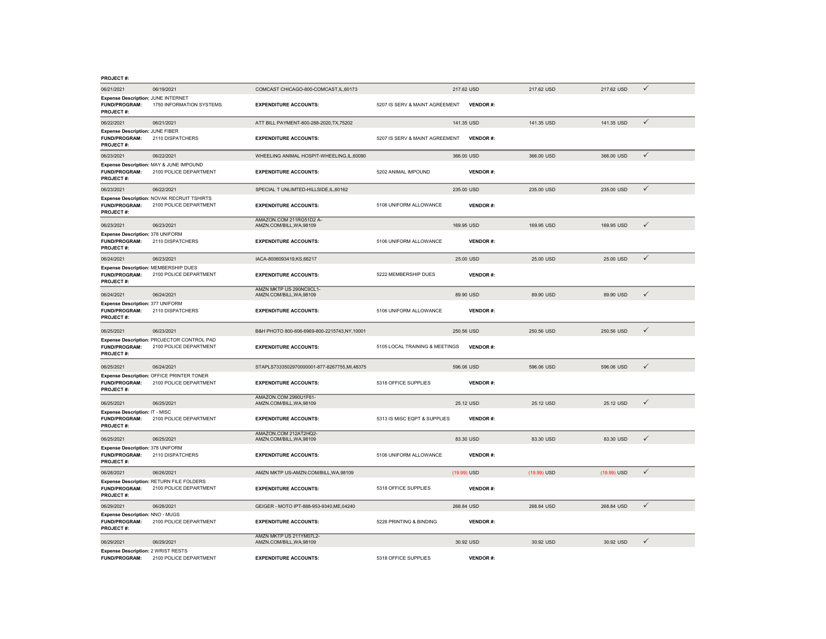| <b>PROJECT#:</b>                                                             |                                                                      |                                                     |                                |                 |             |             |              |
|------------------------------------------------------------------------------|----------------------------------------------------------------------|-----------------------------------------------------|--------------------------------|-----------------|-------------|-------------|--------------|
| 06/21/2021                                                                   | 06/19/2021                                                           | COMCAST CHICAGO-800-COMCAST, IL, 60173              |                                | 217.62 USD      | 217.62 USD  | 217.62 USD  | $\checkmark$ |
| Expense Description: JUNE INTERNET<br><b>FUND/PROGRAM:</b><br>PROJECT#:      | 1750 INFORMATION SYSTEMS                                             | <b>EXPENDITURE ACCOUNTS:</b>                        | 5207 IS SERV & MAINT AGREEMENT | <b>VENDOR#:</b> |             |             |              |
| 06/22/2021                                                                   | 06/21/2021                                                           | ATT BILL PAYMENT-800-288-2020, TX, 75202            |                                | 141.35 USD      | 141.35 USD  | 141.35 USD  | $\checkmark$ |
| Expense Description: JUNE FIBER<br><b>FUND/PROGRAM:</b><br><b>PROJECT#:</b>  | 2110 DISPATCHERS                                                     | <b>EXPENDITURE ACCOUNTS:</b>                        | 5207 IS SERV & MAINT AGREEMENT | <b>VENDOR#:</b> |             |             |              |
| 06/23/2021                                                                   | 06/22/2021                                                           | WHEELING ANIMAL HOSPIT-WHEELING,IL,60090            |                                | 366.00 USD      | 366.00 USD  | 366.00 USD  | $\checkmark$ |
| FUND/PROGRAM:<br>PROJECT#:                                                   | Expense Description: MAY & JUNE IMPOUND<br>2100 POLICE DEPARTMENT    | <b>EXPENDITURE ACCOUNTS:</b>                        | 5202 ANIMAL IMPOUND            | <b>VENDOR#:</b> |             |             |              |
| 06/23/2021                                                                   | 06/22/2021                                                           | SPECIAL TUNLIMTED-HILLSIDE.IL.60162                 |                                | 235.00 USD      | 235.00 USD  | 235.00 USD  | $\checkmark$ |
| <b>FUND/PROGRAM:</b><br><b>PROJECT#:</b>                                     | Expense Description: NOVAK RECRUIT TSHIRTS<br>2100 POLICE DEPARTMENT | <b>EXPENDITURE ACCOUNTS:</b>                        | 5106 UNIFORM ALLOWANCE         | <b>VENDOR#:</b> |             |             |              |
| 06/23/2021                                                                   | 06/23/2021                                                           | AMAZON.COM 211RG51D2 A-<br>AMZN.COM/BILL, WA, 98109 |                                | 169.95 USD      | 169.95 USD  | 169.95 USD  | $\checkmark$ |
| Expense Description: 378 UNIFORM<br><b>FUND/PROGRAM:</b><br><b>PROJECT#:</b> | 2110 DISPATCHERS                                                     | <b>EXPENDITURE ACCOUNTS:</b>                        | 5106 UNIFORM ALLOWANCE         | <b>VENDOR#:</b> |             |             |              |
| 06/24/2021                                                                   | 06/23/2021                                                           | IACA-8006093419,KS,66217                            |                                | 25.00 USD       | 25.00 USD   | 25.00 USD   | $\checkmark$ |
| FUND/PROGRAM:<br><b>PROJECT#:</b>                                            | Expense Description: MEMBERSHIP DUES<br>2100 POLICE DEPARTMENT       | <b>EXPENDITURE ACCOUNTS:</b>                        | 5222 MEMBERSHIP DUES           | <b>VENDOR#:</b> |             |             |              |
| 06/24/2021                                                                   | 06/24/2021                                                           | AMZN MKTP US 290NC9CL1-<br>AMZN.COM/BILL, WA, 98109 |                                | 89.90 USD       | 89.90 USD   | 89.90 USD   | $\checkmark$ |
| Expense Description: 377 UNIFORM<br><b>FUND/PROGRAM:</b><br><b>PROJECT#:</b> | 2110 DISPATCHERS                                                     | <b>EXPENDITURE ACCOUNTS:</b>                        | 5106 UNIFORM ALLOWANCE         | <b>VENDOR#:</b> |             |             |              |
| 06/25/2021                                                                   | 06/23/2021                                                           | B&H PHOTO 800-606-6969-800-2215743.NY.10001         |                                | 250.56 USD      | 250,56 USD  | 250,56 USD  | $\checkmark$ |
| <b>FUND/PROGRAM:</b><br><b>PROJECT#:</b>                                     | Expense Description: PROJECTOR CONTROL PAD<br>2100 POLICE DEPARTMENT | <b>EXPENDITURE ACCOUNTS:</b>                        | 5105 LOCAL TRAINING & MEETINGS | <b>VENDOR#:</b> |             |             |              |
| 06/25/2021                                                                   | 06/24/2021                                                           | STAPLS7333502970000001-877-8267755,MI,48375         |                                | 596.06 USD      | 596.06 USD  | 596.06 USD  | $\checkmark$ |
| <b>FUND/PROGRAM:</b><br><b>PROJECT#:</b>                                     | Expense Description: OFFICE PRINTER TONER<br>2100 POLICE DEPARTMENT  | <b>EXPENDITURE ACCOUNTS:</b>                        | 5318 OFFICE SUPPLIES           | <b>VENDOR#:</b> |             |             |              |
| 06/25/2021                                                                   | 06/25/2021                                                           | AMAZON.COM 2990U1F61-<br>AMZN.COM/BILL.WA.98109     |                                | 25.12 USD       | 25.12 USD   | 25.12 USD   | ✓            |
| Expense Description: IT - MISC<br><b>FUND/PROGRAM:</b><br><b>PROJECT#:</b>   | 2100 POLICE DEPARTMENT                                               | <b>EXPENDITURE ACCOUNTS:</b>                        | 5313 IS MISC EQPT & SUPPLIES   | <b>VENDOR#:</b> |             |             |              |
| 06/25/2021                                                                   | 06/25/2021                                                           | AMAZON.COM 212AT2HQ2-<br>AMZN.COM/BILL, WA, 98109   |                                | 83.30 USD       | 83.30 USD   | 83.30 USD   | $\checkmark$ |
| Expense Description: 378 UNIFORM<br><b>FUND/PROGRAM:</b><br>PROJECT#:        | 2110 DISPATCHERS                                                     | <b>EXPENDITURE ACCOUNTS:</b>                        | 5106 UNIFORM ALLOWANCE         | <b>VENDOR#:</b> |             |             |              |
| 06/28/2021                                                                   | 06/26/2021                                                           | AMZN MKTP US-AMZN.COM/BILL, WA,98109                |                                | (19.99) USD     | (19.99) USD | (19.99) USD | $\checkmark$ |
| <b>FUND/PROGRAM:</b><br>PROJECT#:                                            | Expense Description: RETURN FILE FOLDERS<br>2100 POLICE DEPARTMENT   | <b>EXPENDITURE ACCOUNTS:</b>                        | 5318 OFFICE SUPPLIES           | <b>VENDOR#:</b> |             |             |              |
| 06/29/2021                                                                   | 06/28/2021                                                           | GEIGER - MOTO IPT-888-953-9340, ME, 04240           |                                | 268.84 USD      | 268.84 USD  | 268.84 USD  | $\checkmark$ |
| Expense Description: NNO - MUGS<br><b>FUND/PROGRAM:</b><br>PROJECT#:         | 2100 POLICE DEPARTMENT                                               | <b>EXPENDITURE ACCOUNTS:</b>                        | 5228 PRINTING & BINDING        | <b>VENDOR#:</b> |             |             |              |
| 06/29/2021                                                                   | 06/29/2021                                                           | AMZN MKTP US 211YM07L2-<br>AMZN.COM/BILL, WA, 98109 |                                | 30.92 USD       | 30.92 USD   | 30.92 USD   | $\checkmark$ |
| Expense Description: 2 WRIST RESTS                                           | FUND/PROGRAM: 2100 POLICE DEPARTMENT                                 | <b>EXPENDITURE ACCOUNTS:</b>                        | 5318 OFFICE SUPPLIES           | <b>VENDOR#:</b> |             |             |              |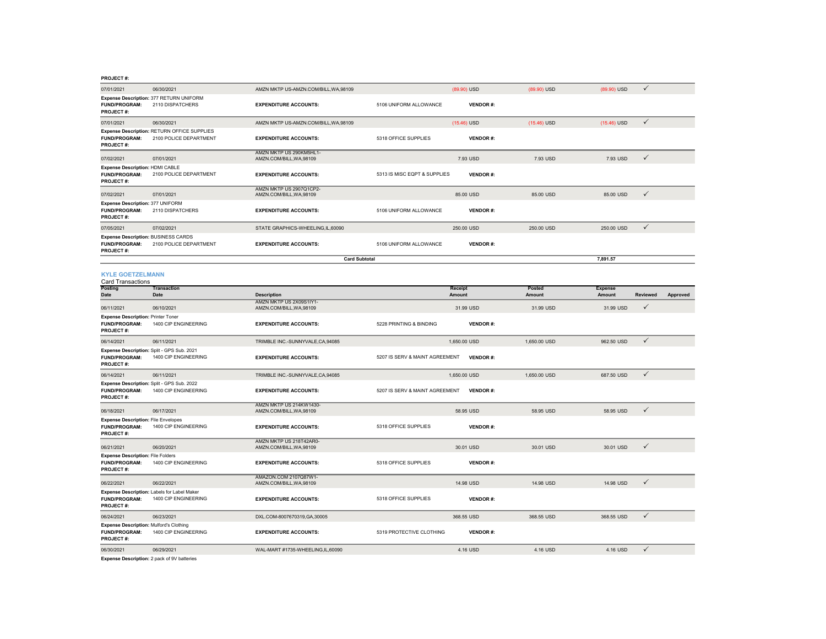| <b>PROJECT#</b> |  |
|-----------------|--|
|                 |  |

| 07/01/2021                                                                             | 06/30/2021                                                            | AMZN MKTP US-AMZN.COM/BILL, WA, 98109               |                                | (89.90) USD       | (89.90) USD             | (89.90) USD                     | $\checkmark$ |          |
|----------------------------------------------------------------------------------------|-----------------------------------------------------------------------|-----------------------------------------------------|--------------------------------|-------------------|-------------------------|---------------------------------|--------------|----------|
| <b>FUND/PROGRAM:</b><br>PROJECT#:                                                      | Expense Description: 377 RETURN UNIFORM<br>2110 DISPATCHERS           | <b>EXPENDITURE ACCOUNTS:</b>                        | 5106 UNIFORM ALLOWANCE         | <b>VENDOR#:</b>   |                         |                                 |              |          |
| 07/01/2021                                                                             | 06/30/2021                                                            | AMZN MKTP US-AMZN.COM/BILL, WA, 98109               |                                | $(15.46)$ USD     | $(15.46)$ USD           | $(15.46)$ USD                   | $\checkmark$ |          |
| FUND/PROGRAM:<br>PROJECT#:                                                             | Expense Description: RETURN OFFICE SUPPLIES<br>2100 POLICE DEPARTMENT | <b>EXPENDITURE ACCOUNTS:</b>                        | 5318 OFFICE SUPPLIES           | <b>VENDOR#:</b>   |                         |                                 |              |          |
| 07/02/2021                                                                             | 07/01/2021                                                            | AMZN MKTP US 290KM5HL1-<br>AMZN.COM/BILL, WA, 98109 |                                | 7.93 USD          | 7.93 USD                | 7.93 USD                        | $\checkmark$ |          |
| <b>Expense Description: HDMI CABLE</b><br>FUND/PROGRAM:<br>PROJECT#:                   | 2100 POLICE DEPARTMENT                                                | <b>EXPENDITURE ACCOUNTS:</b>                        | 5313 IS MISC EQPT & SUPPLIES   | <b>VENDOR#:</b>   |                         |                                 |              |          |
| 07/02/2021                                                                             | 07/01/2021                                                            | AMZN MKTP US 2907Q1CP2-<br>AMZN.COM/BILL, WA, 98109 |                                | 85,00 USD         | 85,00 USD               | 85.00 USD                       | $\checkmark$ |          |
| Expense Description: 377 UNIFORM<br>FUND/PROGRAM:<br>PROJECT#:                         | 2110 DISPATCHERS                                                      | <b>EXPENDITURE ACCOUNTS:</b>                        | 5106 UNIFORM ALLOWANCE         | <b>VENDOR#:</b>   |                         |                                 |              |          |
| 07/05/2021                                                                             | 07/02/2021                                                            | STATE GRAPHICS-WHEELING,IL,60090                    |                                | 250.00 USD        | 250.00 USD              | 250.00 USD                      | $\checkmark$ |          |
| <b>Expense Description: BUSINESS CARDS</b><br><b>FUND/PROGRAM:</b><br><b>PROJECT#:</b> | 2100 POLICE DEPARTMENT                                                | <b>EXPENDITURE ACCOUNTS:</b>                        | 5106 UNIFORM ALLOWANCE         | <b>VENDOR#:</b>   |                         |                                 |              |          |
|                                                                                        |                                                                       | <b>Card Subtotal</b>                                |                                |                   |                         | 7,891.57                        |              |          |
| <b>KYLE GOETZELMANN</b><br>Card Transactions                                           |                                                                       |                                                     |                                |                   |                         |                                 |              |          |
| Posting<br>Date                                                                        | <b>Transaction</b><br><b>Date</b>                                     | <b>Description</b>                                  |                                | Receipt<br>Amount | Posted<br><b>Amount</b> | <b>Expense</b><br><b>Amount</b> | Reviewed     | Approved |
| 06/11/2021                                                                             | 06/10/2021                                                            | AMZN MKTP US 2X09S1IY1-<br>AMZN.COM/BILL.WA.98109   |                                | 31.99 USD         | 31.99 USD               | 31.99 USD                       | ✓            |          |
| <b>Expense Description: Printer Toner</b><br>FUND/PROGRAM:<br>PROJECT#:                | 1400 CIP ENGINEERING                                                  | <b>EXPENDITURE ACCOUNTS:</b>                        | 5228 PRINTING & BINDING        | <b>VENDOR#:</b>   |                         |                                 |              |          |
| 06/14/2021                                                                             | 06/11/2021                                                            | TRIMBLE INC.-SUNNYVALE,CA,94085                     |                                | 1,650.00 USD      | 1,650.00 USD            | 962.50 USD                      | $\checkmark$ |          |
| <b>FUND/PROGRAM:</b><br>PROJECT#:                                                      | Expense Description: Split - GPS Sub. 2021<br>1400 CIP ENGINEERING    | <b>EXPENDITURE ACCOUNTS:</b>                        | 5207 IS SERV & MAINT AGREEMENT | <b>VENDOR#:</b>   |                         |                                 |              |          |
| 06/14/2021                                                                             | 06/11/2021                                                            | TRIMBLE INC.-SUNNYVALE, CA, 94085                   |                                | 1,650.00 USD      | 1,650.00 USD            | 687.50 USD                      | $\checkmark$ |          |
| <b>FUND/PROGRAM:</b><br>PROJECT#:                                                      | Expense Description: Split - GPS Sub. 2022<br>1400 CIP ENGINEERING    | <b>EXPENDITURE ACCOUNTS:</b>                        | 5207 IS SERV & MAINT AGREEMENT | <b>VENDOR#:</b>   |                         |                                 |              |          |
| 06/18/2021                                                                             | 06/17/2021                                                            | AMZN MKTP US 214KW1430-<br>AMZN.COM/BILL, WA, 98109 |                                | 58.95 USD         | 58.95 USD               | 58.95 USD                       | $\checkmark$ |          |
| <b>Expense Description: File Envelopes</b><br><b>FUND/PROGRAM:</b><br><b>PROJECT#:</b> | 1400 CIP ENGINEERING                                                  | <b>EXPENDITURE ACCOUNTS:</b>                        | 5318 OFFICE SUPPLIES           | <b>VENDOR#:</b>   |                         |                                 |              |          |
| 06/21/2021                                                                             | 06/20/2021                                                            | AMZN MKTP US 218T42AR0-<br>AMZN.COM/BILL, WA, 98109 |                                | 30.01 USD         | 30.01 USD               | 30.01 USD                       | $\checkmark$ |          |
| <b>Expense Description: File Folders</b><br>FUND/PROGRAM:<br>PROJECT#:                 | 1400 CIP ENGINEERING                                                  | <b>EXPENDITURE ACCOUNTS:</b>                        | 5318 OFFICE SUPPLIES           | <b>VENDOR#:</b>   |                         |                                 |              |          |
| 06/22/2021                                                                             | 06/22/2021                                                            | AMAZON.COM 2107Q87W1-<br>AMZN.COM/BILL, WA, 98109   |                                | 14.98 USD         | 14.98 USD               | 14.98 USD                       | $\checkmark$ |          |
| <b>FUND/PROGRAM:</b><br>PROJECT#:                                                      | Expense Description: Labels for Label Maker<br>1400 CIP ENGINEERING   | <b>EXPENDITURE ACCOUNTS:</b>                        | 5318 OFFICE SUPPLIES           | <b>VENDOR#:</b>   |                         |                                 |              |          |
| 06/24/2021                                                                             | 06/23/2021                                                            | DXL.COM-8007670319,GA,30005                         |                                | 368.55 USD        | 368.55 USD              | 368.55 USD                      | $\checkmark$ |          |
| <b>Expense Description: Mulford's Clothing</b><br><b>FUND/PROGRAM:</b><br>PROJECT#:    | 1400 CIP ENGINEERING                                                  | <b>EXPENDITURE ACCOUNTS:</b>                        | 5319 PROTECTIVE CLOTHING       | <b>VENDOR#:</b>   |                         |                                 |              |          |
| 06/30/2021                                                                             | 06/29/2021                                                            | WAL-MART #1735-WHEELING,IL,60090                    |                                | 4.16 USD          | 4.16 USD                | 4.16 USD                        | $\checkmark$ |          |

**Expense Description:** 2 pack of 9V batteries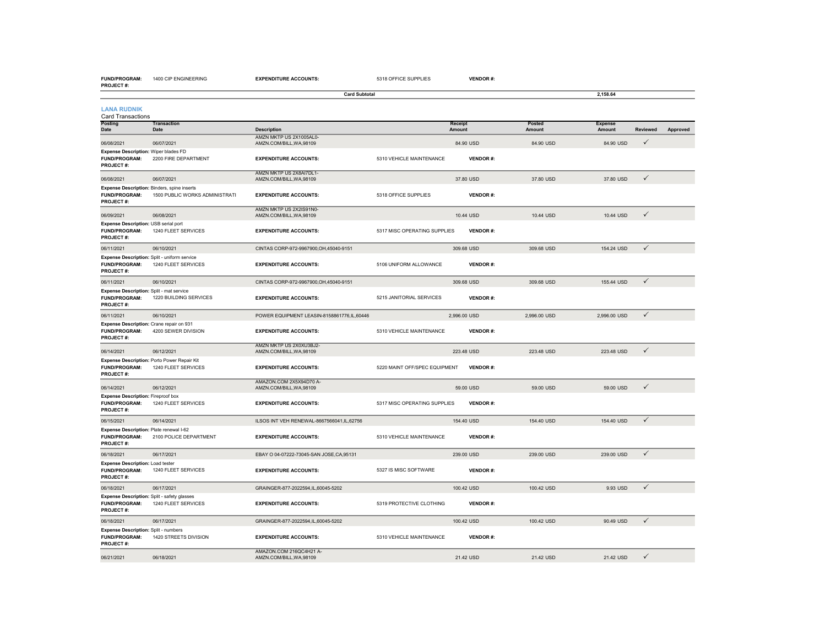| <b>PROJECT#:</b>                                                                    |                                                                     | <b>Card Subtotal</b>                                |                               |                   |                  | 2,158.64                 |              |          |
|-------------------------------------------------------------------------------------|---------------------------------------------------------------------|-----------------------------------------------------|-------------------------------|-------------------|------------------|--------------------------|--------------|----------|
| <b>LANA RUDNIK</b><br><b>Card Transactions</b>                                      |                                                                     |                                                     |                               |                   |                  |                          |              |          |
| <b>Posting</b><br>Date                                                              | <b>Transaction</b><br>Date                                          | <b>Description</b>                                  |                               | Receipt<br>Amount | Posted<br>Amount | <b>Expense</b><br>Amount | Reviewed     | Approved |
| 06/08/2021                                                                          | 06/07/2021                                                          | AMZN MKTP US 2X1005AL0-<br>AMZN.COM/BILL, WA, 98109 |                               | 84.90 USD         | 84.90 USD        | 84.90 USD                | ✓            |          |
| Expense Description: Wiper blades FD<br><b>FUND/PROGRAM:</b><br><b>PROJECT#:</b>    | 2200 FIRE DEPARTMENT                                                | <b>EXPENDITURE ACCOUNTS:</b>                        | 5310 VEHICLE MAINTENANCE      | <b>VENDOR#:</b>   |                  |                          |              |          |
| 06/08/2021                                                                          | 06/07/2021                                                          | AMZN MKTP US 2X8AI7DL1-<br>AMZN.COM/BILL, WA, 98109 |                               | 37.80 USD         | 37.80 USD        | 37.80 USD                | ✓            |          |
| Expense Description: Binders, spine inserts<br><b>FUND/PROGRAM:</b><br>PROJECT#:    | 1500 PUBLIC WORKS ADMINISTRATI                                      | <b>EXPENDITURE ACCOUNTS:</b>                        | 5318 OFFICE SUPPLIES          | <b>VENDOR#:</b>   |                  |                          |              |          |
| 06/09/2021                                                                          | 06/08/2021                                                          | AMZN MKTP US 2X2IS91N0-<br>AMZN.COM/BILL.WA.98109   |                               | 10.44 USD         | 10.44 USD        | 10.44 USD                | $\checkmark$ |          |
| Expense Description: USB serial port<br><b>FUND/PROGRAM:</b><br>PROJECT#:           | 1240 FLEET SERVICES                                                 | <b>EXPENDITURE ACCOUNTS:</b>                        | 5317 MISC OPERATING SUPPLIES  | <b>VENDOR#:</b>   |                  |                          |              |          |
| 06/11/2021                                                                          | 06/10/2021                                                          | CINTAS CORP-972-9967900, OH, 45040-9151             |                               | 309.68 USD        | 309.68 USD       | 154.24 USD               | $\checkmark$ |          |
| FUND/PROGRAM:<br>PROJECT#:                                                          | Expense Description: Split - uniform service<br>1240 FLEET SERVICES | <b>EXPENDITURE ACCOUNTS:</b>                        | 5106 UNIFORM ALLOWANCE        | <b>VENDOR#:</b>   |                  |                          |              |          |
| 06/11/2021                                                                          | 06/10/2021                                                          | CINTAS CORP-972-9967900, OH, 45040-9151             |                               | 309.68 USD        | 309.68 USD       | 155,44 USD               | $\checkmark$ |          |
| Expense Description: Split - mat service<br><b>FUND/PROGRAM:</b><br>PROJECT#:       | 1220 BUILDING SERVICES                                              | <b>EXPENDITURE ACCOUNTS:</b>                        | 5215 JANITORIAL SERVICES      | <b>VENDOR#:</b>   |                  |                          |              |          |
| 06/11/2021                                                                          | 06/10/2021                                                          | POWER EQUIPMENT LEASIN-8158861776,IL,60446          |                               | 2,996.00 USD      | 2,996.00 USD     | 2,996.00 USD             | $\checkmark$ |          |
| Expense Description: Crane repair on 931<br><b>FUND/PROGRAM:</b><br>PROJECT#:       | 4200 SEWER DIVISION                                                 | <b>EXPENDITURE ACCOUNTS:</b>                        | 5310 VEHICLE MAINTENANCE      | <b>VENDOR#:</b>   |                  |                          |              |          |
| 06/14/2021                                                                          | 06/12/2021                                                          | AMZN MKTP US 2X0XU3BJ2-<br>AMZN.COM/BILL, WA, 98109 |                               | 223.48 USD        | 223.48 USD       | 223.48 USD               | $\checkmark$ |          |
| <b>FUND/PROGRAM:</b><br>PROJECT#:                                                   | Expense Description: Porto Power Repair Kit<br>1240 FLEET SERVICES  | <b>EXPENDITURE ACCOUNTS:</b>                        | 5220 MAINT OFF/SPEC EQUIPMENT | <b>VENDOR#:</b>   |                  |                          |              |          |
| 06/14/2021                                                                          | 06/12/2021                                                          | AMAZON.COM 2X5X94D70 A-<br>AMZN.COM/BILL, WA, 98109 |                               | 59.00 USD         | 59.00 USD        | 59.00 USD                | $\checkmark$ |          |
| <b>Expense Description: Fireproof box</b><br>FUND/PROGRAM:<br>PROJECT#:             | 1240 FLEET SERVICES                                                 | <b>EXPENDITURE ACCOUNTS:</b>                        | 5317 MISC OPERATING SUPPLIES  | <b>VENDOR#:</b>   |                  |                          |              |          |
| 06/15/2021                                                                          | 06/14/2021                                                          | ILSOS INT VEH RENEWAL-8667566041,IL,62756           |                               | 154.40 USD        | 154.40 USD       | 154.40 USD               | $\checkmark$ |          |
| Expense Description: Plate renewal I-62<br><b>FUND/PROGRAM:</b><br><b>PROJECT#:</b> | 2100 POLICE DEPARTMENT                                              | <b>EXPENDITURE ACCOUNTS:</b>                        | 5310 VEHICLE MAINTENANCE      | <b>VENDOR#:</b>   |                  |                          |              |          |
| 06/18/2021                                                                          | 06/17/2021                                                          | EBAY O 04-07222-73045-SAN JOSE, CA, 95131           |                               | 239.00 USD        | 239.00 USD       | 239.00 USD               | $\checkmark$ |          |
| Expense Description: Load tester<br>FUND/PROGRAM:<br>PROJECT#:                      | 1240 FLEET SERVICES                                                 | <b>EXPENDITURE ACCOUNTS:</b>                        | 5327 IS MISC SOFTWARE         | <b>VENDOR#:</b>   |                  |                          |              |          |
| 06/18/2021                                                                          | 06/17/2021                                                          | GRAINGER-877-2022594,IL,60045-5202                  |                               | 100.42 USD        | 100.42 USD       | 9.93 USD                 | $\checkmark$ |          |
| Expense Description: Split - safety glasses<br><b>FUND/PROGRAM:</b><br>PROJECT#:    | 1240 FLEET SERVICES                                                 | <b>EXPENDITURE ACCOUNTS:</b>                        | 5319 PROTECTIVE CLOTHING      | <b>VENDOR#:</b>   |                  |                          |              |          |
| 06/18/2021                                                                          | 06/17/2021                                                          | GRAINGER-877-2022594,IL,60045-5202                  |                               | 100.42 USD        | 100.42 USD       | 90.49 USD                | $\checkmark$ |          |
| Expense Description: Split - numbers<br>FUND/PROGRAM:<br><b>PROJECT#:</b>           | 1420 STREETS DIVISION                                               | <b>EXPENDITURE ACCOUNTS:</b>                        | 5310 VEHICLE MAINTENANCE      | <b>VENDOR#:</b>   |                  |                          |              |          |
| 06/21/2021                                                                          | 06/18/2021                                                          | AMAZON.COM 216QC4H21 A-<br>AMZN.COM/BILL.WA.98109   |                               | 21.42 USD         | 21.42 USD        | 21.42 USD                | ✓            |          |

**EXPENDITURE ACCOUNTS:** 5318 OFFICE SUPPLIES **VENDOR #:**

**FUND/PROGRAM:** 1400 CIP ENGINEERING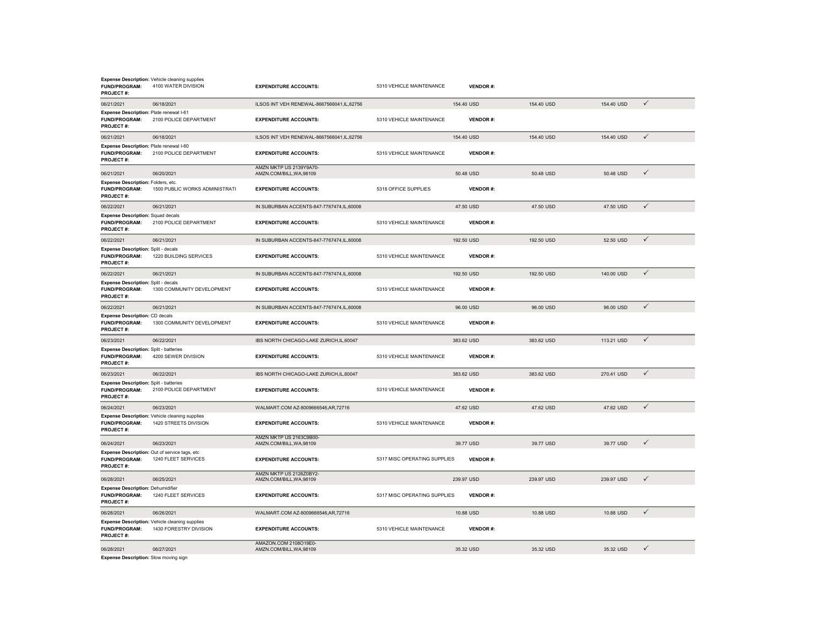| <b>FUND/PROGRAM:</b><br><b>PROJECT#:</b>                                               | <b>Expense Description:</b> Vehicle cleaning supplies<br>4100 WATER DIVISION | <b>EXPENDITURE ACCOUNTS:</b>                        | 5310 VEHICLE MAINTENANCE     | <b>VENDOR#:</b> |            |            |              |
|----------------------------------------------------------------------------------------|------------------------------------------------------------------------------|-----------------------------------------------------|------------------------------|-----------------|------------|------------|--------------|
| 06/21/2021                                                                             | 06/18/2021                                                                   | ILSOS INT VEH RENEWAL-8667566041,IL,62756           |                              | 154.40 USD      | 154.40 USD | 154.40 USD | $\checkmark$ |
| Expense Description: Plate renewal I-61<br><b>FUND/PROGRAM:</b><br><b>PROJECT#:</b>    | 2100 POLICE DEPARTMENT                                                       | <b>EXPENDITURE ACCOUNTS:</b>                        | 5310 VEHICLE MAINTENANCE     | <b>VENDOR#:</b> |            |            |              |
| 06/21/2021                                                                             | 06/18/2021                                                                   | ILSOS INT VEH RENEWAL-8667566041,IL,62756           |                              | 154.40 USD      | 154.40 USD | 154.40 USD | $\checkmark$ |
| Expense Description: Plate renewal I-60<br><b>FUND/PROGRAM:</b><br><b>PROJECT#:</b>    | 2100 POLICE DEPARTMENT                                                       | <b>EXPENDITURE ACCOUNTS:</b>                        | 5310 VEHICLE MAINTENANCE     | <b>VENDOR#:</b> |            |            |              |
| 06/21/2021                                                                             | 06/20/2021                                                                   | AMZN MKTP US 2139Y9A70-<br>AMZN.COM/BILL, WA, 98109 |                              | 50.48 USD       | 50.48 USD  | 50.48 USD  | $\checkmark$ |
| Expense Description: Folders, etc.<br><b>FUND/PROGRAM:</b><br><b>PROJECT#:</b>         | 1500 PUBLIC WORKS ADMINISTRATI                                               | <b>EXPENDITURE ACCOUNTS:</b>                        | 5318 OFFICE SUPPLIES         | <b>VENDOR#:</b> |            |            |              |
| 06/22/2021                                                                             | 06/21/2021                                                                   | IN SUBURBAN ACCENTS-847-7767474,IL,60008            |                              | 47.50 USD       | 47.50 USD  | 47.50 USD  | $\checkmark$ |
| <b>Expense Description: Squad decals</b><br>FUND/PROGRAM:<br><b>PROJECT#:</b>          | 2100 POLICE DEPARTMENT                                                       | <b>EXPENDITURE ACCOUNTS:</b>                        | 5310 VEHICLE MAINTENANCE     | <b>VENDOR#:</b> |            |            |              |
| 06/22/2021                                                                             | 06/21/2021                                                                   | IN SUBURBAN ACCENTS-847-7767474,IL,60008            |                              | 192.50 USD      | 192.50 USD | 52.50 USD  | $\checkmark$ |
| Expense Description: Split - decals<br>FUND/PROGRAM:<br>PROJECT#:                      | 1220 BUILDING SERVICES                                                       | <b>EXPENDITURE ACCOUNTS:</b>                        | 5310 VEHICLE MAINTENANCE     | <b>VENDOR#:</b> |            |            |              |
| 06/22/2021                                                                             | 06/21/2021                                                                   | IN SUBURBAN ACCENTS-847-7767474,IL,60008            |                              | 192.50 USD      | 192.50 USD | 140.00 USD | $\checkmark$ |
| <b>Expense Description: Split - decals</b><br><b>FUND/PROGRAM:</b><br><b>PROJECT#:</b> | 1300 COMMUNITY DEVELOPMENT                                                   | <b>EXPENDITURE ACCOUNTS:</b>                        | 5310 VEHICLE MAINTENANCE     | <b>VENDOR#:</b> |            |            |              |
| 06/22/2021                                                                             | 06/21/2021                                                                   | IN SUBURBAN ACCENTS-847-7767474,IL,60008            |                              | 96.00 USD       | 96.00 USD  | 96.00 USD  | $\checkmark$ |
| <b>Expense Description: CD decals</b><br><b>FUND/PROGRAM:</b><br><b>PROJECT#:</b>      | 1300 COMMUNITY DEVELOPMENT                                                   | <b>EXPENDITURE ACCOUNTS:</b>                        | 5310 VEHICLE MAINTENANCE     | <b>VENDOR#:</b> |            |            |              |
| 06/23/2021                                                                             | 06/22/2021                                                                   | IBS NORTH CHICAGO-LAKE ZURICH,IL,60047              |                              | 383.62 USD      | 383.62 USD | 113.21 USD | $\checkmark$ |
| <b>Expense Description: Split - batteries</b><br><b>FUND/PROGRAM:</b><br>PROJECT#:     | 4200 SEWER DIVISION                                                          | <b>EXPENDITURE ACCOUNTS:</b>                        | 5310 VEHICLE MAINTENANCE     | <b>VENDOR#:</b> |            |            |              |
| 06/23/2021                                                                             | 06/22/2021                                                                   | IBS NORTH CHICAGO-LAKE ZURICH.IL.60047              |                              | 383.62 USD      | 383.62 USD | 270.41 USD | $\checkmark$ |
| <b>Expense Description: Split - batteries</b><br>FUND/PROGRAM:<br><b>PROJECT#:</b>     | 2100 POLICE DEPARTMENT                                                       | <b>EXPENDITURE ACCOUNTS:</b>                        | 5310 VEHICLE MAINTENANCE     | <b>VENDOR#:</b> |            |            |              |
| 06/24/2021                                                                             | 06/23/2021                                                                   | WALMART.COM AZ-8009666546,AR,72716                  |                              | 47.62 USD       | 47.62 USD  | 47.62 USD  | $\checkmark$ |
| FUND/PROGRAM:<br>PROJECT#:                                                             | Expense Description: Vehicle cleaning supplies<br>1420 STREETS DIVISION      | <b>EXPENDITURE ACCOUNTS:</b>                        | 5310 VEHICLE MAINTENANCE     | <b>VENDOR#:</b> |            |            |              |
| 06/24/2021                                                                             | 06/23/2021                                                                   | AMZN MKTP US 2163C9B00-<br>AMZN.COM/BILL, WA, 98109 |                              | 39.77 USD       | 39.77 USD  | 39.77 USD  | $\checkmark$ |
| Expense Description: Out of service tags, etc<br><b>FUND/PROGRAM:</b><br>PROJECT#:     | 1240 FLEET SERVICES                                                          | <b>EXPENDITURE ACCOUNTS:</b>                        | 5317 MISC OPERATING SUPPLIES | <b>VENDOR#:</b> |            |            |              |
| 06/28/2021                                                                             | 06/25/2021                                                                   | AMZN MKTP US 2126Z0BY2-<br>AMZN.COM/BILL, WA, 98109 |                              | 239.97 USD      | 239.97 USD | 239.97 USD | $\checkmark$ |
| <b>Expense Description: Dehumidifier</b><br><b>FUND/PROGRAM:</b><br><b>PROJECT#:</b>   | 1240 FLEET SERVICES                                                          | <b>EXPENDITURE ACCOUNTS:</b>                        | 5317 MISC OPERATING SUPPLIES | <b>VENDOR#:</b> |            |            |              |
| 06/28/2021                                                                             | 06/26/2021                                                                   | WALMART.COM AZ-8009666546.AR.72716                  |                              | 10.88 USD       | 10.88 USD  | 10.88 USD  | $\checkmark$ |
| <b>FUND/PROGRAM:</b><br><b>PROJECT#:</b>                                               | Expense Description: Vehicle cleaning supplies<br>1430 FORESTRY DIVISION     | <b>EXPENDITURE ACCOUNTS:</b>                        | 5310 VEHICLE MAINTENANCE     | <b>VENDOR#:</b> |            |            |              |
| 06/28/2021                                                                             | 06/27/2021                                                                   | AMAZON.COM 2108O19E0-<br>AMZN.COM/BILL, WA, 98109   |                              | 35.32 USD       | 35.32 USD  | 35.32 USD  | ✓            |

**Expense Description:** Slow moving sign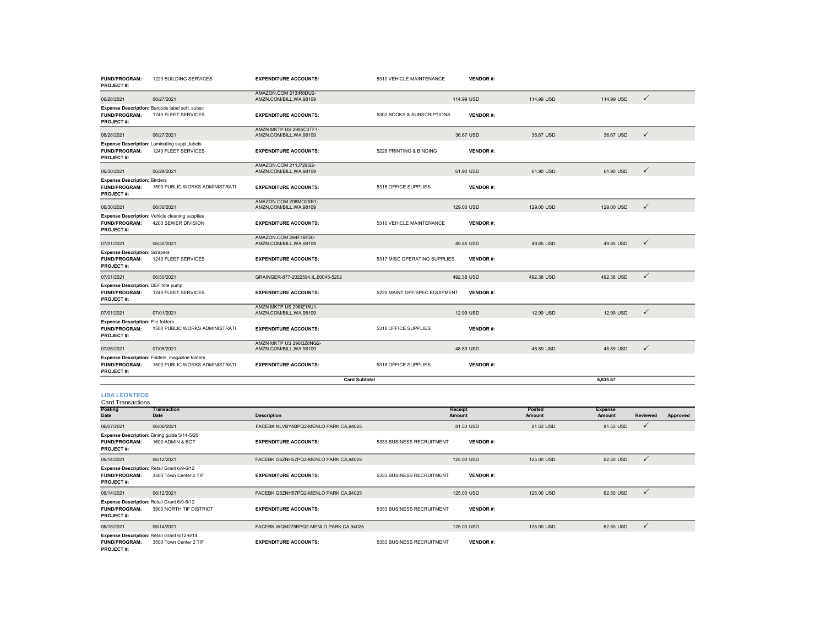| <b>FUND/PROGRAM:</b><br><b>PROJECT#:</b>                                             | 1220 BUILDING SERVICES                                                           | <b>EXPENDITURE ACCOUNTS:</b>                        | 5310 VEHICLE MAINTENANCE      | <b>VENDOR#:</b>   |                  |                          |              |          |
|--------------------------------------------------------------------------------------|----------------------------------------------------------------------------------|-----------------------------------------------------|-------------------------------|-------------------|------------------|--------------------------|--------------|----------|
| 06/28/2021                                                                           | 06/27/2021                                                                       | AMAZON.COM 213IR8DU2-<br>AMZN.COM/BILL, WA, 98109   |                               | 114.99 USD        | 114.99 USD       | 114.99 USD               | $\checkmark$ |          |
| <b>FUND/PROGRAM:</b><br><b>PROJECT#:</b>                                             | Expense Description: Barcode label soft. subsc<br>1240 FLEET SERVICES            | <b>EXPENDITURE ACCOUNTS:</b>                        | 5302 BOOKS & SUBSCRIPTIONS    | <b>VENDOR#:</b>   |                  |                          |              |          |
| 06/28/2021                                                                           | 06/27/2021                                                                       | AMZN MKTP US 2985C3TF1-<br>AMZN.COM/BILL, WA, 98109 |                               | 36.67 USD         | 36.67 USD        | 36.67 USD                | $\checkmark$ |          |
| FUND/PROGRAM:<br><b>PROJECT#:</b>                                                    | Expense Description: Laminating suppl., labels<br>1240 FLEET SERVICES            | <b>EXPENDITURE ACCOUNTS:</b>                        | 5228 PRINTING & BINDING       | <b>VENDOR#:</b>   |                  |                          |              |          |
| 06/30/2021                                                                           | 06/29/2021                                                                       | AMAZON.COM 211J729G2-<br>AMZN.COM/BILL, WA, 98109   |                               | 61.90 USD         | 61.90 USD        | 61.90 USD                | $\checkmark$ |          |
| <b>Expense Description: Binders</b><br>FUND/PROGRAM:<br><b>PROJECT#:</b>             | 1500 PUBLIC WORKS ADMINISTRATI                                                   | <b>EXPENDITURE ACCOUNTS:</b>                        | 5318 OFFICE SUPPLIES          | <b>VENDOR#:</b>   |                  |                          |              |          |
| 06/30/2021                                                                           | 06/30/2021                                                                       | AMAZON.COM 298MO2XB1-<br>AMZN.COM/BILL, WA, 98109   |                               | 129.00 USD        | 129.00 USD       | 129.00 USD               | $\checkmark$ |          |
| FUND/PROGRAM:<br><b>PROJECT#:</b>                                                    | Expense Description: Vehicle cleaning supplies<br>4200 SEWER DIVISION            | <b>EXPENDITURE ACCOUNTS:</b>                        | 5310 VEHICLE MAINTENANCE      | <b>VENDOR#:</b>   |                  |                          |              |          |
| 07/01/2021                                                                           | 06/30/2021                                                                       | AMAZON.COM 294F18F20-<br>AMZN.COM/BILL, WA, 98109   |                               | 49.85 USD         | 49.85 USD        | 49.85 USD                | $\checkmark$ |          |
| <b>Expense Description: Scrapers</b><br>FUND/PROGRAM:<br><b>PROJECT#:</b>            | 1240 FLEET SERVICES                                                              | <b>EXPENDITURE ACCOUNTS:</b>                        | 5317 MISC OPERATING SUPPLIES  | <b>VENDOR#:</b>   |                  |                          |              |          |
| 07/01/2021                                                                           | 06/30/2021                                                                       | GRAINGER-877-2022594,IL,60045-5202                  |                               | 492.38 USD        | 492.38 USD       | 492.38 USD               | $\checkmark$ |          |
| Expense Description: DEF tote pump<br>FUND/PROGRAM:<br><b>PROJECT#:</b>              | 1240 FLEET SERVICES                                                              | <b>EXPENDITURE ACCOUNTS:</b>                        | 5220 MAINT OFF/SPEC EQUIPMENT | <b>VENDOR#:</b>   |                  |                          |              |          |
| 07/01/2021                                                                           | 07/01/2021                                                                       | AMZN MKTP US 296IZ15U1-<br>AMZN.COM/BILL, WA, 98109 |                               | 12.99 USD         | 12.99 USD        | 12.99 USD                | $\checkmark$ |          |
| <b>Expense Description: File folders</b><br><b>FUND/PROGRAM:</b><br><b>PROJECT#:</b> | 1500 PUBLIC WORKS ADMINISTRATI                                                   | <b>EXPENDITURE ACCOUNTS:</b>                        | 5318 OFFICE SUPPLIES          | <b>VENDOR#:</b>   |                  |                          |              |          |
| 07/05/2021                                                                           | 07/05/2021                                                                       | AMZN MKTP US 296QZ8NG2-<br>AMZN.COM/BILL.WA.98109   |                               | 48.89 USD         | 48.89 USD        | 48.89 USD                | $\checkmark$ |          |
| FUND/PROGRAM:<br><b>PROJECT#:</b>                                                    | Expense Description: Folders, magazine folders<br>1500 PUBLIC WORKS ADMINISTRATI | <b>EXPENDITURE ACCOUNTS:</b>                        | 5318 OFFICE SUPPLIES          | <b>VENDOR#:</b>   |                  |                          |              |          |
|                                                                                      |                                                                                  | <b>Card Subtotal</b>                                |                               |                   |                  | 6,635.67                 |              |          |
| <b>LISA LEONTEOS</b><br><b>Card Transactions</b>                                     |                                                                                  |                                                     |                               |                   |                  |                          |              |          |
| <b>Posting</b><br>Date                                                               | <b>Transaction</b><br>Date                                                       | <b>Description</b>                                  |                               | Receipt<br>Amount | Posted<br>Amount | <b>Expense</b><br>Amount | Reviewed     | Approved |
| 06/07/2021                                                                           | 06/06/2021                                                                       | FACEBK NLVBY4BPQ2-MENLO PARK,CA,94025               |                               | 81.53 USD         | 81.53 USD        | 81.53 USD                | ✓            |          |
| FUND/PROGRAM:<br><b>PROJECT#:</b>                                                    | Expense Description: Dining guide 5/14-5/20<br>1600 ADMIN & BOT                  | <b>EXPENDITURE ACCOUNTS:</b>                        | 5333 BUSINESS RECRUITMENT     | <b>VENDOR#:</b>   |                  |                          |              |          |
| 06/14/2021                                                                           | 06/12/2021                                                                       | FACEBK G6ZNH57PQ2-MENLO PARK,CA,94025               |                               | 125.00 USD        | 125.00 USD       | 62.50 USD                | $\checkmark$ |          |
| Expense Description: Retail Grant 6/9-6/12<br>FUND/PROGRAM:<br><b>PROJECT#:</b>      | 3500 Town Center 2 TIF                                                           | <b>EXPENDITURE ACCOUNTS:</b>                        | 5333 BUSINESS RECRUITMENT     | <b>VENDOR#:</b>   |                  |                          |              |          |
| 06/14/2021                                                                           | 06/12/2021                                                                       | FACEBK G6ZNH57PQ2-MENLO PARK,CA,94025               |                               | 125.00 USD        | 125.00 USD       | 62.50 USD                | ✓            |          |

**FUND/PROGRAM:** 3900 NORTH TIF DISTRICT**PROJECT #: EXPENDITURE ACCOUNTS:** 5333 BUSINESS RECRUITMENT **VENDOR #:** 06/15/2021 06/14/2021 FACEBK WQM275BPQ2-MENLO PARK,CA,94025 125.00 USD 125.00 USD 62.50 USD **Expense Description:** Retail Grant 6/9-6/12 **Expense Description:** Retail Grant 6/12-6/14

**FUND/PROGRAM:** 3500 Town Center 2 TIF**EXPENDITURE ACCOUNTS:** 5333 BUSINESS RECRUITMENT **VENDOR #:**

**PROJECT #:**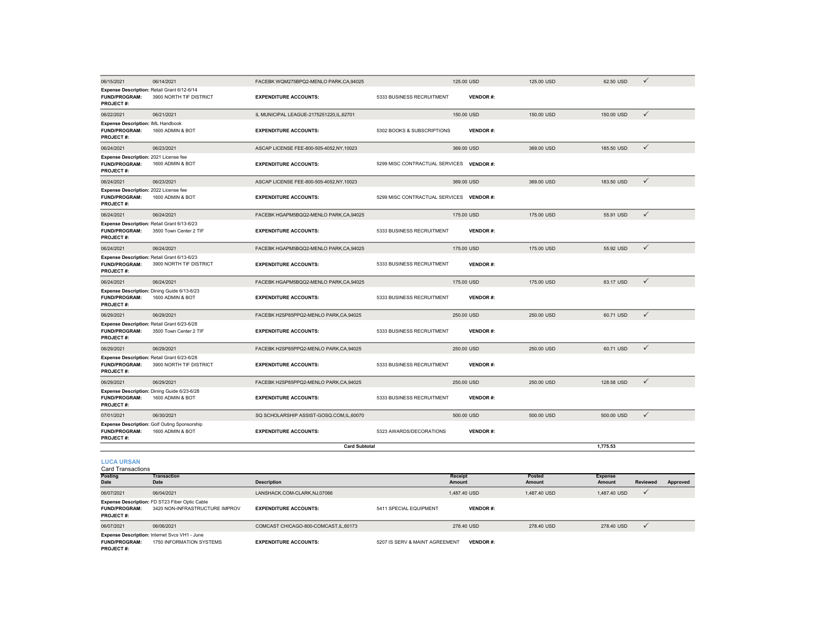| 06/15/2021                                                                              | 06/14/2021                                                       | FACEBK WQM275BPQ2-MENLO PARK,CA,94025   |                                | 125.00 USD      | 125.00 USD | 62.50 USD      | $\checkmark$ |
|-----------------------------------------------------------------------------------------|------------------------------------------------------------------|-----------------------------------------|--------------------------------|-----------------|------------|----------------|--------------|
| Expense Description: Retail Grant 6/12-6/14<br><b>FUND/PROGRAM:</b><br><b>PROJECT#:</b> | 3900 NORTH TIF DISTRICT                                          | <b>EXPENDITURE ACCOUNTS:</b>            | 5333 BUSINESS RECRUITMENT      | <b>VENDOR#:</b> |            |                |              |
| 06/22/2021                                                                              | 06/21/2021                                                       | IL MUNICIPAL LEAGUE-2175251220,IL,62701 |                                | 150.00 USD      | 150.00 USD | 150.00 USD     | $\checkmark$ |
| Expense Description: IML Handbook<br><b>FUND/PROGRAM:</b><br><b>PROJECT#:</b>           | 1600 ADMIN & BOT                                                 | <b>EXPENDITURE ACCOUNTS:</b>            | 5302 BOOKS & SUBSCRIPTIONS     | <b>VENDOR#:</b> |            |                |              |
| 06/24/2021                                                                              | 06/23/2021                                                       | ASCAP LICENSE FEE-800-505-4052,NY,10023 |                                | 369.00 USD      | 369.00 USD | 185,50 USD     | $\checkmark$ |
| Expense Description: 2021 License fee<br><b>FUND/PROGRAM:</b><br><b>PROJECT#:</b>       | 1600 ADMIN & BOT                                                 | <b>EXPENDITURE ACCOUNTS:</b>            | 5299 MISC CONTRACTUAL SERVICES | <b>VENDOR#:</b> |            |                |              |
| 06/24/2021                                                                              | 06/23/2021                                                       | ASCAP LICENSE FEE-800-505-4052,NY,10023 |                                | 369.00 USD      | 369.00 USD | 183.50 USD     | $\checkmark$ |
| Expense Description: 2022 License fee<br><b>FUND/PROGRAM:</b><br><b>PROJECT#:</b>       | 1600 ADMIN & BOT                                                 | <b>EXPENDITURE ACCOUNTS:</b>            | 5299 MISC CONTRACTUAL SERVICES | <b>VENDOR#:</b> |            |                |              |
| 06/24/2021                                                                              | 06/24/2021                                                       | FACEBK HGAPM5BQQ2-MENLO PARK,CA,94025   |                                | 175.00 USD      | 175.00 USD | 55.91 USD      | $\checkmark$ |
| Expense Description: Retail Grant 6/13-6/23<br><b>FUND/PROGRAM:</b><br><b>PROJECT#:</b> | 3500 Town Center 2 TIF                                           | <b>EXPENDITURE ACCOUNTS:</b>            | 5333 BUSINESS RECRUITMENT      | <b>VENDOR#:</b> |            |                |              |
| 06/24/2021                                                                              | 06/24/2021                                                       | FACEBK HGAPM5BQQ2-MENLO PARK.CA.94025   |                                | 175,00 USD      | 175,00 USD | 55.92 USD      | $\checkmark$ |
| Expense Description: Retail Grant 6/13-6/23<br><b>FUND/PROGRAM:</b><br><b>PROJECT#:</b> | 3900 NORTH TIF DISTRICT                                          | <b>EXPENDITURE ACCOUNTS:</b>            | 5333 BUSINESS RECRUITMENT      | <b>VENDOR#:</b> |            |                |              |
| 06/24/2021                                                                              | 06/24/2021                                                       | FACEBK HGAPM5BQQ2-MENLO PARK,CA,94025   |                                | 175.00 USD      | 175.00 USD | 63.17 USD      | $\checkmark$ |
| <b>FUND/PROGRAM:</b><br><b>PROJECT#:</b>                                                | Expense Description: Dining Guide 6/13-6/23<br>1600 ADMIN & BOT  | <b>EXPENDITURE ACCOUNTS:</b>            | 5333 BUSINESS RECRUITMENT      | <b>VENDOR#:</b> |            |                |              |
| 06/29/2021                                                                              | 06/29/2021                                                       | FACEBK H2SP85PPQ2-MENLO PARK,CA,94025   |                                | 250.00 USD      | 250.00 USD | 60.71 USD      | $\checkmark$ |
| Expense Description: Retail Grant 6/23-6/28<br><b>FUND/PROGRAM:</b><br><b>PROJECT#:</b> | 3500 Town Center 2 TIF                                           | <b>EXPENDITURE ACCOUNTS:</b>            | 5333 BUSINESS RECRUITMENT      | <b>VENDOR#:</b> |            |                |              |
| 06/29/2021                                                                              | 06/29/2021                                                       | FACEBK H2SP85PPQ2-MENLO PARK,CA,94025   |                                | 250.00 USD      | 250.00 USD | 60.71 USD      | $\checkmark$ |
| Expense Description: Retail Grant 6/23-6/28<br><b>FUND/PROGRAM:</b><br><b>PROJECT#:</b> | 3900 NORTH TIF DISTRICT                                          | <b>EXPENDITURE ACCOUNTS:</b>            | 5333 BUSINESS RECRUITMENT      | <b>VENDOR#:</b> |            |                |              |
| 06/29/2021                                                                              | 06/29/2021                                                       | FACEBK H2SP85PPQ2-MENLO PARK.CA.94025   |                                | 250.00 USD      | 250.00 USD | 128,58 USD     | $\checkmark$ |
| Expense Description: Dining Guide 6/23-6/28<br><b>FUND/PROGRAM:</b><br>PROJECT#:        | 1600 ADMIN & BOT                                                 | <b>EXPENDITURE ACCOUNTS:</b>            | 5333 BUSINESS RECRUITMENT      | <b>VENDOR#:</b> |            |                |              |
| 07/01/2021                                                                              | 06/30/2021                                                       | SQ SCHOLARSHIP ASSIST-GOSQ.COM,IL,60070 |                                | 500.00 USD      | 500.00 USD | 500.00 USD     | $\checkmark$ |
| <b>FUND/PROGRAM:</b><br><b>PROJECT#:</b>                                                | Expense Description: Golf Outing Sponsorship<br>1600 ADMIN & BOT | <b>EXPENDITURE ACCOUNTS:</b>            | 5323 AWARDS/DECORATIONS        | <b>VENDOR#:</b> |            |                |              |
|                                                                                         |                                                                  | <b>Card Subtotal</b>                    |                                |                 |            | 1,775.53       |              |
| <b>LUCA URSAN</b><br>Card Transactions                                                  |                                                                  |                                         |                                |                 |            |                |              |
| Posting                                                                                 | Transaction                                                      |                                         |                                | Receipt         | Posted     | <b>Expense</b> |              |

**Posting Date Trans Description Receipt Amount Posted Amount Expense Amount Reviewed Approved** 06/07/2021 06/04/2021 LANSHACK.COM-CLARK,NJ,07066 1,487.40 USD 1,487.40 USD 1,487.40 USD **Expense Description:** FD ST23 Fiber Optic Cable<br>**FUND/PROGRAM:** 3420 NON-INFRASTRUCTURE IMPROV **EXPENDITURE ACCOUNTS:** 5411 SPECIAL EQUIPMENT **VENDOR #: PROJECT #:** 06/07/2021 06/06/2021 COMCAST CHICAGO-800-COMCAST,IL,60173 278.40 USD 278.40 USD 278.40 USD **Expense Description:** Internet Svcs VH1 - June<br>**FUND/PROGRAM:** 1750 INFORMATION SYSTEMS **EXPENDITURE ACCOUNTS:** 5207 IS SERV & MAINT AGREEMENT **VENDOR** #: **PROJECT #:**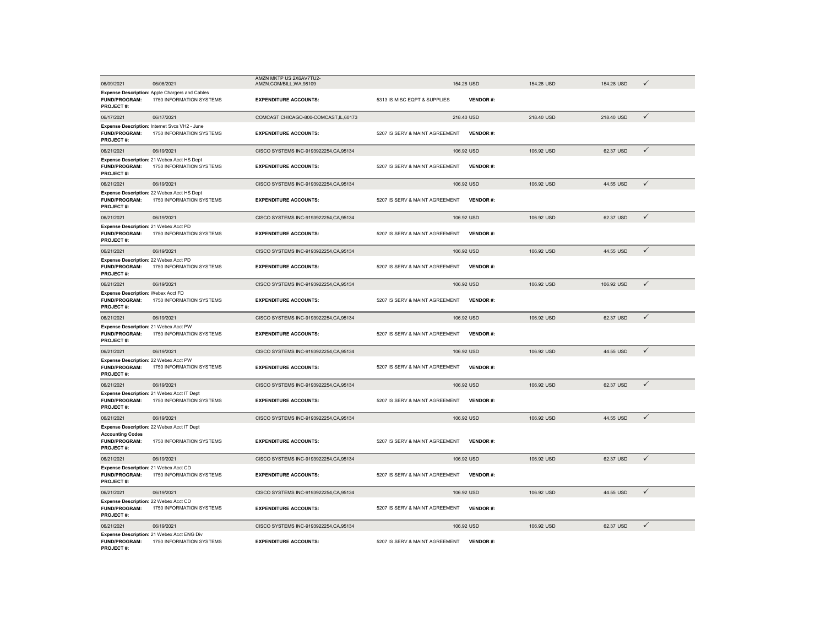| 06/09/2021                                                                 | 06/08/2021                                                                 | AMZN MKTP US 2X6AV7TU2-<br>AMZN.COM/BILL, WA, 98109 |                                | 154.28 USD      | 154.28 USD | 154.28 USD | $\checkmark$ |
|----------------------------------------------------------------------------|----------------------------------------------------------------------------|-----------------------------------------------------|--------------------------------|-----------------|------------|------------|--------------|
| FUND/PROGRAM:<br>PROJECT#:                                                 | Expense Description: Apple Chargers and Cables<br>1750 INFORMATION SYSTEMS | <b>EXPENDITURE ACCOUNTS:</b>                        | 5313 IS MISC EQPT & SUPPLIES   | <b>VENDOR#:</b> |            |            |              |
| 06/17/2021                                                                 | 06/17/2021                                                                 | COMCAST CHICAGO-800-COMCAST, IL, 60173              |                                | 218.40 USD      | 218.40 USD | 218.40 USD | $\checkmark$ |
| <b>FUND/PROGRAM:</b><br><b>PROJECT#:</b>                                   | Expense Description: Internet Svcs VH2 - June<br>1750 INFORMATION SYSTEMS  | <b>EXPENDITURE ACCOUNTS:</b>                        | 5207 IS SERV & MAINT AGREEMENT | VENDOR#:        |            |            |              |
| 06/21/2021                                                                 | 06/19/2021                                                                 | CISCO SYSTEMS INC-9193922254, CA, 95134             |                                | 106.92 USD      | 106.92 USD | 62.37 USD  | $\checkmark$ |
| <b>FUND/PROGRAM:</b><br><b>PROJECT#:</b>                                   | Expense Description: 21 Webex Acct HS Dept<br>1750 INFORMATION SYSTEMS     | <b>EXPENDITURE ACCOUNTS:</b>                        | 5207 IS SERV & MAINT AGREEMENT | <b>VENDOR#:</b> |            |            |              |
| 06/21/2021                                                                 | 06/19/2021                                                                 | CISCO SYSTEMS INC-9193922254, CA, 95134             |                                | 106.92 USD      | 106.92 USD | 44.55 USD  | $\checkmark$ |
| FUND/PROGRAM:<br><b>PROJECT#:</b>                                          | Expense Description: 22 Webex Acct HS Dept<br>1750 INFORMATION SYSTEMS     | <b>EXPENDITURE ACCOUNTS:</b>                        | 5207 IS SERV & MAINT AGREEMENT | <b>VENDOR#:</b> |            |            |              |
| 06/21/2021                                                                 | 06/19/2021                                                                 | CISCO SYSTEMS INC-9193922254, CA, 95134             |                                | 106.92 USD      | 106.92 USD | 62.37 USD  | $\checkmark$ |
| Expense Description: 21 Webex Acct PD<br><b>FUND/PROGRAM:</b><br>PROJECT#: | 1750 INFORMATION SYSTEMS                                                   | <b>EXPENDITURE ACCOUNTS:</b>                        | 5207 IS SERV & MAINT AGREEMENT | <b>VENDOR#:</b> |            |            |              |
| 06/21/2021                                                                 | 06/19/2021                                                                 | CISCO SYSTEMS INC-9193922254, CA, 95134             |                                | 106.92 USD      | 106.92 USD | 44.55 USD  | $\checkmark$ |
| Expense Description: 22 Webex Acct PD<br>FUND/PROGRAM:<br><b>PROJECT#:</b> | 1750 INFORMATION SYSTEMS                                                   | <b>EXPENDITURE ACCOUNTS:</b>                        | 5207 IS SERV & MAINT AGREEMENT | <b>VENDOR#:</b> |            |            |              |
| 06/21/2021                                                                 | 06/19/2021                                                                 | CISCO SYSTEMS INC-9193922254, CA, 95134             |                                | 106.92 USD      | 106.92 USD | 106.92 USD | $\checkmark$ |
| Expense Description: Webex Acct FD<br>FUND/PROGRAM:<br>PROJECT#:           | 1750 INFORMATION SYSTEMS                                                   | <b>EXPENDITURE ACCOUNTS:</b>                        | 5207 IS SERV & MAINT AGREEMENT | <b>VENDOR#:</b> |            |            |              |
| 06/21/2021                                                                 | 06/19/2021                                                                 | CISCO SYSTEMS INC-9193922254, CA, 95134             |                                | 106.92 USD      | 106.92 USD | 62.37 USD  | $\checkmark$ |
| Expense Description: 21 Webex Acct PW<br><b>FUND/PROGRAM:</b><br>PROJECT#: | 1750 INFORMATION SYSTEMS                                                   | <b>EXPENDITURE ACCOUNTS:</b>                        | 5207 IS SERV & MAINT AGREEMENT | <b>VENDOR#:</b> |            |            |              |
| 06/21/2021                                                                 | 06/19/2021                                                                 | CISCO SYSTEMS INC-9193922254, CA, 95134             |                                | 106.92 USD      | 106.92 USD | 44.55 USD  | $\checkmark$ |
| Expense Description: 22 Webex Acct PW<br>FUND/PROGRAM:<br><b>PROJECT#:</b> | 1750 INFORMATION SYSTEMS                                                   | <b>EXPENDITURE ACCOUNTS:</b>                        | 5207 IS SERV & MAINT AGREEMENT | <b>VENDOR#:</b> |            |            |              |
| 06/21/2021                                                                 | 06/19/2021                                                                 | CISCO SYSTEMS INC-9193922254, CA, 95134             |                                | 106.92 USD      | 106.92 USD | 62.37 USD  | $\checkmark$ |
| <b>FUND/PROGRAM:</b><br>PROJECT#:                                          | Expense Description: 21 Webex Acct IT Dept<br>1750 INFORMATION SYSTEMS     | <b>EXPENDITURE ACCOUNTS:</b>                        | 5207 IS SERV & MAINT AGREEMENT | <b>VENDOR#:</b> |            |            |              |
| 06/21/2021                                                                 | 06/19/2021                                                                 | CISCO SYSTEMS INC-9193922254, CA, 95134             |                                | 106.92 USD      | 106.92 USD | 44.55 USD  | $\checkmark$ |
| <b>Accounting Codes</b><br><b>FUND/PROGRAM:</b><br><b>PROJECT#:</b>        | Expense Description: 22 Webex Acct IT Dept<br>1750 INFORMATION SYSTEMS     | <b>EXPENDITURE ACCOUNTS:</b>                        | 5207 IS SERV & MAINT AGREEMENT | <b>VENDOR#:</b> |            |            |              |
| 06/21/2021                                                                 | 06/19/2021                                                                 | CISCO SYSTEMS INC-9193922254, CA, 95134             |                                | 106.92 USD      | 106.92 USD | 62.37 USD  | $\checkmark$ |
| Expense Description: 21 Webex Acct CD<br>FUND/PROGRAM:<br>PROJECT#:        | 1750 INFORMATION SYSTEMS                                                   | <b>EXPENDITURE ACCOUNTS:</b>                        | 5207 IS SERV & MAINT AGREEMENT | <b>VENDOR#:</b> |            |            |              |
| 06/21/2021                                                                 | 06/19/2021                                                                 | CISCO SYSTEMS INC-9193922254, CA, 95134             |                                | 106.92 USD      | 106.92 USD | 44.55 USD  | $\checkmark$ |
| Expense Description: 22 Webex Acct CD<br><b>FUND/PROGRAM:</b><br>PROJECT#: | 1750 INFORMATION SYSTEMS                                                   | <b>EXPENDITURE ACCOUNTS:</b>                        | 5207 IS SERV & MAINT AGREEMENT | <b>VENDOR#:</b> |            |            |              |
| 06/21/2021                                                                 | 06/19/2021                                                                 | CISCO SYSTEMS INC-9193922254, CA, 95134             |                                | 106.92 USD      | 106.92 USD | 62.37 USD  | $\checkmark$ |
| Expense Description: 21 Webex Acct ENG Div                                 |                                                                            |                                                     |                                |                 |            |            |              |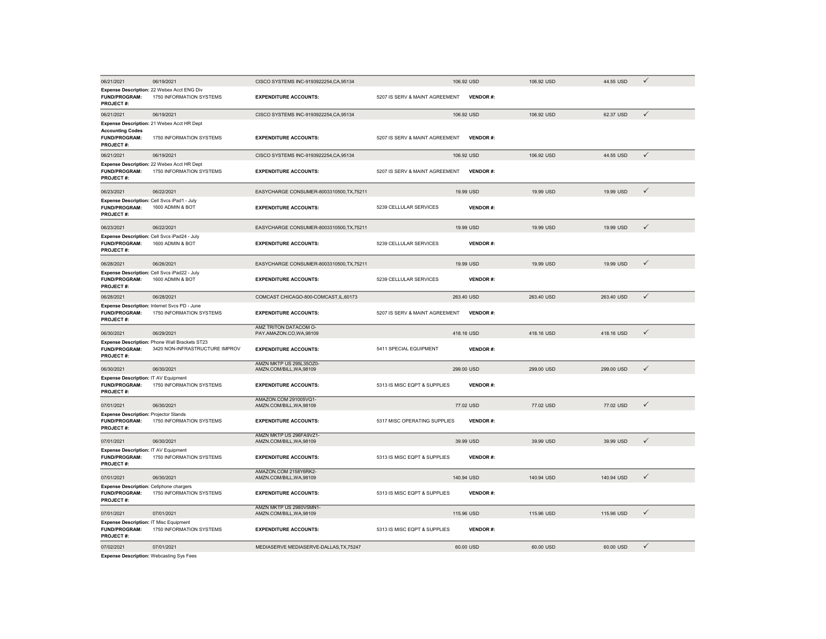| 06/21/2021                                                                               | 06/19/2021                                                                      | CISCO SYSTEMS INC-9193922254, CA, 95134             |                                | 106.92 USD      | 106.92 USD | 44.55 USD  | $\checkmark$ |
|------------------------------------------------------------------------------------------|---------------------------------------------------------------------------------|-----------------------------------------------------|--------------------------------|-----------------|------------|------------|--------------|
| <b>FUND/PROGRAM:</b><br>PROJECT#:                                                        | Expense Description: 22 Webex Acct ENG Div<br>1750 INFORMATION SYSTEMS          | <b>EXPENDITURE ACCOUNTS:</b>                        | 5207 IS SERV & MAINT AGREEMENT | <b>VENDOR#:</b> |            |            |              |
| 06/21/2021                                                                               | 06/19/2021                                                                      | CISCO SYSTEMS INC-9193922254, CA, 95134             |                                | 106.92 USD      | 106.92 USD | 62.37 USD  | $\checkmark$ |
| <b>Accounting Codes</b><br>FUND/PROGRAM:<br><b>PROJECT#:</b>                             | Expense Description: 21 Webex Acct HR Dept<br>1750 INFORMATION SYSTEMS          | <b>EXPENDITURE ACCOUNTS:</b>                        | 5207 IS SERV & MAINT AGREEMENT | <b>VENDOR#:</b> |            |            |              |
| 06/21/2021                                                                               | 06/19/2021                                                                      | CISCO SYSTEMS INC-9193922254, CA, 95134             |                                | 106.92 USD      | 106.92 USD | 44.55 USD  | $\checkmark$ |
| <b>FUND/PROGRAM:</b><br>PROJECT#:                                                        | Expense Description: 22 Webex Acct HR Dept<br>1750 INFORMATION SYSTEMS          | <b>EXPENDITURE ACCOUNTS:</b>                        | 5207 IS SERV & MAINT AGREEMENT | <b>VENDOR#:</b> |            |            |              |
| 06/23/2021                                                                               | 06/22/2021                                                                      | EASYCHARGE CONSUMER-8003310500, TX, 75211           |                                | 19.99 USD       | 19.99 USD  | 19.99 USD  | $\checkmark$ |
| Expense Description: Cell Svcs iPad1 - July<br><b>FUND/PROGRAM:</b><br>PROJECT#:         | 1600 ADMIN & BOT                                                                | <b>EXPENDITURE ACCOUNTS:</b>                        | 5239 CELLULAR SERVICES         | <b>VENDOR#:</b> |            |            |              |
| 06/23/2021                                                                               | 06/22/2021                                                                      | EASYCHARGE CONSUMER-8003310500, TX, 75211           |                                | 19.99 USD       | 19.99 USD  | 19.99 USD  | $\checkmark$ |
| <b>FUND/PROGRAM:</b><br><b>PROJECT#:</b>                                                 | Expense Description: Cell Svcs iPad24 - July<br>1600 ADMIN & BOT                | <b>EXPENDITURE ACCOUNTS:</b>                        | 5239 CELLULAR SERVICES         | <b>VENDOR#:</b> |            |            |              |
| 06/28/2021                                                                               | 06/26/2021                                                                      | EASYCHARGE CONSUMER-8003310500, TX, 75211           |                                | 19.99 USD       | 19.99 USD  | 19.99 USD  | $\checkmark$ |
| <b>FUND/PROGRAM:</b><br><b>PROJECT#:</b>                                                 | Expense Description: Cell Svcs iPad22 - July<br>1600 ADMIN & BOT                | <b>EXPENDITURE ACCOUNTS:</b>                        | 5239 CELLULAR SERVICES         | <b>VENDOR#:</b> |            |            |              |
| 06/28/2021                                                                               | 06/28/2021                                                                      | COMCAST CHICAGO-800-COMCAST, IL, 60173              |                                | 263.40 USD      | 263.40 USD | 263.40 USD | $\checkmark$ |
| <b>FUND/PROGRAM:</b><br><b>PROJECT#:</b>                                                 | Expense Description: Internet Svcs PD - June<br>1750 INFORMATION SYSTEMS        | <b>EXPENDITURE ACCOUNTS:</b>                        | 5207 IS SERV & MAINT AGREEMENT | <b>VENDOR#:</b> |            |            |              |
| 06/30/2021                                                                               | 06/29/2021                                                                      | AMZ TRITON DATACOM O-<br>PAY.AMAZON.CO,WA,98109     |                                | 418.16 USD      | 418.16 USD | 418.16 USD | $\checkmark$ |
| <b>FUND/PROGRAM:</b><br>PROJECT#:                                                        | Expense Description: Phone Wall Brackets ST23<br>3420 NON-INFRASTRUCTURE IMPROV | <b>EXPENDITURE ACCOUNTS:</b>                        | 5411 SPECIAL EQUIPMENT         | <b>VENDOR#:</b> |            |            |              |
| 06/30/2021                                                                               | 06/30/2021                                                                      | AMZN MKTP US 295L35OZ0-<br>AMZN.COM/BILL, WA, 98109 |                                | 299.00 USD      | 299.00 USD | 299.00 USD | $\checkmark$ |
| Expense Description: IT AV Equipment<br><b>FUND/PROGRAM:</b><br>PROJECT #:               | 1750 INFORMATION SYSTEMS                                                        | <b>EXPENDITURE ACCOUNTS:</b>                        | 5313 IS MISC EQPT & SUPPLIES   | <b>VENDOR#:</b> |            |            |              |
| 07/01/2021                                                                               | 06/30/2021                                                                      | AMAZON.COM 291005VQ1-<br>AMZN.COM/BILL, WA, 98109   |                                | 77.02 USD       | 77.02 USD  | 77.02 USD  | $\checkmark$ |
| <b>Expense Description: Projector Stands</b><br><b>FUND/PROGRAM:</b><br><b>PROJECT#:</b> | 1750 INFORMATION SYSTEMS                                                        | <b>EXPENDITURE ACCOUNTS:</b>                        | 5317 MISC OPERATING SUPPLIES   | <b>VENDOR#:</b> |            |            |              |
| 07/01/2021                                                                               | 06/30/2021                                                                      | AMZN MKTP US 296FA9VZ1-<br>AMZN.COM/BILL.WA.98109   |                                | 39.99 USD       | 39.99 USD  | 39.99 USD  | $\checkmark$ |
| Expense Description: IT AV Equipment<br><b>FUND/PROGRAM:</b><br>PROJECT#:                | 1750 INFORMATION SYSTEMS                                                        | <b>EXPENDITURE ACCOUNTS:</b>                        | 5313 IS MISC EQPT & SUPPLIES   | <b>VENDOR#:</b> |            |            |              |
| 07/01/2021                                                                               | 06/30/2021                                                                      | AMAZON.COM 2158Y6RK2-<br>AMZN.COM/BILL, WA, 98109   |                                | 140.94 USD      | 140.94 USD | 140.94 USD | $\checkmark$ |
| <b>Expense Description: Cellphone chargers</b><br>FUND/PROGRAM:<br><b>PROJECT#:</b>      | 1750 INFORMATION SYSTEMS                                                        | <b>EXPENDITURE ACCOUNTS:</b>                        | 5313 IS MISC EQPT & SUPPLIES   | <b>VENDOR#:</b> |            |            |              |
| 07/01/2021                                                                               | 07/01/2021                                                                      | AMZN MKTP US 2980V5MN1-<br>AMZN.COM/BILL, WA, 98109 |                                | 115.96 USD      | 115.96 USD | 115.96 USD | $\checkmark$ |
| <b>Expense Description: IT Misc Equipment</b><br><b>FUND/PROGRAM:</b><br>PROJECT#:       | 1750 INFORMATION SYSTEMS                                                        | <b>EXPENDITURE ACCOUNTS:</b>                        | 5313 IS MISC EQPT & SUPPLIES   | <b>VENDOR#:</b> |            |            |              |
| 07/02/2021                                                                               | 07/01/2021                                                                      | MEDIASERVE MEDIASERVE-DALLAS, TX, 75247             |                                | 60.00 USD       | 60.00 USD  | 60.00 USD  | $\checkmark$ |
| <b>Expense Description: Webcasting Sys Fees</b>                                          |                                                                                 |                                                     |                                |                 |            |            |              |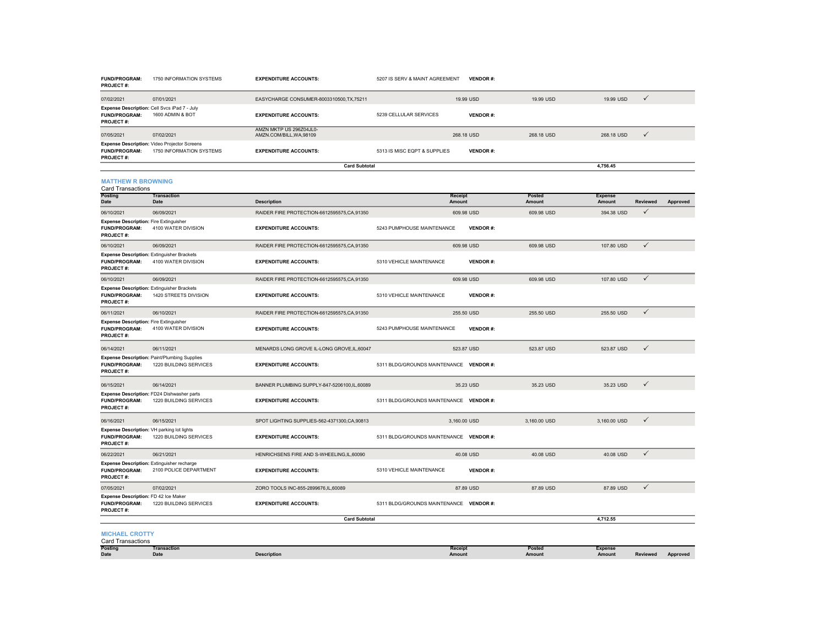| <b>Posting</b><br>Date                                                                        | Transaction<br>Date                                                      | <b>Description</b>                                  | Receipt<br>Amount                       |                 | Posted<br>Amount | <b>Expense</b><br>Amount | <b>Reviewed</b> | Approved |
|-----------------------------------------------------------------------------------------------|--------------------------------------------------------------------------|-----------------------------------------------------|-----------------------------------------|-----------------|------------------|--------------------------|-----------------|----------|
| <b>MICHAEL CROTTY</b><br><b>Card Transactions</b>                                             |                                                                          |                                                     |                                         |                 |                  |                          |                 |          |
|                                                                                               |                                                                          | <b>Card Subtotal</b>                                |                                         |                 |                  | 4,712.55                 |                 |          |
| Expense Description: FD 42 Ice Maker<br><b>FUND/PROGRAM:</b><br>PROJECT#:                     | 1220 BUILDING SERVICES                                                   | <b>EXPENDITURE ACCOUNTS:</b>                        | 5311 BLDG/GROUNDS MAINTENANCE VENDOR #: |                 |                  |                          |                 |          |
| 07/05/2021                                                                                    | 07/02/2021                                                               | ZORO TOOLS INC-855-2899676,IL,60089                 |                                         | 87.89 USD       | 87.89 USD        | 87.89 USD                | $\checkmark$    |          |
| <b>FUND/PROGRAM:</b><br>PROJECT#:                                                             | Expense Description: Extinguisher recharge<br>2100 POLICE DEPARTMENT     | <b>EXPENDITURE ACCOUNTS:</b>                        | 5310 VEHICLE MAINTENANCE                | <b>VENDOR#:</b> |                  |                          |                 |          |
| 06/22/2021                                                                                    | 06/21/2021                                                               | HENRICHSENS FIRE AND S-WHEELING,IL,60090            |                                         | 40.08 USD       | 40.08 USD        | 40.08 USD                | ✓               |          |
| Expense Description: VH parking lot lights<br><b>FUND/PROGRAM:</b><br>PROJECT#:               | 1220 BUILDING SERVICES                                                   | <b>EXPENDITURE ACCOUNTS:</b>                        | 5311 BLDG/GROUNDS MAINTENANCE VENDOR #: |                 |                  |                          |                 |          |
| 06/16/2021                                                                                    | 06/15/2021                                                               | SPOT LIGHTING SUPPLIES-562-4371300,CA,90813         | 3,160.00 USD                            |                 | 3,160.00 USD     | 3,160.00 USD             | $\checkmark$    |          |
| FUND/PROGRAM:<br><b>PROJECT#:</b>                                                             | Expense Description: FD24 Dishwasher parts<br>1220 BUILDING SERVICES     | <b>EXPENDITURE ACCOUNTS:</b>                        | 5311 BLDG/GROUNDS MAINTENANCE VENDOR #: |                 |                  |                          |                 |          |
| 06/15/2021                                                                                    | 06/14/2021                                                               | BANNER PLUMBING SUPPLY-847-5206100,IL,60089         |                                         | 35.23 USD       | 35.23 USD        | 35.23 USD                | $\checkmark$    |          |
| FUND/PROGRAM:<br><b>PROJECT#:</b>                                                             | 1220 BUILDING SERVICES                                                   | <b>EXPENDITURE ACCOUNTS:</b>                        | 5311 BLDG/GROUNDS MAINTENANCE VENDOR #: |                 |                  |                          |                 |          |
| 06/14/2021                                                                                    | 06/11/2021<br>Expense Description: Paint/Plumbing Supplies               | MENARDS LONG GROVE IL-LONG GROVE, IL, 60047         |                                         | 523.87 USD      | 523.87 USD       | 523.87 USD               |                 |          |
| PROJECT#:                                                                                     |                                                                          |                                                     |                                         |                 |                  |                          | ✓               |          |
| <b>Expense Description: Fire Extinguisher</b><br><b>FUND/PROGRAM:</b>                         | 4100 WATER DIVISION                                                      | <b>EXPENDITURE ACCOUNTS:</b>                        | 5243 PUMPHOUSE MAINTENANCE              | <b>VENDOR#:</b> |                  |                          |                 |          |
| 06/11/2021                                                                                    | 06/10/2021                                                               | RAIDER FIRE PROTECTION-6612595575, CA, 91350        |                                         | 255,50 USD      | 255.50 USD       | 255.50 USD               | $\checkmark$    |          |
| <b>Expense Description: Extinguisher Brackets</b><br><b>FUND/PROGRAM:</b><br><b>PROJECT#:</b> | 1420 STREETS DIVISION                                                    | <b>EXPENDITURE ACCOUNTS:</b>                        | 5310 VEHICLE MAINTENANCE                | <b>VENDOR#:</b> |                  |                          |                 |          |
| 06/10/2021                                                                                    | 06/09/2021                                                               | RAIDER FIRE PROTECTION-6612595575, CA, 91350        |                                         | 609.98 USD      | 609.98 USD       | 107.80 USD               | $\checkmark$    |          |
| Expense Description: Extinguisher Brackets<br><b>FUND/PROGRAM:</b><br><b>PROJECT#:</b>        | 4100 WATER DIVISION                                                      | <b>EXPENDITURE ACCOUNTS:</b>                        | 5310 VEHICLE MAINTENANCE                | <b>VENDOR#:</b> |                  |                          |                 |          |
| 06/10/2021                                                                                    | 06/09/2021                                                               | RAIDER FIRE PROTECTION-6612595575, CA, 91350        |                                         | 609.98 USD      | 609.98 USD       | 107,80 USD               | $\checkmark$    |          |
| <b>Expense Description: Fire Extinguisher</b><br>FUND/PROGRAM:<br>PROJECT#:                   | 4100 WATER DIVISION                                                      | <b>EXPENDITURE ACCOUNTS:</b>                        | 5243 PUMPHOUSE MAINTENANCE              | <b>VENDOR#:</b> |                  |                          |                 |          |
| 06/10/2021                                                                                    | 06/09/2021                                                               | RAIDER FIRE PROTECTION-6612595575, CA, 91350        |                                         | 609.98 USD      | 609.98 USD       | 394.38 USD               | ✓               |          |
| <b>Posting</b><br>Date                                                                        | <b>Transaction</b><br>Date                                               | <b>Description</b>                                  | Receipt<br>Amount                       |                 | Posted<br>Amount | <b>Expense</b><br>Amount | Reviewed        | Approved |
| <b>MATTHEW R BROWNING</b><br><b>Card Transactions</b>                                         |                                                                          |                                                     |                                         |                 |                  |                          |                 |          |
|                                                                                               |                                                                          | <b>Card Subtotal</b>                                |                                         |                 |                  | 4,756.45                 |                 |          |
| FUND/PROGRAM:<br><b>PROJECT#:</b>                                                             | Expense Description: Video Projector Screens<br>1750 INFORMATION SYSTEMS | <b>EXPENDITURE ACCOUNTS:</b>                        | 5313 IS MISC EQPT & SUPPLIES            | <b>VENDOR#:</b> |                  |                          |                 |          |
| 07/05/2021                                                                                    | 07/02/2021                                                               | AMZN MKTP US 296Z04JL0-<br>AMZN.COM/BILL, WA, 98109 |                                         | 268.18 USD      | 268.18 USD       | 268.18 USD               | ✓               |          |
| FUND/PROGRAM:<br>PROJECT#:                                                                    | Expense Description: Cell Svcs iPad 7 - July<br>1600 ADMIN & BOT         | <b>EXPENDITURE ACCOUNTS:</b>                        | 5239 CELLULAR SERVICES                  | <b>VENDOR#:</b> |                  |                          |                 |          |
| 07/02/2021                                                                                    | 07/01/2021                                                               | EASYCHARGE CONSUMER-8003310500, TX, 75211           |                                         | 19.99 USD       | 19.99 USD        | 19.99 USD                | $\checkmark$    |          |
| <b>FUND/PROGRAM:</b><br>PROJECT#:                                                             | 1750 INFORMATION SYSTEMS                                                 | <b>EXPENDITURE ACCOUNTS:</b>                        | 5207 IS SERV & MAINT AGREEMENT          | <b>VENDOR#:</b> |                  |                          |                 |          |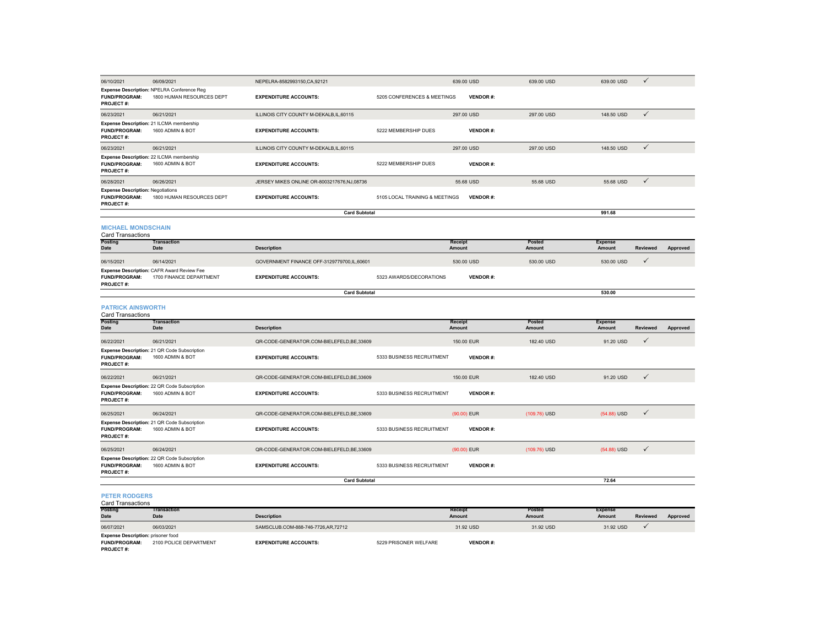| 06/10/2021                                                                    | 06/09/2021                                                              | NEPELRA-8582993150, CA, 92121              |                                | 639.00 USD               | 639.00 USD       | 639.00 USD               | $\checkmark$    |          |
|-------------------------------------------------------------------------------|-------------------------------------------------------------------------|--------------------------------------------|--------------------------------|--------------------------|------------------|--------------------------|-----------------|----------|
| FUND/PROGRAM:<br>PROJECT#:                                                    | Expense Description: NPELRA Conference Reg<br>1800 HUMAN RESOURCES DEPT | <b>EXPENDITURE ACCOUNTS:</b>               | 5205 CONFERENCES & MEETINGS    | <b>VENDOR#:</b>          |                  |                          |                 |          |
| 06/23/2021                                                                    | 06/21/2021                                                              | ILLINOIS CITY COUNTY M-DEKALB, IL, 60115   |                                | 297.00 USD               | 297.00 USD       | 148.50 USD               | $\checkmark$    |          |
| <b>FUND/PROGRAM:</b><br><b>PROJECT#:</b>                                      | Expense Description: 21 ILCMA membership<br>1600 ADMIN & BOT            | <b>EXPENDITURE ACCOUNTS:</b>               | 5222 MEMBERSHIP DUES           | <b>VENDOR#:</b>          |                  |                          |                 |          |
| 06/23/2021                                                                    | 06/21/2021                                                              | ILLINOIS CITY COUNTY M-DEKALB, IL, 60115   |                                | 297.00 USD               | 297.00 USD       | 148.50 USD               | $\checkmark$    |          |
| <b>FUND/PROGRAM:</b><br>PROJECT#:                                             | Expense Description: 22 ILCMA membership<br>1600 ADMIN & BOT            | <b>EXPENDITURE ACCOUNTS:</b>               | 5222 MEMBERSHIP DUES           | <b>VENDOR#:</b>          |                  |                          |                 |          |
| 06/28/2021                                                                    | 06/26/2021                                                              | JERSEY MIKES ONLINE OR-8003217676,NJ,08736 |                                | 55.68 USD                | 55.68 USD        | 55.68 USD                | $\checkmark$    |          |
| <b>Expense Description: Negotiations</b><br><b>FUND/PROGRAM:</b><br>PROJECT#: | 1800 HUMAN RESOURCES DEPT                                               | <b>EXPENDITURE ACCOUNTS:</b>               | 5105 LOCAL TRAINING & MEETINGS | <b>VENDOR#:</b>          |                  |                          |                 |          |
|                                                                               |                                                                         | <b>Card Subtotal</b>                       |                                |                          |                  | 991.68                   |                 |          |
| <b>MICHAEL MONDSCHAIN</b><br><b>Card Transactions</b>                         |                                                                         |                                            |                                |                          |                  |                          |                 |          |
| Posting<br><b>Date</b>                                                        | <b>Transaction</b><br>Date                                              | <b>Description</b>                         |                                | Receipt<br>Amount        | Posted<br>Amount | <b>Expense</b><br>Amount | Reviewed        | Approved |
| 06/15/2021                                                                    | 06/14/2021                                                              | GOVERNMENT FINANCE OFF-3129779700,IL,60601 |                                | 530.00 USD               | 530.00 USD       | 530.00 USD               | $\checkmark$    |          |
| <b>FUND/PROGRAM:</b><br>PROJECT#:                                             | Expense Description: CAFR Award Review Fee<br>1700 FINANCE DEPARTMENT   | <b>EXPENDITURE ACCOUNTS:</b>               | 5323 AWARDS/DECORATIONS        | <b>VENDOR#:</b>          |                  |                          |                 |          |
|                                                                               |                                                                         | <b>Card Subtotal</b>                       |                                |                          |                  | 530.00                   |                 |          |
| <b>PATRICK AINSWORTH</b>                                                      |                                                                         |                                            |                                |                          |                  |                          |                 |          |
| <b>Card Transactions</b>                                                      |                                                                         |                                            |                                |                          |                  |                          |                 |          |
|                                                                               |                                                                         |                                            |                                |                          |                  |                          |                 |          |
| Posting                                                                       | <b>Transaction</b>                                                      |                                            |                                | Receipt                  | Posted           | <b>Expense</b>           |                 |          |
| <b>Date</b>                                                                   | <b>Date</b>                                                             | <b>Description</b>                         |                                | Amount                   | Amount           | Amount                   | <b>Reviewed</b> | Approved |
| 06/22/2021                                                                    | 06/21/2021                                                              | QR-CODE-GENERATOR.COM-BIELEFELD, BE, 33609 |                                | 150.00 EUR               | 182.40 USD       | 91.20 USD                | $\checkmark$    |          |
| <b>FUND/PROGRAM:</b><br><b>PROJECT#:</b>                                      | Expense Description: 21 QR Code Subscription<br>1600 ADMIN & BOT        | <b>EXPENDITURE ACCOUNTS:</b>               | 5333 BUSINESS RECRUITMENT      | <b>VENDOR#:</b>          |                  |                          |                 |          |
| 06/22/2021                                                                    | 06/21/2021                                                              | QR-CODE-GENERATOR.COM-BIELEFELD,BE,33609   |                                | 150.00 EUR               | 182.40 USD       | 91.20 USD                | $\checkmark$    |          |
| <b>FUND/PROGRAM:</b><br>PROJECT#:                                             | Expense Description: 22 QR Code Subscription<br>1600 ADMIN & BOT        | <b>EXPENDITURE ACCOUNTS:</b>               | 5333 BUSINESS RECRUITMENT      | <b>VENDOR#:</b>          |                  |                          |                 |          |
| 06/25/2021                                                                    | 06/24/2021                                                              | QR-CODE-GENERATOR.COM-BIELEFELD, BE, 33609 |                                | (90.00) EUR              | (109.76) USD     | (54.88) USD              | $\checkmark$    |          |
| FUND/PROGRAM:<br>PROJECT#:                                                    | Expense Description: 21 QR Code Subscription<br>1600 ADMIN & BOT        | <b>EXPENDITURE ACCOUNTS:</b>               | 5333 BUSINESS RECRUITMENT      | <b>VENDOR#:</b>          |                  |                          |                 |          |
| 06/25/2021                                                                    | 06/24/2021                                                              | QR-CODE-GENERATOR.COM-BIELEFELD,BE,33609   |                                | (90.00) EUR              | (109.76) USD     | (54.88) USD              | $\checkmark$    |          |
| <b>FUND/PROGRAM:</b><br>PROJECT#:                                             | Expense Description: 22 QR Code Subscription<br>1600 ADMIN & BOT        | <b>EXPENDITURE ACCOUNTS:</b>               | 5333 BUSINESS RECRUITMENT      | <b>VENDOR#:</b>          |                  |                          |                 |          |
|                                                                               |                                                                         | <b>Card Subtotal</b>                       |                                |                          |                  | 72.64                    |                 |          |
| <b>PETER RODGERS</b><br><b>Card Transactions</b>                              |                                                                         |                                            |                                |                          |                  |                          |                 |          |
| Posting<br><b>Date</b>                                                        | <b>Transaction</b><br><b>Date</b>                                       | <b>Description</b>                         |                                | Receipt<br><b>Amount</b> | Posted<br>Amount | <b>Expense</b><br>Amount | <b>Reviewed</b> | Approved |

06/07/2021 06/03/2021 SAMSCLUB.COM-888-746-7726,AR,72712 31.92 USD 31.92 USD 31.92 USD **FUND/PROGRAM:** 2100 POLICE DEPARTMENT **EXPENDITURE ACCOUNTS:** 5229 PRISONER WELFARE **VENDOR #: PROJECT #: Expense Description:** prisoner food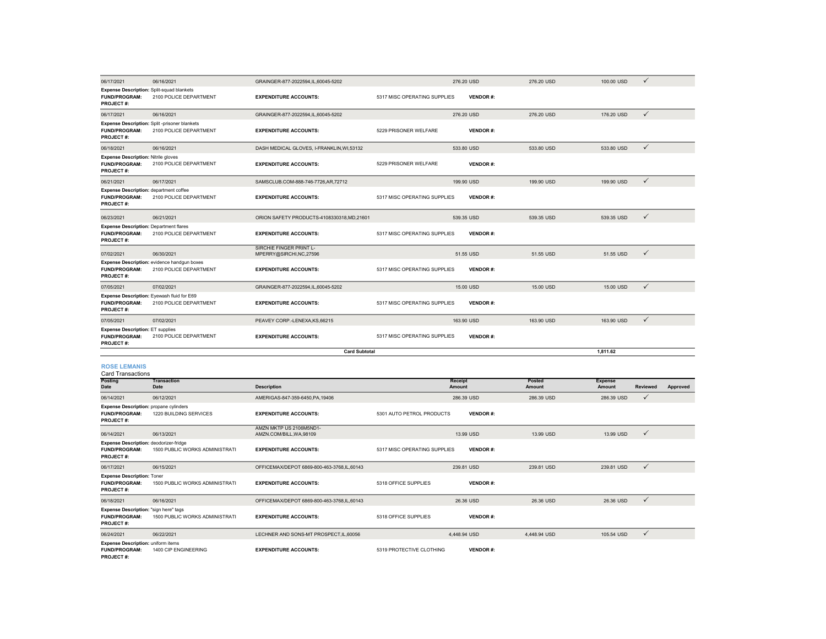| 06/17/2021                                                                                   | 06/16/2021                                                             | GRAINGER-877-2022594,IL,60045-5202                  |                              | 276.20 USD        | 276.20 USD       | 100.00 USD               | $\checkmark$ |          |
|----------------------------------------------------------------------------------------------|------------------------------------------------------------------------|-----------------------------------------------------|------------------------------|-------------------|------------------|--------------------------|--------------|----------|
| <b>Expense Description: Split-squad blankets</b><br><b>FUND/PROGRAM:</b><br><b>PROJECT#:</b> | 2100 POLICE DEPARTMENT                                                 | <b>EXPENDITURE ACCOUNTS:</b>                        | 5317 MISC OPERATING SUPPLIES | <b>VENDOR#:</b>   |                  |                          |              |          |
| 06/17/2021                                                                                   | 06/16/2021                                                             | GRAINGER-877-2022594,IL,60045-5202                  |                              | 276.20 USD        | 276.20 USD       | 176,20 USD               | $\checkmark$ |          |
| <b>FUND/PROGRAM:</b><br><b>PROJECT#:</b>                                                     | Expense Description: Split-prisoner blankets<br>2100 POLICE DEPARTMENT | <b>EXPENDITURE ACCOUNTS:</b>                        | 5229 PRISONER WELFARE        | <b>VENDOR#:</b>   |                  |                          |              |          |
| 06/18/2021                                                                                   | 06/16/2021                                                             | DASH MEDICAL GLOVES, I-FRANKLIN, WI,53132           |                              | 533.80 USD        | 533.80 USD       | 533.80 USD               | $\checkmark$ |          |
| <b>Expense Description: Nitrile gloves</b><br><b>FUND/PROGRAM:</b><br>PROJECT#:              | 2100 POLICE DEPARTMENT                                                 | <b>EXPENDITURE ACCOUNTS:</b>                        | 5229 PRISONER WELFARE        | <b>VENDOR#:</b>   |                  |                          |              |          |
| 06/21/2021                                                                                   | 06/17/2021                                                             | SAMSCLUB.COM-888-746-7726,AR,72712                  |                              | 199.90 USD        | 199.90 USD       | 199.90 USD               | $\checkmark$ |          |
| Expense Description: department coffee<br><b>FUND/PROGRAM:</b><br><b>PROJECT#:</b>           | 2100 POLICE DEPARTMENT                                                 | <b>EXPENDITURE ACCOUNTS:</b>                        | 5317 MISC OPERATING SUPPLIES | <b>VENDOR#:</b>   |                  |                          |              |          |
| 06/23/2021                                                                                   | 06/21/2021                                                             | ORION SAFETY PRODUCTS-4108330318, MD, 21601         |                              | 539.35 USD        | 539.35 USD       | 539.35 USD               | $\checkmark$ |          |
| <b>Expense Description: Department flares</b><br><b>FUND/PROGRAM:</b><br><b>PROJECT#:</b>    | 2100 POLICE DEPARTMENT                                                 | <b>EXPENDITURE ACCOUNTS:</b>                        | 5317 MISC OPERATING SUPPLIES | <b>VENDOR#:</b>   |                  |                          |              |          |
| 07/02/2021                                                                                   | 06/30/2021                                                             | SIRCHIE FINGER PRINT L-<br>MPERRY@SIRCHI,NC,27596   |                              | 51.55 USD         | 51.55 USD        | 51.55 USD                | $\checkmark$ |          |
| <b>FUND/PROGRAM:</b><br>PROJECT#:                                                            | Expense Description: evidence handgun boxes<br>2100 POLICE DEPARTMENT  | <b>EXPENDITURE ACCOUNTS:</b>                        | 5317 MISC OPERATING SUPPLIES | <b>VENDOR#:</b>   |                  |                          |              |          |
| 07/05/2021                                                                                   | 07/02/2021                                                             | GRAINGER-877-2022594,IL,60045-5202                  |                              | 15.00 USD         | 15.00 USD        | 15.00 USD                | $\checkmark$ |          |
| <b>FUND/PROGRAM:</b><br>PROJECT#:                                                            | Expense Description: Eyewash fluid for E69<br>2100 POLICE DEPARTMENT   | <b>EXPENDITURE ACCOUNTS:</b>                        | 5317 MISC OPERATING SUPPLIES | <b>VENDOR#:</b>   |                  |                          |              |          |
| 07/05/2021                                                                                   | 07/02/2021                                                             | PEAVEY CORP.-LENEXA, KS, 66215                      |                              | 163.90 USD        | 163.90 USD       | 163.90 USD               | $\checkmark$ |          |
| <b>Expense Description: ET supplies</b><br><b>FUND/PROGRAM:</b><br>PROJECT#:                 | 2100 POLICE DEPARTMENT                                                 | <b>EXPENDITURE ACCOUNTS:</b>                        | 5317 MISC OPERATING SUPPLIES | <b>VENDOR#:</b>   |                  |                          |              |          |
|                                                                                              |                                                                        | <b>Card Subtotal</b>                                |                              |                   |                  | 1,811.62                 |              |          |
| <b>ROSE LEMANIS</b><br><b>Card Transactions</b>                                              |                                                                        |                                                     |                              |                   |                  |                          |              |          |
| Posting<br>Date                                                                              | <b>Transaction</b><br>Date                                             | <b>Description</b>                                  |                              | Receipt<br>Amount | Posted<br>Amount | <b>Expense</b><br>Amount | Reviewed     | Approved |
| 06/14/2021                                                                                   | 06/12/2021                                                             | AMERIGAS-847-359-6450, PA, 19406                    |                              | 286.39 USD        | 286.39 USD       | 286.39 USD               | $\checkmark$ |          |
| <b>Expense Description:</b> propane cylinders<br><b>FUND/PROGRAM:</b><br><b>PROJECT#:</b>    | 1220 BUILDING SERVICES                                                 | <b>EXPENDITURE ACCOUNTS:</b>                        | 5301 AUTO PETROL PRODUCTS    | <b>VENDOR#:</b>   |                  |                          |              |          |
| 06/14/2021                                                                                   | 06/13/2021                                                             | AMZN MKTP US 2106M5ND1-<br>AMZN.COM/BILL, WA, 98109 |                              | 13.99 USD         | 13.99 USD        | 13.99 USD                | $\checkmark$ |          |
| Expense Description: deodorizer-fridge<br><b>FUND/PROGRAM:</b><br><b>PROJECT#:</b>           | 1500 PUBLIC WORKS ADMINISTRATI                                         | <b>EXPENDITURE ACCOUNTS:</b>                        | 5317 MISC OPERATING SUPPLIES | <b>VENDOR#:</b>   |                  |                          |              |          |
| 06/17/2021                                                                                   | 06/15/2021                                                             | OFFICEMAX/DEPOT 6869-800-463-3768,IL,60143          |                              | 239.81 USD        | 239.81 USD       | 239.81 USD               | $\checkmark$ |          |
| <b>Expense Description: Toner</b><br><b>FUND/PROGRAM:</b><br>PROJECT#:                       | 1500 PUBLIC WORKS ADMINISTRATI                                         | <b>EXPENDITURE ACCOUNTS:</b>                        | 5318 OFFICE SUPPLIES         | <b>VENDOR#:</b>   |                  |                          |              |          |

06/18/2021 06/16/2021 OFFICEMAX/DEPOT 6869-800-463-3768,IL,60143 26.36 USD 26.36 USD 26.36 USD

06/24/2021 06/22/2021 LECHNER AND SONS-MT PROSPECT,IL,60056 4,448.94 USD 4,448.94 USD 105.54 USD

**EXPENDITURE ACCOUNTS:** 5319 PROTECTIVE CLOTHING **VENDOR #:**

**VENDOR #:**

**Expense Description: "**sign here" tags<br>**FUND/PROGRAM:** 1500 PUBLIC WORKS ADMINISTRATI **EXPENDITURE ACCOUNTS:** 5318 OFFICE SUPPLIES

**PROJECT #:**

**PROJECT #:**

**FUND/PROGRAM:** 1400 CIP ENGINEERING

**Expense Description:** uniform items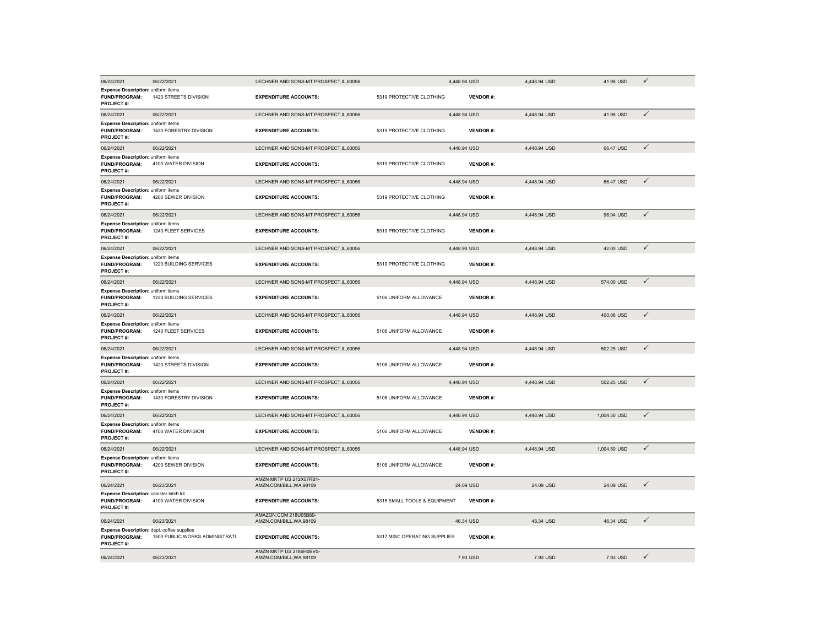| 06/24/2021                                                                            | 06/22/2021                     | LECHNER AND SONS-MT PROSPECT, IL, 60056             |                              | 4,448.94 USD    | 4,448.94 USD | 41.98 USD    | $\checkmark$ |
|---------------------------------------------------------------------------------------|--------------------------------|-----------------------------------------------------|------------------------------|-----------------|--------------|--------------|--------------|
| <b>Expense Description: uniform items</b><br><b>FUND/PROGRAM:</b><br><b>PROJECT#:</b> | 1420 STREETS DIVISION          | <b>EXPENDITURE ACCOUNTS:</b>                        | 5319 PROTECTIVE CLOTHING     | <b>VENDOR#:</b> |              |              |              |
| 06/24/2021                                                                            | 06/22/2021                     | LECHNER AND SONS-MT PROSPECT, IL, 60056             |                              | 4,448.94 USD    | 4.448.94 USD | 41.98 USD    | $\checkmark$ |
| <b>Expense Description: uniform items</b><br><b>FUND/PROGRAM:</b><br>PROJECT#:        | 1430 FORESTRY DIVISION         | <b>EXPENDITURE ACCOUNTS:</b>                        | 5319 PROTECTIVE CLOTHING     | <b>VENDOR#:</b> |              |              |              |
| 06/24/2021                                                                            | 06/22/2021                     | LECHNER AND SONS-MT PROSPECT, IL, 60056             |                              | 4,448.94 USD    | 4,448.94 USD | 66.47 USD    | $\checkmark$ |
| <b>Expense Description: uniform items</b><br>FUND/PROGRAM:<br><b>PROJECT#:</b>        | 4100 WATER DIVISION            | <b>EXPENDITURE ACCOUNTS:</b>                        | 5319 PROTECTIVE CLOTHING     | <b>VENDOR#:</b> |              |              |              |
| 06/24/2021                                                                            | 06/22/2021                     | LECHNER AND SONS-MT PROSPECT, IL, 60056             |                              | 4,448.94 USD    | 4,448.94 USD | 66.47 USD    | $\checkmark$ |
| Expense Description: uniform items<br><b>FUND/PROGRAM:</b><br>PROJECT#:               | 4200 SEWER DIVISION            | <b>EXPENDITURE ACCOUNTS:</b>                        | 5319 PROTECTIVE CLOTHING     | <b>VENDOR#:</b> |              |              |              |
| 06/24/2021                                                                            | 06/22/2021                     | LECHNER AND SONS-MT PROSPECT, IL, 60056             |                              | 4,448.94 USD    | 4,448.94 USD | 96.94 USD    | ✓            |
| Expense Description: uniform items<br><b>FUND/PROGRAM:</b><br><b>PROJECT#:</b>        | 1240 FLEET SERVICES            | <b>EXPENDITURE ACCOUNTS:</b>                        | 5319 PROTECTIVE CLOTHING     | <b>VENDOR#:</b> |              |              |              |
| 06/24/2021                                                                            | 06/22/2021                     | LECHNER AND SONS-MT PROSPECT, IL, 60056             |                              | 4,448.94 USD    | 4,448.94 USD | 42.00 USD    | $\checkmark$ |
| <b>Expense Description: uniform items</b><br><b>FUND/PROGRAM:</b><br>PROJECT#:        | 1220 BUILDING SERVICES         | <b>EXPENDITURE ACCOUNTS:</b>                        | 5319 PROTECTIVE CLOTHING     | <b>VENDOR#:</b> |              |              |              |
| 06/24/2021                                                                            | 06/22/2021                     | LECHNER AND SONS-MT PROSPECT, IL, 60056             |                              | 4,448.94 USD    | 4,448.94 USD | 574.00 USD   | $\checkmark$ |
| <b>Expense Description: uniform items</b><br><b>FUND/PROGRAM:</b><br>PROJECT#:        | 1220 BUILDING SERVICES         | <b>EXPENDITURE ACCOUNTS:</b>                        | 5106 UNIFORM ALLOWANCE       | <b>VENDOR#:</b> |              |              |              |
| 06/24/2021                                                                            | 06/22/2021                     | LECHNER AND SONS-MT PROSPECT, IL, 60056             |                              | 4,448.94 USD    | 4,448.94 USD | 400.06 USD   | $\checkmark$ |
| <b>Expense Description: uniform items</b><br><b>FUND/PROGRAM:</b><br>PROJECT#:        | 1240 FLEET SERVICES            | <b>EXPENDITURE ACCOUNTS:</b>                        | 5106 UNIFORM ALLOWANCE       | <b>VENDOR#:</b> |              |              |              |
| 06/24/2021                                                                            | 06/22/2021                     | LECHNER AND SONS-MT PROSPECT, IL, 60056             |                              | 4,448.94 USD    | 4,448.94 USD | 502.25 USD   | $\checkmark$ |
| Expense Description: uniform items<br>FUND/PROGRAM:<br><b>PROJECT#:</b>               | 1420 STREETS DIVISION          | <b>EXPENDITURE ACCOUNTS:</b>                        | 5106 UNIFORM ALLOWANCE       | <b>VENDOR#:</b> |              |              |              |
| 06/24/2021                                                                            | 06/22/2021                     | LECHNER AND SONS-MT PROSPECT, IL, 60056             |                              | 4,448.94 USD    | 4,448.94 USD | 502.25 USD   | $\checkmark$ |
| <b>Expense Description: uniform items</b><br>FUND/PROGRAM:<br><b>PROJECT#:</b>        | 1430 FORESTRY DIVISION         | <b>EXPENDITURE ACCOUNTS:</b>                        | 5106 UNIFORM ALLOWANCE       | <b>VENDOR#:</b> |              |              |              |
| 06/24/2021                                                                            | 06/22/2021                     | LECHNER AND SONS-MT PROSPECT, IL, 60056             |                              | 4,448.94 USD    | 4,448.94 USD | 1,004.50 USD | $\checkmark$ |
| <b>Expense Description: uniform items</b><br>FUND/PROGRAM:<br>PROJECT#:               | 4100 WATER DIVISION            | <b>EXPENDITURE ACCOUNTS:</b>                        | 5106 UNIFORM ALLOWANCE       | <b>VENDOR#:</b> |              |              |              |
| 06/24/2021                                                                            | 06/22/2021                     | LECHNER AND SONS-MT PROSPECT, IL, 60056             |                              | 4,448.94 USD    | 4,448.94 USD | 1,004.50 USD | $\checkmark$ |
| Expense Description: uniform items<br>FUND/PROGRAM:<br><b>PROJECT#:</b>               | 4200 SEWER DIVISION            | <b>EXPENDITURE ACCOUNTS:</b>                        | 5106 UNIFORM ALLOWANCE       | <b>VENDOR#:</b> |              |              |              |
| 06/24/2021                                                                            | 06/23/2021                     | AMZN MKTP US 212X07RB1-<br>AMZN.COM/BILL, WA, 98109 |                              | 24.09 USD       | 24.09 USD    | 24.09 USD    | $\checkmark$ |
| Expense Description: canister latch kit<br>FUND/PROGRAM:<br><b>PROJECT#:</b>          | 4100 WATER DIVISION            | <b>EXPENDITURE ACCOUNTS:</b>                        | 5315 SMALL TOOLS & EQUIPMENT | <b>VENDOR#:</b> |              |              |              |
| 06/24/2021                                                                            | 06/23/2021                     | AMAZON.COM 218U05B80-<br>AMZN.COM/BILL, WA, 98109   |                              | 46.34 USD       | 46.34 USD    | 46.34 USD    | ✓            |
| Expense Description: dept. coffee supplies<br><b>FUND/PROGRAM:</b><br>PROJECT#:       | 1500 PUBLIC WORKS ADMINISTRATI | <b>EXPENDITURE ACCOUNTS:</b>                        | 5317 MISC OPERATING SUPPLIES | <b>VENDOR#:</b> |              |              |              |
| 06/24/2021                                                                            | 06/23/2021                     | AMZN MKTP US 2186H0BV0-<br>AMZN.COM/BILL.WA.98109   |                              | 7.93 USD        | 7.93 USD     | 7.93 USD     | $\checkmark$ |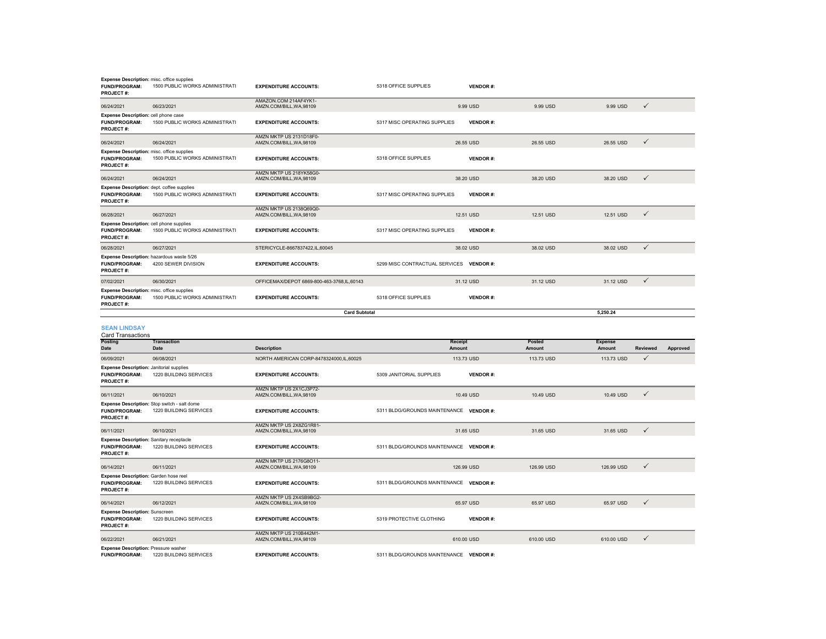| Expense Description: misc. office supplies<br><b>FUND/PROGRAM:</b><br><b>PROJECT#:</b>      | 1500 PUBLIC WORKS ADMINISTRATI                                         | <b>EXPENDITURE ACCOUNTS:</b>                               | 5318 OFFICE SUPPLIES                     | <b>VENDOR#:</b> |                  |                          |              |          |
|---------------------------------------------------------------------------------------------|------------------------------------------------------------------------|------------------------------------------------------------|------------------------------------------|-----------------|------------------|--------------------------|--------------|----------|
| 06/24/2021                                                                                  | 06/23/2021                                                             | AMAZON.COM 214AF4YK1-<br>AMZN.COM/BILL, WA, 98109          |                                          | 9.99 USD        | 9.99 USD         | 9.99 USD                 | $\checkmark$ |          |
| Expense Description: cell phone case<br><b>FUND/PROGRAM:</b><br>PROJECT#:                   | 1500 PUBLIC WORKS ADMINISTRATI                                         | <b>EXPENDITURE ACCOUNTS:</b>                               | 5317 MISC OPERATING SUPPLIES             | <b>VENDOR#:</b> |                  |                          |              |          |
| 06/24/2021                                                                                  | 06/24/2021                                                             | AMZN MKTP US 2131D18F0-<br>AMZN.COM/BILL, WA, 98109        |                                          | 26.55 USD       | 26.55 USD        | 26.55 USD                | $\checkmark$ |          |
| Expense Description: misc. office supplies<br><b>FUND/PROGRAM:</b><br><b>PROJECT#:</b>      | 1500 PUBLIC WORKS ADMINISTRATI                                         | <b>EXPENDITURE ACCOUNTS:</b>                               | 5318 OFFICE SUPPLIES                     | <b>VENDOR#:</b> |                  |                          |              |          |
| 06/24/2021                                                                                  | 06/24/2021                                                             | AMZN MKTP US 218YK58G0-<br>AMZN.COM/BILL, WA, 98109        |                                          | 38.20 USD       | 38.20 USD        | 38.20 USD                | $\checkmark$ |          |
| Expense Description: dept. coffee supplies<br>FUND/PROGRAM:<br><b>PROJECT#:</b>             | 1500 PUBLIC WORKS ADMINISTRATI                                         | <b>EXPENDITURE ACCOUNTS:</b>                               | 5317 MISC OPERATING SUPPLIES             | <b>VENDOR#:</b> |                  |                          |              |          |
| 06/28/2021                                                                                  | 06/27/2021                                                             | AMZN MKTP US 2138Q69Q0-<br>AMZN.COM/BILL, WA, 98109        |                                          | 12.51 USD       | 12.51 USD        | 12.51 USD                | $\checkmark$ |          |
| <b>Expense Description: cell phone supplies</b><br>FUND/PROGRAM:<br>PROJECT#:               | 1500 PUBLIC WORKS ADMINISTRATI                                         | <b>EXPENDITURE ACCOUNTS:</b>                               | 5317 MISC OPERATING SUPPLIES             | <b>VENDOR#:</b> |                  |                          |              |          |
| 06/28/2021                                                                                  | 06/27/2021                                                             | STERICYCLE-8667837422,IL,60045                             |                                          | 38.02 USD       | 38.02 USD        | 38.02 USD                | $\checkmark$ |          |
| Expense Description: hazardous waste 5/26<br><b>FUND/PROGRAM:</b><br><b>PROJECT#:</b>       | 4200 SEWER DIVISION                                                    | <b>EXPENDITURE ACCOUNTS:</b>                               | 5299 MISC CONTRACTUAL SERVICES VENDOR #: |                 |                  |                          |              |          |
| 07/02/2021                                                                                  | 06/30/2021                                                             | OFFICEMAX/DEPOT 6869-800-463-3768,IL,60143                 |                                          | 31.12 USD       | 31.12 USD        | 31.12 USD                | $\checkmark$ |          |
| Expense Description: misc. office supplies<br><b>FUND/PROGRAM:</b><br><b>PROJECT#:</b>      | 1500 PUBLIC WORKS ADMINISTRATI                                         | <b>EXPENDITURE ACCOUNTS:</b>                               | 5318 OFFICE SUPPLIES                     | <b>VENDOR#:</b> |                  |                          |              |          |
|                                                                                             |                                                                        | <b>Card Subtotal</b>                                       |                                          |                 |                  | 5,250.24                 |              |          |
|                                                                                             |                                                                        |                                                            |                                          |                 |                  |                          |              |          |
| <b>SEAN LINDSAY</b><br><b>Card Transactions</b>                                             |                                                                        |                                                            |                                          |                 |                  |                          |              |          |
| Posting<br>Date                                                                             | <b>Transaction</b><br>Date                                             | <b>Description</b>                                         | Receipt<br>Amount                        |                 | Posted<br>Amount | <b>Expense</b><br>Amount | Reviewed     | Approved |
| 06/09/2021                                                                                  | 06/08/2021                                                             | NORTH AMERICAN CORP-8478324000,IL,60025                    |                                          | 113.73 USD      | 113.73 USD       | 113.73 USD               | $\checkmark$ |          |
| <b>Expense Description: Janitorial supplies</b><br><b>FUND/PROGRAM:</b><br><b>PROJECT#:</b> | 1220 BUILDING SERVICES                                                 | <b>EXPENDITURE ACCOUNTS:</b>                               | 5309 JANITORIAL SUPPLIES                 | <b>VENDOR#:</b> |                  |                          |              |          |
| 06/11/2021                                                                                  | 06/10/2021                                                             | AMZN MKTP US 2X1CJ3P72-<br>AMZN.COM/BILL, WA, 98109        |                                          | 10.49 USD       | 10.49 USD        | 10.49 USD                | $\checkmark$ |          |
| <b>FUND/PROGRAM:</b><br><b>PROJECT#:</b>                                                    | Expense Description: Stop switch - salt dome<br>1220 BUILDING SERVICES | <b>EXPENDITURE ACCOUNTS:</b>                               | 5311 BLDG/GROUNDS MAINTENANCE VENDOR #:  |                 |                  |                          |              |          |
| 06/11/2021                                                                                  | 06/10/2021                                                             | AMZN MKTP US 2X8ZG1R81-<br>AMZN.COM/BILL, WA, 98109        |                                          | 31.65 USD       | 31.65 USD        | 31.65 USD                | $\checkmark$ |          |
| <b>Expense Description: Sanitary receptacle</b><br>FUND/PROGRAM:<br><b>PROJECT#:</b>        | 1220 BUILDING SERVICES                                                 | <b>EXPENDITURE ACCOUNTS:</b>                               | 5311 BLDG/GROUNDS MAINTENANCE VENDOR #:  |                 |                  |                          |              |          |
| 06/14/2021                                                                                  | 06/11/2021                                                             | <b>AMZN MKTP US 2176G8O11-</b><br>AMZN.COM/BILL, WA, 98109 |                                          | 126,99 USD      | 126.99 USD       | 126.99 USD               | $\checkmark$ |          |
| Expense Description: Garden hose reel<br><b>FUND/PROGRAM:</b><br>PROJECT#:                  | 1220 BUILDING SERVICES                                                 | <b>EXPENDITURE ACCOUNTS:</b>                               | 5311 BLDG/GROUNDS MAINTENANCE VENDOR #:  |                 |                  |                          |              |          |
| 06/14/2021                                                                                  | 06/12/2021                                                             | AMZN MKTP US 2X4SB9BG2-<br>AMZN.COM/BILL, WA, 98109        |                                          | 65.97 USD       | 65.97 USD        | 65.97 USD                | $\checkmark$ |          |
| <b>Expense Description: Sunscreen</b><br><b>FUND/PROGRAM:</b><br><b>PROJECT#:</b>           | 1220 BUILDING SERVICES                                                 | <b>EXPENDITURE ACCOUNTS:</b>                               | 5319 PROTECTIVE CLOTHING                 | <b>VENDOR#:</b> |                  |                          |              |          |
| 06/22/2021<br>Exnance Decerintion: Preceure weeper                                          | 06/21/2021                                                             | AMZN MKTP US 210B442M1-<br>AMZN.COM/BILL, WA, 98109        |                                          | 610.00 USD      | 610.00 USD       | 610.00 USD               | $\checkmark$ |          |

**Expense Description:** Pressure washer<br>**FUND/PROGRAM:** 1220 BUILDING SERVICES **EXPENDITURE ACCOUNTS:** 5311 BLDG/GROUNDS MAINTENANCE **VENDOR #:**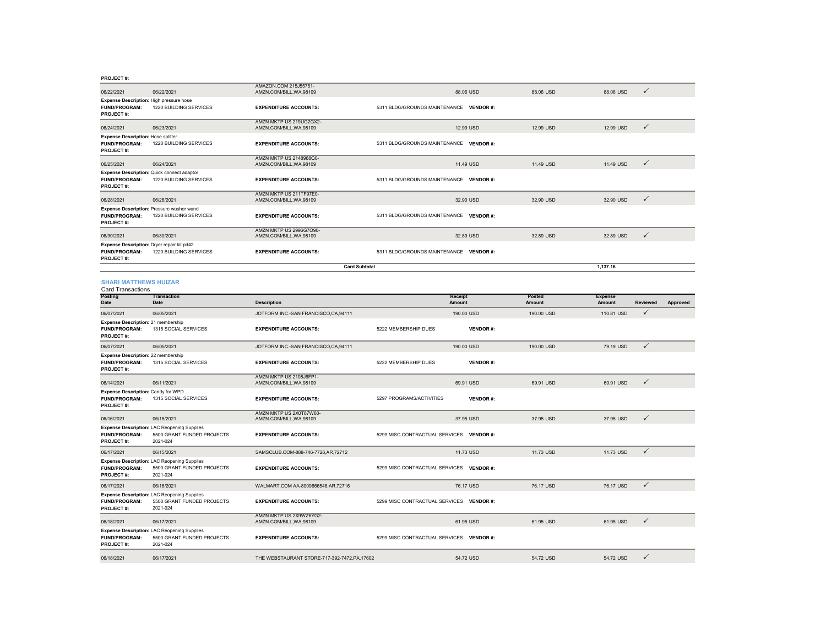#### **PROJECT #:**

|                                                                                       |                                                                                              | AMAZON.COM 215J55751-                               |                                          |                   |                  |                          |              |          |
|---------------------------------------------------------------------------------------|----------------------------------------------------------------------------------------------|-----------------------------------------------------|------------------------------------------|-------------------|------------------|--------------------------|--------------|----------|
| 06/22/2021                                                                            | 06/22/2021                                                                                   | AMZN.COM/BILL, WA, 98109                            |                                          | 88.06 USD         | 88.06 USD        | 88.06 USD                | ✓            |          |
| Expense Description: High pressure hose<br><b>FUND/PROGRAM:</b><br><b>PROJECT#:</b>   | 1220 BUILDING SERVICES                                                                       | <b>EXPENDITURE ACCOUNTS:</b>                        | 5311 BLDG/GROUNDS MAINTENANCE VENDOR #:  |                   |                  |                          |              |          |
| 06/24/2021                                                                            | 06/23/2021                                                                                   | AMZN MKTP US 219UG2GX2-<br>AMZN.COM/BILL.WA.98109   |                                          | 12.99 USD         | 12.99 USD        | 12.99 USD                | $\checkmark$ |          |
| <b>Expense Description: Hose splitter</b><br><b>FUND/PROGRAM:</b><br><b>PROJECT#:</b> | 1220 BUILDING SERVICES                                                                       | <b>EXPENDITURE ACCOUNTS:</b>                        | 5311 BLDG/GROUNDS MAINTENANCE VENDOR #:  |                   |                  |                          |              |          |
| 06/25/2021                                                                            | 06/24/2021                                                                                   | AMZN MKTP US 2148988Q0-<br>AMZN.COM/BILL, WA, 98109 |                                          | 11.49 USD         | 11.49 USD        | 11.49 USD                | $\checkmark$ |          |
| FUND/PROGRAM:<br><b>PROJECT#:</b>                                                     | Expense Description: Quick connect adaptor<br>1220 BUILDING SERVICES                         | <b>EXPENDITURE ACCOUNTS:</b>                        | 5311 BLDG/GROUNDS MAINTENANCE VENDOR #:  |                   |                  |                          |              |          |
| 06/28/2021                                                                            | 06/26/2021                                                                                   | AMZN MKTP US 211TF97E0-<br>AMZN.COM/BILL.WA.98109   |                                          | 32.90 USD         | 32.90 USD        | 32.90 USD                | ✓            |          |
| <b>FUND/PROGRAM:</b><br><b>PROJECT#:</b>                                              | Expense Description: Pressure washer wand<br>1220 BUILDING SERVICES                          | <b>EXPENDITURE ACCOUNTS:</b>                        | 5311 BLDG/GROUNDS MAINTENANCE VENDOR #:  |                   |                  |                          |              |          |
| 06/30/2021                                                                            | 06/30/2021                                                                                   | AMZN MKTP US 2996G7O90-<br>AMZN.COM/BILL, WA, 98109 |                                          | 32.89 USD         | 32.89 USD        | 32.89 USD                | $\checkmark$ |          |
| Expense Description: Dryer repair kit pd42<br>FUND/PROGRAM:<br>PROJECT#:              | 1220 BUILDING SERVICES                                                                       | <b>EXPENDITURE ACCOUNTS:</b>                        | 5311 BLDG/GROUNDS MAINTENANCE VENDOR #:  |                   |                  |                          |              |          |
|                                                                                       |                                                                                              | <b>Card Subtotal</b>                                |                                          |                   |                  | 1,137.16                 |              |          |
| <b>SHARI MATTHEWS HUIZAR</b><br><b>Card Transactions</b>                              |                                                                                              |                                                     |                                          |                   |                  |                          |              |          |
| Posting<br>Date                                                                       | <b>Transaction</b><br>Date                                                                   | <b>Description</b>                                  |                                          | Receipt<br>Amount | Posted<br>Amount | <b>Expense</b><br>Amount | Reviewed     | Approved |
| 06/07/2021                                                                            | 06/05/2021                                                                                   | JOTFORM INC.-SAN FRANCISCO,CA,94111                 |                                          | 190.00 USD        | 190.00 USD       | 110.81 USD               | $\checkmark$ |          |
| Expense Description: 21 membership<br><b>FUND/PROGRAM:</b><br><b>PROJECT#:</b>        | 1315 SOCIAL SERVICES                                                                         | <b>EXPENDITURE ACCOUNTS:</b>                        | 5222 MEMBERSHIP DUES                     | <b>VENDOR#:</b>   |                  |                          |              |          |
| 06/07/2021                                                                            | 06/05/2021                                                                                   | JOTFORM INC.-SAN FRANCISCO,CA,94111                 |                                          | 190.00 USD        | 190.00 USD       | 79.19 USD                | $\checkmark$ |          |
| <b>Expense Description: 22 membership</b><br>FUND/PROGRAM:<br><b>PROJECT#:</b>        | 1315 SOCIAL SERVICES                                                                         | <b>EXPENDITURE ACCOUNTS:</b>                        | 5222 MEMBERSHIP DUES                     | <b>VENDOR#:</b>   |                  |                          |              |          |
| 06/14/2021                                                                            | 06/11/2021                                                                                   | AMZN MKTP US 2108J6FP1-<br>AMZN.COM/BILL, WA, 98109 |                                          | 69.91 USD         | 69.91 USD        | 69.91 USD                | $\checkmark$ |          |
| Expense Description: Candy for WPD<br><b>FUND/PROGRAM:</b><br>PROJECT #:              | 1315 SOCIAL SERVICES                                                                         | <b>EXPENDITURE ACCOUNTS:</b>                        | 5297 PROGRAMS/ACTIVITIES                 | <b>VENDOR#:</b>   |                  |                          |              |          |
| 06/16/2021                                                                            | 06/15/2021                                                                                   | AMZN MKTP US 2X0T87W60-<br>AMZN.COM/BILL, WA, 98109 |                                          | 37.95 USD         | 37.95 USD        | 37.95 USD                | ✓            |          |
| <b>FUND/PROGRAM:</b><br>PROJECT#:                                                     | Expense Description: LAC Reopening Supplies<br>5500 GRANT FUNDED PROJECTS<br>2021-024        | <b>EXPENDITURE ACCOUNTS:</b>                        | 5299 MISC CONTRACTUAL SERVICES VENDOR #: |                   |                  |                          |              |          |
| 06/17/2021                                                                            | 06/15/2021                                                                                   | SAMSCLUB.COM-888-746-7726,AR,72712                  |                                          | 11.73 USD         | 11.73 USD        | 11.73 USD                | $\checkmark$ |          |
| <b>FUND/PROGRAM:</b><br>PROJECT#:                                                     | Expense Description: LAC Reopening Supplies<br>5500 GRANT FUNDED PROJECTS<br>2021-024        | <b>EXPENDITURE ACCOUNTS:</b>                        | 5299 MISC CONTRACTUAL SERVICES VENDOR #: |                   |                  |                          |              |          |
| 06/17/2021                                                                            | 06/16/2021                                                                                   | WALMART.COM AA-8009666546,AR,72716                  |                                          | 76.17 USD         | 76.17 USD        | 76.17 USD                | $\checkmark$ |          |
| <b>FUND/PROGRAM:</b><br><b>PROJECT#:</b>                                              | Expense Description: LAC Reopening Supplies<br>5500 GRANT FUNDED PROJECTS<br>2021-024        | <b>EXPENDITURE ACCOUNTS:</b>                        | 5299 MISC CONTRACTUAL SERVICES VENDOR #: |                   |                  |                          |              |          |
| 06/18/2021                                                                            | 06/17/2021                                                                                   | AMZN MKTP US 2X9WZ6YG2-<br>AMZN.COM/BILL, WA, 98109 |                                          | 61.95 USD         | 61.95 USD        | 61.95 USD                | $\checkmark$ |          |
| <b>FUND/PROGRAM:</b><br><b>PROJECT#:</b>                                              | <b>Expense Description: LAC Reopening Supplies</b><br>5500 GRANT FUNDED PROJECTS<br>2021-024 | <b>EXPENDITURE ACCOUNTS:</b>                        | 5299 MISC CONTRACTUAL SERVICES VENDOR #: |                   |                  |                          |              |          |
| 06/18/2021                                                                            | 06/17/2021                                                                                   | THE WEBSTAURANT STORE-717-392-7472.PA.17602         |                                          | 54.72 USD         | 54.72 USD        | 54.72 USD                | $\checkmark$ |          |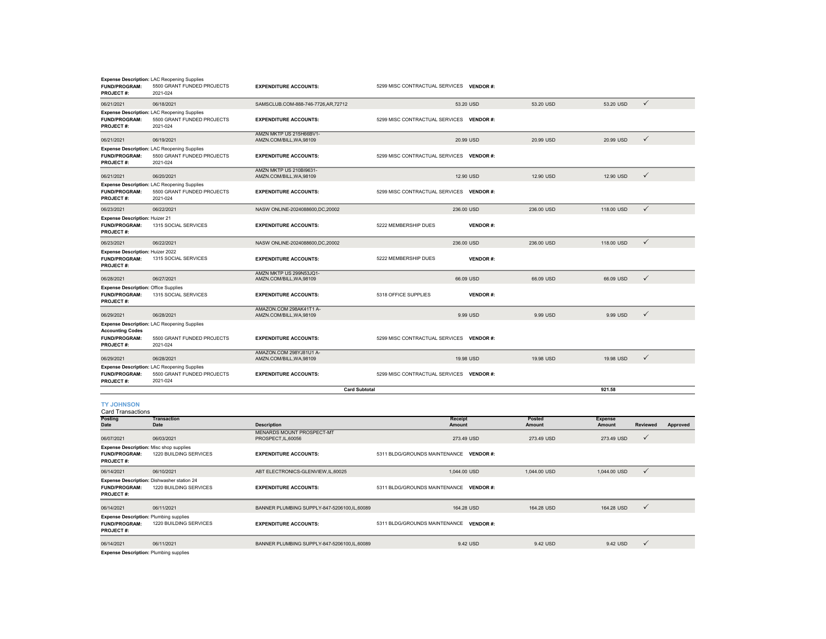| <b>FUND/PROGRAM:</b><br><b>PROJECT#:</b>                                                | <b>Expense Description: LAC Reopening Supplies</b><br>5500 GRANT FUNDED PROJECTS<br>2021-024 | <b>EXPENDITURE ACCOUNTS:</b>                            | 5299 MISC CONTRACTUAL SERVICES           | <b>VENDOR#:</b>          |                         |                          |                 |          |
|-----------------------------------------------------------------------------------------|----------------------------------------------------------------------------------------------|---------------------------------------------------------|------------------------------------------|--------------------------|-------------------------|--------------------------|-----------------|----------|
| 06/21/2021                                                                              | 06/18/2021                                                                                   | SAMSCLUB.COM-888-746-7726,AR,72712                      |                                          | 53.20 USD                | 53.20 USD               | 53.20 USD                | $\checkmark$    |          |
| <b>FUND/PROGRAM:</b><br><b>PROJECT#:</b>                                                | <b>Expense Description: LAC Reopening Supplies</b><br>5500 GRANT FUNDED PROJECTS<br>2021-024 | <b>EXPENDITURE ACCOUNTS:</b>                            | 5299 MISC CONTRACTUAL SERVICES VENDOR #: |                          |                         |                          |                 |          |
| 06/21/2021                                                                              | 06/19/2021                                                                                   | AMZN MKTP US 215H66BV1-<br>AMZN.COM/BILL, WA, 98109     |                                          | 20.99 USD                | 20.99 USD               | 20.99 USD                | $\checkmark$    |          |
| <b>FUND/PROGRAM:</b><br><b>PROJECT#:</b>                                                | <b>Expense Description: LAC Reopening Supplies</b><br>5500 GRANT FUNDED PROJECTS<br>2021-024 | <b>EXPENDITURE ACCOUNTS:</b>                            | 5299 MISC CONTRACTUAL SERVICES VENDOR #: |                          |                         |                          |                 |          |
| 06/21/2021                                                                              | 06/20/2021                                                                                   | AMZN MKTP US 210BI9631-<br>AMZN.COM/BILL, WA, 98109     |                                          | 12.90 USD                | 12.90 USD               | 12.90 USD                | $\checkmark$    |          |
| FUND/PROGRAM:<br>PROJECT#:                                                              | <b>Expense Description: LAC Reopening Supplies</b><br>5500 GRANT FUNDED PROJECTS<br>2021-024 | <b>EXPENDITURE ACCOUNTS:</b>                            | 5299 MISC CONTRACTUAL SERVICES VENDOR #: |                          |                         |                          |                 |          |
| 06/23/2021                                                                              | 06/22/2021                                                                                   | NASW ONLINE-2024088600.DC.20002                         |                                          | 236.00 USD               | 236,00 USD              | 118,00 USD               | $\checkmark$    |          |
| <b>Expense Description: Huizer 21</b><br><b>FUND/PROGRAM:</b><br><b>PROJECT#:</b>       | 1315 SOCIAL SERVICES                                                                         | <b>EXPENDITURE ACCOUNTS:</b>                            | 5222 MEMBERSHIP DUES                     | <b>VENDOR#:</b>          |                         |                          |                 |          |
| 06/23/2021                                                                              | 06/22/2021                                                                                   | NASW ONLINE-2024088600,DC,20002                         |                                          | 236.00 USD               | 236.00 USD              | 118.00 USD               | $\checkmark$    |          |
| <b>Expense Description: Huizer 2022</b><br><b>FUND/PROGRAM:</b><br><b>PROJECT#:</b>     | 1315 SOCIAL SERVICES                                                                         | <b>EXPENDITURE ACCOUNTS:</b>                            | 5222 MEMBERSHIP DUES                     | <b>VENDOR#:</b>          |                         |                          |                 |          |
| 06/28/2021                                                                              | 06/27/2021                                                                                   | AMZN MKTP US 299N53JQ1-<br>AMZN.COM/BILL, WA, 98109     |                                          | 66.09 USD                | 66.09 USD               | 66.09 USD                | $\checkmark$    |          |
| <b>Expense Description: Office Supplies</b><br><b>FUND/PROGRAM:</b><br><b>PROJECT#:</b> | 1315 SOCIAL SERVICES                                                                         | <b>EXPENDITURE ACCOUNTS:</b>                            | 5318 OFFICE SUPPLIES                     | <b>VENDOR#:</b>          |                         |                          |                 |          |
| 06/29/2021                                                                              | 06/28/2021                                                                                   | AMAZON.COM 298AK41T1 A-<br>AMZN.COM/BILL, WA, 98109     |                                          | 9.99 USD                 | 9.99 USD                | 9.99 USD                 | $\checkmark$    |          |
|                                                                                         | <b>Expense Description: LAC Reopening Supplies</b>                                           |                                                         |                                          |                          |                         |                          |                 |          |
| <b>Accounting Codes</b><br><b>FUND/PROGRAM:</b><br><b>PROJECT#:</b>                     | 5500 GRANT FUNDED PROJECTS<br>2021-024                                                       | <b>EXPENDITURE ACCOUNTS:</b>                            | 5299 MISC CONTRACTUAL SERVICES VENDOR #: |                          |                         |                          |                 |          |
| 06/29/2021                                                                              | 06/28/2021                                                                                   | AMAZON.COM 298YJ81U1 A-<br>AMZN.COM/BILL, WA, 98109     |                                          | 19.98 USD                | 19.98 USD               | 19.98 USD                | $\checkmark$    |          |
| <b>FUND/PROGRAM:</b><br><b>PROJECT#:</b>                                                | <b>Expense Description: LAC Reopening Supplies</b><br>5500 GRANT FUNDED PROJECTS<br>2021-024 | <b>EXPENDITURE ACCOUNTS:</b>                            | 5299 MISC CONTRACTUAL SERVICES VENDOR #: |                          |                         |                          |                 |          |
|                                                                                         |                                                                                              | <b>Card Subtotal</b>                                    |                                          |                          |                         | 921.58                   |                 |          |
| <b>TY JOHNSON</b><br><b>Card Transactions</b>                                           |                                                                                              |                                                         |                                          |                          |                         |                          |                 |          |
| <b>Posting</b><br>Date                                                                  | <b>Transaction</b><br>Date                                                                   | <b>Description</b>                                      |                                          | <b>Receipt</b><br>Amount | Posted<br><b>Amount</b> | <b>Expense</b><br>Amount | <b>Reviewed</b> | Approved |
| 06/07/2021                                                                              | 06/03/2021                                                                                   | <b>MENARDS MOUNT PROSPECT-MT</b><br>PROSPECT, IL, 60056 |                                          | 273.49 USD               | 273.49 USD              | 273.49 USD               | $\checkmark$    |          |
| <b>Expense Description: Misc shop supplies</b><br><b>FUND/PROGRAM:</b>                  | 1220 BUILDING SERVICES                                                                       | <b>EXPENDITURE ACCOUNTS:</b>                            | 5311 BLDG/GROUNDS MAINTENANCE VENDOR #:  |                          |                         |                          |                 |          |

| <b>PROJECT#:</b>                                                                          |                                                                      |                                             |                                         |              |              |              |  |
|-------------------------------------------------------------------------------------------|----------------------------------------------------------------------|---------------------------------------------|-----------------------------------------|--------------|--------------|--------------|--|
| 06/14/2021                                                                                | 06/10/2021                                                           | ABT ELECTRONICS-GLENVIEW, IL, 60025         | 1.044.00 USD                            | 1.044.00 USD | 1.044.00 USD | $\checkmark$ |  |
| <b>FUND/PROGRAM:</b><br><b>PROJECT#:</b>                                                  | Expense Description: Dishwasher station 24<br>1220 BUILDING SERVICES | <b>EXPENDITURE ACCOUNTS:</b>                | 5311 BLDG/GROUNDS MAINTENANCE VENDOR #: |              |              |              |  |
| 06/14/2021                                                                                | 06/11/2021                                                           | BANNER PLUMBING SUPPLY-847-5206100,IL,60089 | 164.28 USD                              | 164.28 USD   | 164,28 USD   | $\checkmark$ |  |
| <b>Expense Description: Plumbing supplies</b><br><b>FUND/PROGRAM:</b><br><b>PROJECT#:</b> | 1220 BUILDING SERVICES                                               | <b>EXPENDITURE ACCOUNTS:</b>                | 5311 BLDG/GROUNDS MAINTENANCE VENDOR #: |              |              |              |  |
| 06/14/2021                                                                                | 06/11/2021                                                           | BANNER PLUMBING SUPPLY-847-5206100.IL.60089 | 9.42 USD                                | 9.42 USD     | 9.42 USD     | $\checkmark$ |  |

**Expense Description:** Plumbing supplies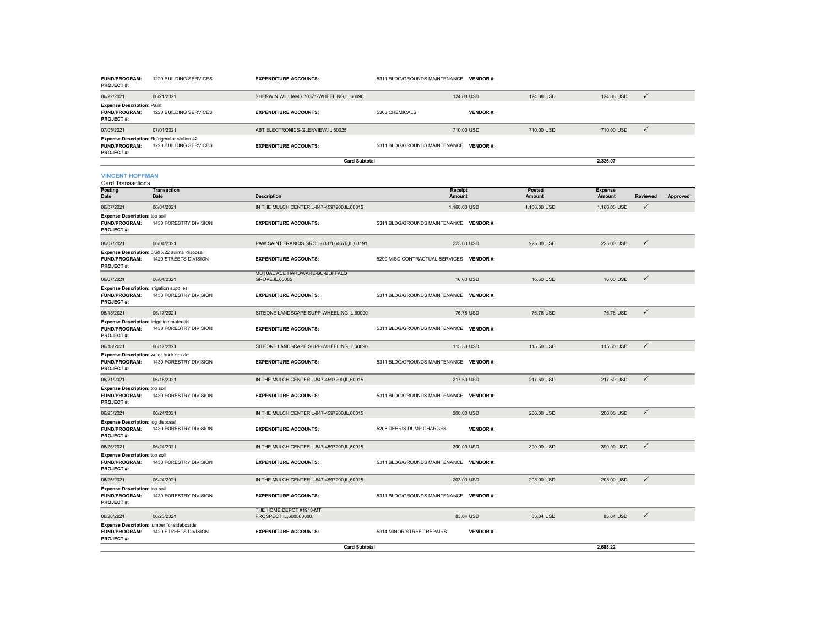| <b>FUND/PROGRAM:</b><br><b>PROJECT#:</b>                                                    | 1220 BUILDING SERVICES                                                 | <b>EXPENDITURE ACCOUNTS:</b>                       | 5311 BLDG/GROUNDS MAINTENANCE VENDOR #:  |                 |                  |                          |              |          |
|---------------------------------------------------------------------------------------------|------------------------------------------------------------------------|----------------------------------------------------|------------------------------------------|-----------------|------------------|--------------------------|--------------|----------|
| 06/22/2021                                                                                  | 06/21/2021                                                             | SHERWIN WILLIAMS 70371-WHEELING,IL,60090           | 124.88 USD                               |                 | 124.88 USD       | 124.88 USD               | $\checkmark$ |          |
| <b>Expense Description: Paint</b><br>FUND/PROGRAM:<br><b>PROJECT#:</b>                      | 1220 BUILDING SERVICES                                                 | <b>EXPENDITURE ACCOUNTS:</b>                       | 5303 CHEMICALS                           | <b>VENDOR#:</b> |                  |                          |              |          |
| 07/05/2021                                                                                  | 07/01/2021                                                             | ABT ELECTRONICS-GLENVIEW, IL, 60025                | 710.00 USD                               |                 | 710.00 USD       | 710.00 USD               | $\checkmark$ |          |
| Expense Description: Refrigerator station 42<br><b>FUND/PROGRAM:</b><br><b>PROJECT#:</b>    | 1220 BUILDING SERVICES                                                 | <b>EXPENDITURE ACCOUNTS:</b>                       | 5311 BLDG/GROUNDS MAINTENANCE VENDOR #:  |                 |                  |                          |              |          |
|                                                                                             |                                                                        | <b>Card Subtotal</b>                               |                                          |                 |                  | 2.326.07                 |              |          |
| <b>VINCENT HOFFMAN</b><br><b>Card Transactions</b>                                          |                                                                        |                                                    |                                          |                 |                  |                          |              |          |
| Posting<br>Date                                                                             | <b>Transaction</b><br>Date                                             | <b>Description</b>                                 | Receipt<br>Amount                        |                 | Posted<br>Amount | <b>Expense</b><br>Amount | Reviewed     | Approved |
| 06/07/2021                                                                                  | 06/04/2021                                                             | IN THE MULCH CENTER L-847-4597200,IL,60015         | 1,160.00 USD                             |                 | 1,160.00 USD     | 1,160.00 USD             | ✓            |          |
| <b>Expense Description:</b> top soil<br><b>FUND/PROGRAM:</b><br>PROJECT#:                   | 1430 FORESTRY DIVISION                                                 | <b>EXPENDITURE ACCOUNTS:</b>                       | 5311 BLDG/GROUNDS MAINTENANCE VENDOR #:  |                 |                  |                          |              |          |
| 06/07/2021                                                                                  | 06/04/2021                                                             | PAW SAINT FRANCIS GROU-6307664676,IL,60191         | 225.00 USD                               |                 | 225.00 USD       | 225.00 USD               | $\checkmark$ |          |
| <b>FUND/PROGRAM:</b><br><b>PROJECT#:</b>                                                    | Expense Description: 5/6&5/22 animal disposal<br>1420 STREETS DIVISION | <b>EXPENDITURE ACCOUNTS:</b>                       | 5299 MISC CONTRACTUAL SERVICES VENDOR #: |                 |                  |                          |              |          |
| 06/07/2021                                                                                  | 06/04/2021                                                             | MUTUAL ACE HARDWARE-BU-BUFFALO<br>GROVE, IL, 60085 | 16,60 USD                                |                 | 16,60 USD        | 16,60 USD                | $\checkmark$ |          |
| <b>Expense Description: irrigation supplies</b><br><b>FUND/PROGRAM:</b><br><b>PROJECT#:</b> | 1430 FORESTRY DIVISION                                                 | <b>EXPENDITURE ACCOUNTS:</b>                       | 5311 BLDG/GROUNDS MAINTENANCE VENDOR #:  |                 |                  |                          |              |          |
| 06/18/2021                                                                                  | 06/17/2021                                                             | SITEONE LANDSCAPE SUPP-WHEELING.IL.60090           | 76.78 USD                                |                 | 76.78 USD        | 76,78 USD                | $\checkmark$ |          |
| <b>Expense Description: Irrigation materials</b><br><b>FUND/PROGRAM:</b><br>PROJECT#:       | 1430 FORESTRY DIVISION                                                 | <b>EXPENDITURE ACCOUNTS:</b>                       | 5311 BLDG/GROUNDS MAINTENANCE VENDOR #:  |                 |                  |                          |              |          |
| 06/18/2021                                                                                  | 06/17/2021                                                             | SITEONE LANDSCAPE SUPP-WHEELING,IL,60090           | 115.50 USD                               |                 | 115.50 USD       | 115.50 USD               | $\checkmark$ |          |
| Expense Description: water truck nozzle<br><b>FUND/PROGRAM:</b><br>PROJECT#:                | 1430 FORESTRY DIVISION                                                 | <b>EXPENDITURE ACCOUNTS:</b>                       | 5311 BLDG/GROUNDS MAINTENANCE VENDOR #:  |                 |                  |                          |              |          |
| 06/21/2021                                                                                  | 06/18/2021                                                             | IN THE MULCH CENTER L-847-4597200,IL,60015         | 217.50 USD                               |                 | 217.50 USD       | 217.50 USD               | $\checkmark$ |          |
| <b>Expense Description:</b> top soil<br><b>FUND/PROGRAM:</b><br>PROJECT#:                   | 1430 FORESTRY DIVISION                                                 | <b>EXPENDITURE ACCOUNTS:</b>                       | 5311 BLDG/GROUNDS MAINTENANCE VENDOR #:  |                 |                  |                          |              |          |
| 06/25/2021                                                                                  | 06/24/2021                                                             | IN THE MULCH CENTER L-847-4597200.IL.60015         | 200.00 USD                               |                 | 200.00 USD       | 200.00 USD               | $\checkmark$ |          |
| <b>Expense Description: log disposal</b><br><b>FUND/PROGRAM:</b><br>PROJECT#:               | 1430 FORESTRY DIVISION                                                 | <b>EXPENDITURE ACCOUNTS:</b>                       | 5208 DEBRIS DUMP CHARGES                 | <b>VENDOR#:</b> |                  |                          |              |          |
| 06/25/2021                                                                                  | 06/24/2021                                                             | IN THE MULCH CENTER L-847-4597200,IL,60015         | 390.00 USD                               |                 | 390.00 USD       | 390.00 USD               | $\checkmark$ |          |
| <b>Expense Description:</b> top soil<br><b>FUND/PROGRAM:</b><br><b>PROJECT#:</b>            | 1430 FORESTRY DIVISION                                                 | <b>EXPENDITURE ACCOUNTS:</b>                       | 5311 BLDG/GROUNDS MAINTENANCE VENDOR #:  |                 |                  |                          |              |          |
| 06/25/2021                                                                                  | 06/24/2021                                                             | IN THE MULCH CENTER L-847-4597200,IL,60015         | 203.00 USD                               |                 | 203.00 USD       | 203.00 USD               | $\checkmark$ |          |
| <b>Expense Description:</b> top soil<br>FUND/PROGRAM:<br><b>PROJECT#:</b>                   | 1430 FORESTRY DIVISION                                                 | <b>EXPENDITURE ACCOUNTS:</b>                       | 5311 BLDG/GROUNDS MAINTENANCE VENDOR #:  |                 |                  |                          |              |          |
| 06/28/2021                                                                                  | 06/25/2021                                                             | THE HOME DEPOT #1913-MT<br>PROSPECT, IL, 600560000 | 83.84 USD                                |                 | 83.84 USD        | 83.84 USD                | $\checkmark$ |          |
| Expense Description: lumber for sideboards<br><b>FUND/PROGRAM:</b><br>PROJECT#:             | 1420 STREETS DIVISION                                                  | <b>EXPENDITURE ACCOUNTS:</b>                       | 5314 MINOR STREET REPAIRS                | <b>VENDOR#:</b> |                  |                          |              |          |
|                                                                                             |                                                                        | <b>Card Subtotal</b>                               |                                          |                 |                  | 2,688.22                 |              |          |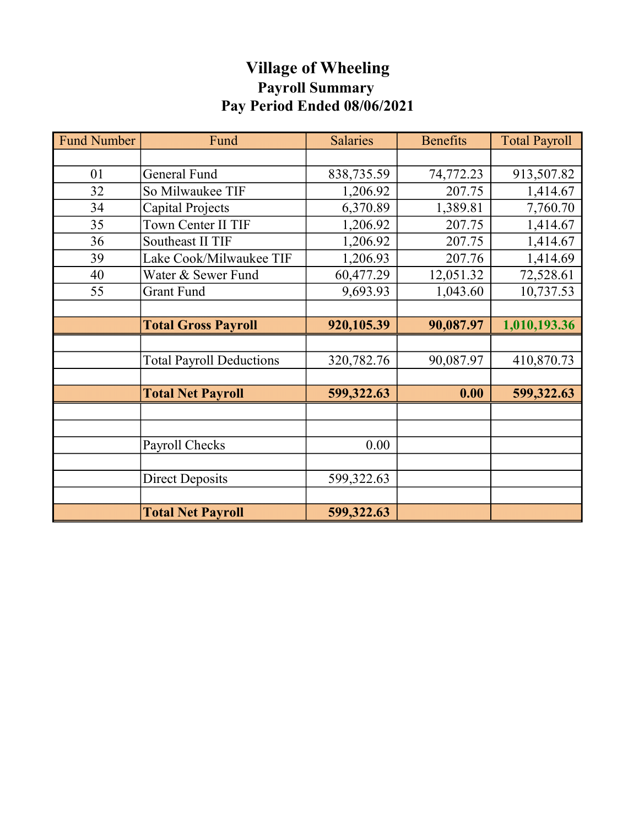# Village of Wheeling Payroll Summary Pay Period Ended 08/06/2021

| <b>Fund Number</b> | Fund                            | <b>Salaries</b> | <b>Benefits</b> | <b>Total Payroll</b> |
|--------------------|---------------------------------|-----------------|-----------------|----------------------|
|                    |                                 |                 |                 |                      |
| 01                 | <b>General Fund</b>             | 838,735.59      | 74,772.23       | 913,507.82           |
| 32                 | So Milwaukee TIF                | 1,206.92        | 207.75          | 1,414.67             |
| 34                 | Capital Projects                | 6,370.89        | 1,389.81        | 7,760.70             |
| 35                 | Town Center II TIF              | 1,206.92        | 207.75          | 1,414.67             |
| 36                 | Southeast II TIF                | 1,206.92        | 207.75          | 1,414.67             |
| 39                 | Lake Cook/Milwaukee TIF         | 1,206.93        | 207.76          | 1,414.69             |
| 40                 | Water & Sewer Fund              | 60,477.29       | 12,051.32       | 72,528.61            |
| 55                 | Grant Fund                      | 9,693.93        | 1,043.60        | 10,737.53            |
|                    |                                 |                 |                 |                      |
|                    | <b>Total Gross Payroll</b>      | 920,105.39      | 90,087.97       | 1,010,193.36         |
|                    |                                 |                 |                 |                      |
|                    | <b>Total Payroll Deductions</b> | 320,782.76      | 90,087.97       | 410,870.73           |
|                    |                                 |                 |                 |                      |
|                    | <b>Total Net Payroll</b>        | 599,322.63      | 0.00            | 599,322.63           |
|                    |                                 |                 |                 |                      |
|                    |                                 |                 |                 |                      |
|                    | Payroll Checks                  | 0.00            |                 |                      |
|                    |                                 |                 |                 |                      |
|                    | <b>Direct Deposits</b>          | 599,322.63      |                 |                      |
|                    |                                 |                 |                 |                      |
|                    | <b>Total Net Payroll</b>        | 599,322.63      |                 |                      |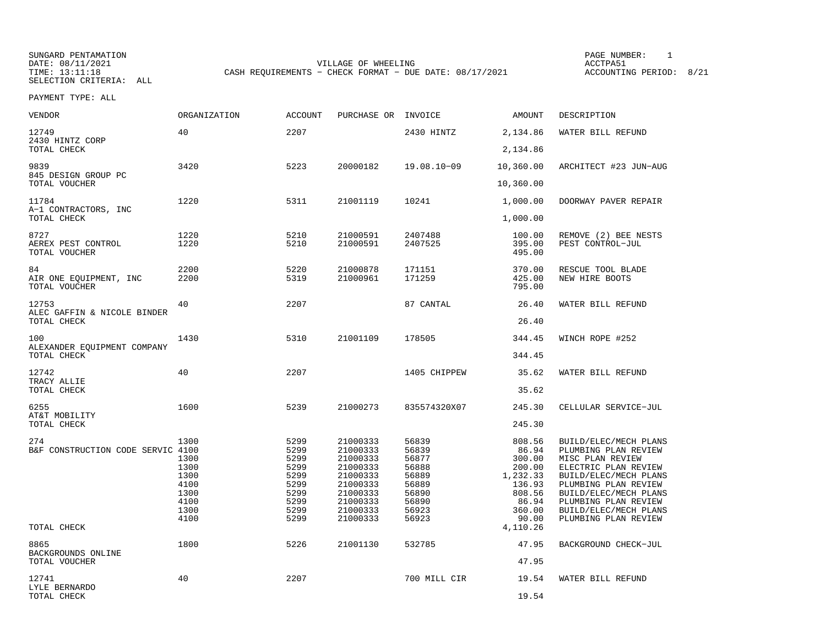SELECTION CRITERIA: ALL

SUNGARD PENTAMATION SUNGARD PENTAMATION SUNGARD PAGE NUMBER: 1 DATE: 08/11/2021 VILLAGE OF WHEELING ACCTPA51CASH REQUIREMENTS - CHECK FORMAT - DUE DATE: 08/17/2021

| DESCRIPTION                                                                                                                                                                                                                                  | <b>AMOUNT</b>                                                                         |                                                                               | PURCHASE OR INVOICE                                                                                      | <b>ACCOUNT</b>                                                       | <b>ORGANIZATION</b>                                          | VENDOR                                                                                   |
|----------------------------------------------------------------------------------------------------------------------------------------------------------------------------------------------------------------------------------------------|---------------------------------------------------------------------------------------|-------------------------------------------------------------------------------|----------------------------------------------------------------------------------------------------------|----------------------------------------------------------------------|--------------------------------------------------------------|------------------------------------------------------------------------------------------|
| WATER BILL REFUND                                                                                                                                                                                                                            | 2,134.86                                                                              | 2430 HINTZ                                                                    |                                                                                                          | 2207                                                                 | 40                                                           | 12749<br>2430 HINTZ CORP                                                                 |
|                                                                                                                                                                                                                                              | 2,134.86                                                                              |                                                                               |                                                                                                          |                                                                      |                                                              | TOTAL CHECK                                                                              |
| ARCHITECT #23 JUN-AUG                                                                                                                                                                                                                        | 10,360.00                                                                             | $19.08.10 - 09$                                                               | 20000182                                                                                                 | 5223                                                                 | 3420                                                         | 9839<br>845 DESIGN GROUP PC                                                              |
|                                                                                                                                                                                                                                              | 10,360.00                                                                             |                                                                               |                                                                                                          |                                                                      |                                                              | TOTAL VOUCHER                                                                            |
| DOORWAY PAVER REPAIR                                                                                                                                                                                                                         | 1,000.00<br>1,000.00                                                                  | 10241                                                                         | 21001119                                                                                                 | 5311                                                                 | 1220                                                         | 11784<br>A-1 CONTRACTORS, INC<br>TOTAL CHECK                                             |
|                                                                                                                                                                                                                                              |                                                                                       |                                                                               |                                                                                                          |                                                                      |                                                              |                                                                                          |
| REMOVE (2) BEE NESTS<br>PEST CONTROL-JUL                                                                                                                                                                                                     | 100.00<br>395.00<br>495.00                                                            | 2407488<br>2407525                                                            | 21000591<br>21000591                                                                                     | 5210<br>5210                                                         | 1220<br>1220                                                 | 8727<br>AEREX PEST CONTROL<br>TOTAL VOUCHER                                              |
| RESCUE TOOL BLADE<br>NEW HIRE BOOTS                                                                                                                                                                                                          | 370.00<br>425.00<br>795.00                                                            | 171151<br>171259                                                              | 21000878<br>21000961                                                                                     | 5220<br>5319                                                         | 2200<br>2200                                                 | 84<br>AIR ONE EQUIPMENT, INC<br>TOTAL VOUCHER                                            |
|                                                                                                                                                                                                                                              |                                                                                       |                                                                               |                                                                                                          |                                                                      | 40                                                           |                                                                                          |
| WATER BILL REFUND                                                                                                                                                                                                                            | 26.40                                                                                 | 87 CANTAL                                                                     |                                                                                                          | 2207                                                                 |                                                              | 12753<br>ALEC GAFFIN & NICOLE BINDER                                                     |
|                                                                                                                                                                                                                                              | 26.40                                                                                 |                                                                               |                                                                                                          |                                                                      |                                                              | TOTAL CHECK                                                                              |
| WINCH ROPE #252                                                                                                                                                                                                                              | 344.45                                                                                | 178505                                                                        | 21001109                                                                                                 | 5310                                                                 | 1430                                                         | 100<br>ALEXANDER EQUIPMENT COMPANY                                                       |
|                                                                                                                                                                                                                                              |                                                                                       |                                                                               |                                                                                                          |                                                                      |                                                              |                                                                                          |
| WATER BILL REFUND                                                                                                                                                                                                                            | 35.62                                                                                 | 1405 CHIPPEW                                                                  |                                                                                                          | 2207                                                                 | 40                                                           | 12742<br>TRACY ALLIE                                                                     |
|                                                                                                                                                                                                                                              |                                                                                       |                                                                               |                                                                                                          |                                                                      |                                                              |                                                                                          |
| CELLULAR SERVICE-JUL                                                                                                                                                                                                                         |                                                                                       |                                                                               |                                                                                                          |                                                                      |                                                              | AT&T MOBILITY                                                                            |
|                                                                                                                                                                                                                                              |                                                                                       |                                                                               |                                                                                                          |                                                                      |                                                              |                                                                                          |
| BUILD/ELEC/MECH PLANS<br>PLUMBING PLAN REVIEW<br>MISC PLAN REVIEW<br>ELECTRIC PLAN REVIEW<br>BUILD/ELEC/MECH PLANS<br>PLUMBING PLAN REVIEW<br>BUILD/ELEC/MECH PLANS<br>PLUMBING PLAN REVIEW<br>BUILD/ELEC/MECH PLANS<br>PLUMBING PLAN REVIEW | 86.94<br>300.00<br>200.00<br>1,232.33<br>136.93<br>808.56<br>86.94<br>360.00<br>90.00 | 56839<br>56877<br>56888<br>56889<br>56889<br>56890<br>56890<br>56923<br>56923 | 21000333<br>21000333<br>21000333<br>21000333<br>21000333<br>21000333<br>21000333<br>21000333<br>21000333 | 5299<br>5299<br>5299<br>5299<br>5299<br>5299<br>5299<br>5299<br>5299 | 1300<br>1300<br>1300<br>4100<br>1300<br>4100<br>1300<br>4100 | B&F CONSTRUCTION CODE SERVIC 4100                                                        |
|                                                                                                                                                                                                                                              | 4,110.26                                                                              |                                                                               |                                                                                                          |                                                                      |                                                              | TOTAL CHECK                                                                              |
| BACKGROUND CHECK-JUL                                                                                                                                                                                                                         | 47.95                                                                                 | 532785                                                                        | 21001130                                                                                                 | 5226                                                                 | 1800                                                         | 8865<br>BACKGROUNDS ONLINE                                                               |
|                                                                                                                                                                                                                                              |                                                                                       |                                                                               |                                                                                                          |                                                                      |                                                              |                                                                                          |
| WATER BILL REFUND                                                                                                                                                                                                                            | 19.54                                                                                 | 700 MILL CIR                                                                  |                                                                                                          | 2207                                                                 | 40                                                           | 12741<br>LYLE BERNARDO                                                                   |
|                                                                                                                                                                                                                                              | 344.45<br>35.62<br>245.30<br>245.30<br>808.56<br>47.95<br>19.54                       | 835574320X07<br>56839                                                         | 21000273<br>21000333                                                                                     | 5239<br>5299                                                         | 1600<br>1300                                                 | TOTAL CHECK<br>TOTAL CHECK<br>6255<br>TOTAL CHECK<br>274<br>TOTAL VOUCHER<br>TOTAL CHECK |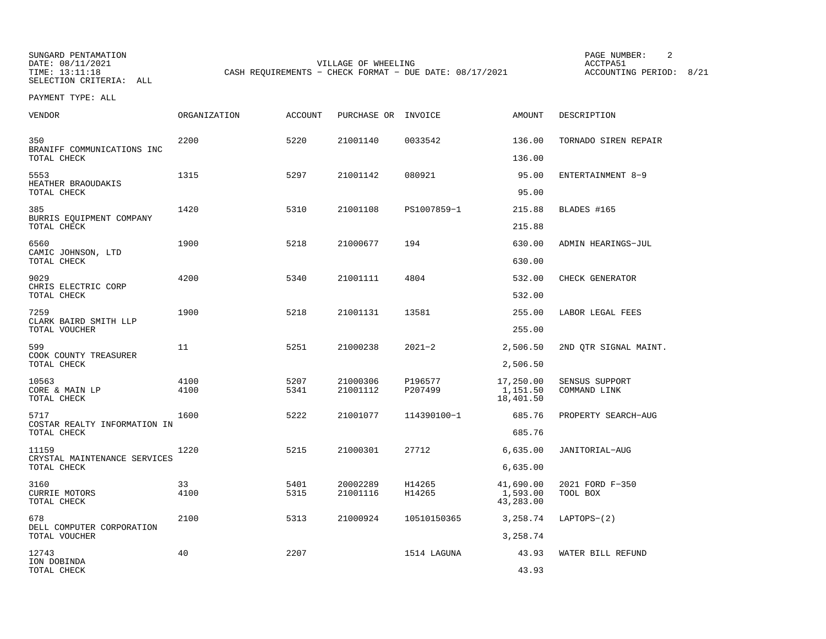SUNGARD PENTAMATION PAGE NUMBER: 2

SELECTION CRITERIA: ALL

VILLAGE OF WHEELING **ACCTPA51** TIME: 13:11:18 CASH REQUIREMENTS - CHECK FORMAT - DUE DATE: 08/17/2021

ACCOUNTING PERIOD: 8/21

| VENDOR                                               | <b>ORGANIZATION</b> | <b>ACCOUNT</b> | PURCHASE OR INVOICE  |                    | <b>AMOUNT</b>                      | DESCRIPTION                    |
|------------------------------------------------------|---------------------|----------------|----------------------|--------------------|------------------------------------|--------------------------------|
| 350<br>BRANIFF COMMUNICATIONS INC                    | 2200                | 5220           | 21001140             | 0033542            | 136.00                             | TORNADO SIREN REPAIR           |
| TOTAL CHECK                                          |                     |                |                      |                    | 136.00                             |                                |
| 5553<br>HEATHER BRAOUDAKIS<br>TOTAL CHECK            | 1315                | 5297           | 21001142             | 080921             | 95.00<br>95.00                     | ENTERTAINMENT 8-9              |
| 385<br>BURRIS EQUIPMENT COMPANY<br>TOTAL CHECK       | 1420                | 5310           | 21001108             | PS1007859-1        | 215.88<br>215.88                   | BLADES #165                    |
| 6560<br>CAMIC JOHNSON, LTD<br>TOTAL CHECK            | 1900                | 5218           | 21000677             | 194                | 630.00<br>630.00                   | ADMIN HEARINGS-JUL             |
| 9029<br>CHRIS ELECTRIC CORP<br>TOTAL CHECK           | 4200                | 5340           | 21001111             | 4804               | 532.00<br>532.00                   | CHECK GENERATOR                |
| 7259<br>CLARK BAIRD SMITH LLP<br>TOTAL VOUCHER       | 1900                | 5218           | 21001131             | 13581              | 255.00<br>255.00                   | LABOR LEGAL FEES               |
| 599<br>COOK COUNTY TREASURER<br>TOTAL CHECK          | 11                  | 5251           | 21000238             | $2021 - 2$         | 2,506.50<br>2,506.50               | 2ND QTR SIGNAL MAINT.          |
| 10563<br>CORE & MAIN LP<br>TOTAL CHECK               | 4100<br>4100        | 5207<br>5341   | 21000306<br>21001112 | P196577<br>P207499 | 17,250.00<br>1,151.50<br>18,401.50 | SENSUS SUPPORT<br>COMMAND LINK |
| 5717<br>COSTAR REALTY INFORMATION IN<br>TOTAL CHECK  | 1600                | 5222           | 21001077             | 114390100-1        | 685.76<br>685.76                   | PROPERTY SEARCH-AUG            |
| 11159<br>CRYSTAL MAINTENANCE SERVICES<br>TOTAL CHECK | 1220                | 5215           | 21000301             | 27712              | 6,635.00<br>6,635.00               | JANITORIAL-AUG                 |
| 3160<br><b>CURRIE MOTORS</b><br>TOTAL CHECK          | 33<br>4100          | 5401<br>5315   | 20002289<br>21001116 | H14265<br>H14265   | 41,690.00<br>1,593.00<br>43,283.00 | 2021 FORD F-350<br>TOOL BOX    |
| 678<br>DELL COMPUTER CORPORATION<br>TOTAL VOUCHER    | 2100                | 5313           | 21000924             | 10510150365        | 3,258.74                           | $LAPTOPS (2)$                  |
| 12743<br>ION DOBINDA<br>TOTAL CHECK                  | 40                  | 2207           |                      | 1514 LAGUNA        | 3,258.74<br>43.93<br>43.93         | WATER BILL REFUND              |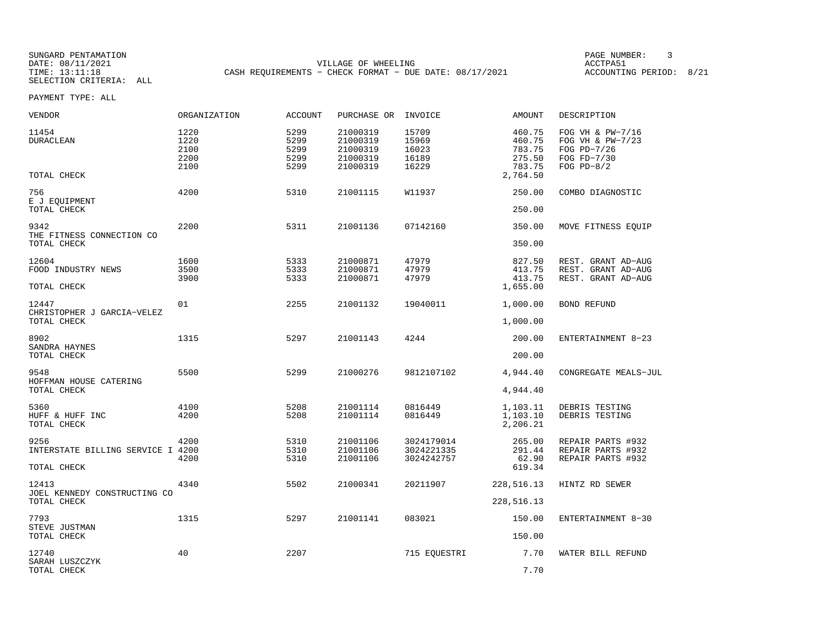SELECTION CRITERIA: ALL

SUNGARD PENTAMATION PAGE NUMBER: 3VILLAGE OF WHEELING **ACCTPA51** TIME: 13:11:18 CASH REQUIREMENTS - CHECK FORMAT - DUE DATE: 08/17/2021

| VENDOR                                        | ORGANIZATION                         | <b>ACCOUNT</b>                       | PURCHASE OR INVOICE                                      |                                           | AMOUNT                                                     | DESCRIPTION                                                                        |
|-----------------------------------------------|--------------------------------------|--------------------------------------|----------------------------------------------------------|-------------------------------------------|------------------------------------------------------------|------------------------------------------------------------------------------------|
| 11454<br><b>DURACLEAN</b><br>TOTAL CHECK      | 1220<br>1220<br>2100<br>2200<br>2100 | 5299<br>5299<br>5299<br>5299<br>5299 | 21000319<br>21000319<br>21000319<br>21000319<br>21000319 | 15709<br>15969<br>16023<br>16189<br>16229 | 460.75<br>460.75<br>783.75<br>275.50<br>783.75<br>2,764.50 | FOG VH & PW-7/16<br>FOG VH & PW-7/23<br>FOG PD-7/26<br>FOG FD-7/30<br>FOG $PD-8/2$ |
| 756                                           | 4200                                 | 5310                                 | 21001115                                                 | W11937                                    | 250.00                                                     |                                                                                    |
| E J EQUIPMENT<br>TOTAL CHECK                  |                                      |                                      |                                                          |                                           | 250.00                                                     | COMBO DIAGNOSTIC                                                                   |
| 9342<br>THE FITNESS CONNECTION CO             | 2200                                 | 5311                                 | 21001136                                                 | 07142160                                  | 350.00                                                     | MOVE FITNESS EQUIP                                                                 |
| TOTAL CHECK                                   |                                      |                                      |                                                          |                                           | 350.00                                                     |                                                                                    |
| 12604<br>FOOD INDUSTRY NEWS<br>TOTAL CHECK    | 1600<br>3500<br>3900                 | 5333<br>5333<br>5333                 | 21000871<br>21000871<br>21000871                         | 47979<br>47979<br>47979                   | 827.50<br>413.75<br>413.75<br>1,655.00                     | REST. GRANT AD-AUG<br>REST. GRANT AD-AUG<br>REST. GRANT AD-AUG                     |
| 12447                                         | 01                                   | 2255                                 | 21001132                                                 | 19040011                                  | 1,000.00                                                   | BOND REFUND                                                                        |
| CHRISTOPHER J GARCIA-VELEZ<br>TOTAL CHECK     |                                      |                                      |                                                          |                                           | 1,000.00                                                   |                                                                                    |
| 8902<br>SANDRA HAYNES                         | 1315                                 | 5297                                 | 21001143                                                 | 4244                                      | 200.00                                                     | ENTERTAINMENT 8-23                                                                 |
| TOTAL CHECK                                   |                                      |                                      |                                                          |                                           | 200.00                                                     |                                                                                    |
| 9548<br>HOFFMAN HOUSE CATERING<br>TOTAL CHECK | 5500                                 | 5299                                 | 21000276                                                 | 9812107102                                | 4,944.40<br>4,944.40                                       | CONGREGATE MEALS-JUL                                                               |
|                                               |                                      |                                      |                                                          |                                           |                                                            |                                                                                    |
| 5360<br>HUFF & HUFF INC<br>TOTAL CHECK        | 4100<br>4200                         | 5208<br>5208                         | 21001114<br>21001114                                     | 0816449<br>0816449                        | 1,103.11<br>1,103.10<br>2,206.21                           | DEBRIS TESTING<br>DEBRIS TESTING                                                   |
| 9256<br>INTERSTATE BILLING SERVICE I 4200     | 4200                                 | 5310<br>5310                         | 21001106<br>21001106                                     | 3024179014<br>3024221335                  | 265.00<br>291.44                                           | REPAIR PARTS #932<br>REPAIR PARTS #932                                             |
| TOTAL CHECK                                   | 4200                                 | 5310                                 | 21001106                                                 | 3024242757                                | 62.90<br>619.34                                            | REPAIR PARTS #932                                                                  |
| 12413<br>JOEL KENNEDY CONSTRUCTING CO         | 4340                                 | 5502                                 | 21000341                                                 | 20211907                                  | 228,516.13                                                 | HINTZ RD SEWER                                                                     |
| TOTAL CHECK                                   |                                      |                                      |                                                          |                                           | 228,516.13                                                 |                                                                                    |
| 7793<br>STEVE JUSTMAN                         | 1315                                 | 5297                                 | 21001141                                                 | 083021                                    | 150.00                                                     | ENTERTAINMENT 8-30                                                                 |
| TOTAL CHECK                                   |                                      |                                      |                                                          |                                           | 150.00                                                     |                                                                                    |
| 12740<br>SARAH LUSZCZYK                       | 40                                   | 2207                                 |                                                          | 715 EQUESTRI                              | 7.70                                                       | WATER BILL REFUND                                                                  |
| TOTAL CHECK                                   |                                      |                                      |                                                          |                                           | 7.70                                                       |                                                                                    |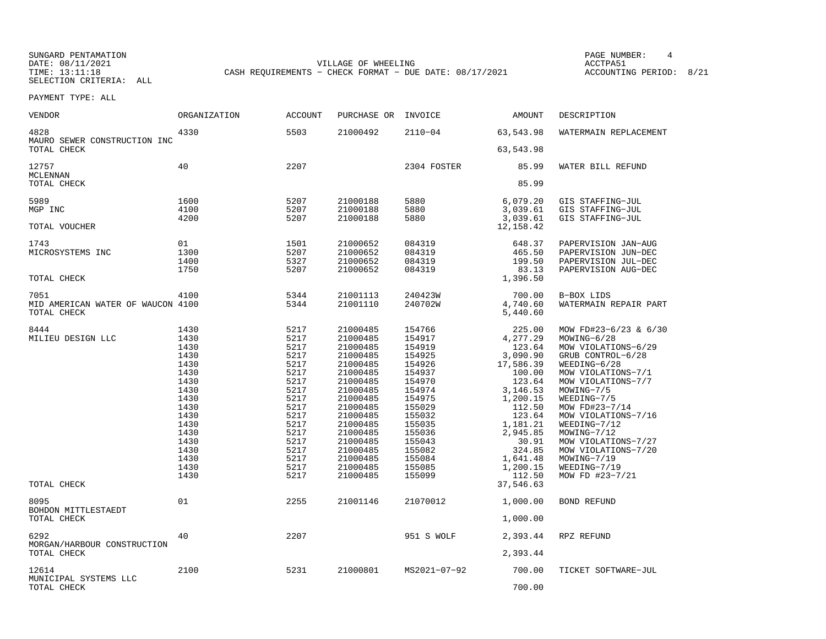SUNGARD PENTAMATION PAGE NUMBER: 4SELECTION CRITERIA: ALL

VILLAGE OF WHEELING **ACCTPA51** TIME: 13:11:18 CASH REQUIREMENTS - CHECK FORMAT - DUE DATE: 08/17/2021

ACCOUNTING PERIOD: 8/21

| <b>VENDOR</b>                              | <b>ORGANIZATION</b> | <b>ACCOUNT</b> | PURCHASE OR          | INVOICE          | <b>AMOUNT</b>          | DESCRIPTION                                |
|--------------------------------------------|---------------------|----------------|----------------------|------------------|------------------------|--------------------------------------------|
| 4828<br>MAURO SEWER CONSTRUCTION INC       | 4330                | 5503           | 21000492             | $2110 - 04$      | 63,543.98              | WATERMAIN REPLACEMENT                      |
| TOTAL CHECK                                |                     |                |                      |                  | 63,543.98              |                                            |
| 12757<br>MCLENNAN                          | 40                  | 2207           |                      | 2304 FOSTER      | 85.99                  | WATER BILL REFUND                          |
| TOTAL CHECK                                |                     |                |                      |                  | 85.99                  |                                            |
| 5989                                       | 1600                | 5207           | 21000188             | 5880             | 6,079.20               | GIS STAFFING-JUL                           |
| MGP INC                                    | 4100<br>4200        | 5207<br>5207   | 21000188             | 5880<br>5880     | 3,039.61               | GIS STAFFING-JUL                           |
| TOTAL VOUCHER                              |                     |                | 21000188             |                  | 3,039.61<br>12, 158.42 | GIS STAFFING-JUL                           |
| 1743                                       | 01                  | 1501           | 21000652             | 084319           | 648.37                 | PAPERVISION JAN-AUG                        |
| MICROSYSTEMS INC                           | 1300                | 5207           | 21000652             | 084319           | 465.50                 | PAPERVISION JUN-DEC                        |
|                                            | 1400<br>1750        | 5327<br>5207   | 21000652<br>21000652 | 084319<br>084319 | 199.50<br>83.13        | PAPERVISION JUL-DEC<br>PAPERVISION AUG-DEC |
| TOTAL CHECK                                |                     |                |                      |                  | 1,396.50               |                                            |
| 7051                                       | 4100                | 5344           | 21001113             | 240423W          | 700.00                 | B-BOX LIDS                                 |
| MID AMERICAN WATER OF WAUCON 4100          |                     | 5344           | 21001110             | 240702W          | 4,740.60               | WATERMAIN REPAIR PART                      |
| TOTAL CHECK                                |                     |                |                      |                  | 5,440.60               |                                            |
| 8444                                       | 1430                | 5217           | 21000485             | 154766           | 225.00                 | MOW FD#23-6/23 & 6/30                      |
| MILIEU DESIGN LLC                          | 1430                | 5217           | 21000485             | 154917           | 4,277.29               | MOWING-6/28                                |
|                                            | 1430                | 5217           | 21000485             | 154919           | 123.64                 | MOW VIOLATIONS-6/29                        |
|                                            | 1430                | 5217           | 21000485             | 154925           | 3,090.90               | GRUB CONTROL-6/28                          |
|                                            | 1430                | 5217           | 21000485             | 154926           | 17,586.39              | WEEDING-6/28                               |
|                                            | 1430<br>1430        | 5217<br>5217   | 21000485             | 154937           | 100.00<br>123.64       | MOW VIOLATIONS-7/1                         |
|                                            | 1430                | 5217           | 21000485<br>21000485 | 154970<br>154974 | 3, 146.53              | MOW VIOLATIONS-7/7<br>MOWING-7/5           |
|                                            | 1430                | 5217           | 21000485             | 154975           | 1,200.15               | WEEDING-7/5                                |
|                                            | 1430                | 5217           | 21000485             | 155029           | 112.50                 | MOW FD#23-7/14                             |
|                                            | 1430                | 5217           | 21000485             | 155032           | 123.64                 | MOW VIOLATIONS-7/16                        |
|                                            | 1430                | 5217           | 21000485             | 155035           | 1,181.21               | WEEDING-7/12                               |
|                                            | 1430                | 5217           | 21000485             | 155036           | 2,945.85               | MOWING-7/12                                |
|                                            | 1430                | 5217           | 21000485             | 155043           | 30.91                  | MOW VIOLATIONS-7/27                        |
|                                            | 1430                | 5217           | 21000485             | 155082           | 324.85                 | MOW VIOLATIONS-7/20                        |
|                                            | 1430                | 5217           | 21000485             | 155084           | 1,641.48               | MOWING-7/19                                |
|                                            | 1430                | 5217           | 21000485             | 155085           | 1,200.15               | WEEDING-7/19                               |
|                                            | 1430                | 5217           | 21000485             | 155099           | 112.50                 | MOW FD #23-7/21                            |
| TOTAL CHECK                                |                     |                |                      |                  | 37,546.63              |                                            |
| 8095                                       | 01                  | 2255           | 21001146             | 21070012         | 1,000.00               | <b>BOND REFUND</b>                         |
| BOHDON MITTLESTAEDT<br>TOTAL CHECK         |                     |                |                      |                  | 1,000.00               |                                            |
| 6292                                       | 40                  | 2207           |                      | 951 S WOLF       | 2,393.44               | RPZ REFUND                                 |
| MORGAN/HARBOUR CONSTRUCTION<br>TOTAL CHECK |                     |                |                      |                  | 2,393.44               |                                            |
| 12614                                      | 2100                | 5231           | 21000801             | MS2021-07-92     | 700.00                 | TICKET SOFTWARE-JUL                        |
| MUNICIPAL SYSTEMS LLC<br>TOTAL CHECK       |                     |                |                      |                  | 700.00                 |                                            |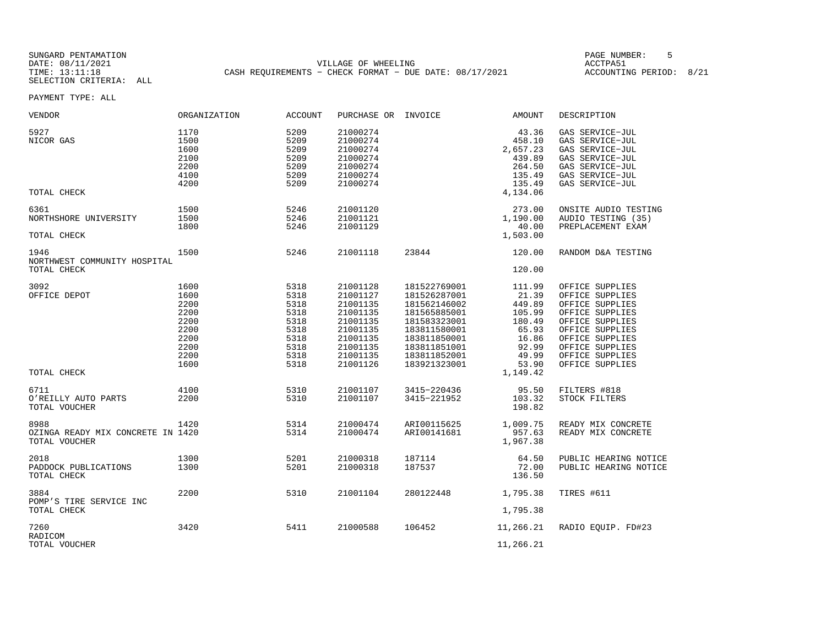SUNGARD PENTAMATION PAGE NUMBER: 5SELECTION CRITERIA: ALL

DATE: 08/11/2021 VILLAGE OF WHEELING ACCTPA51TIME: 13:11:18 CASH REQUIREMENTS - CHECK FORMAT - DUE DATE: 08/17/2021

ACCOUNTING PERIOD: 8/21

| VENDOR                                                     | ORGANIZATION                                                                 | <b>ACCOUNT</b>                                                               | PURCHASE OR INVOICE                                                                                                  |                                                                                                                                                              | AMOUNT                                                                                                 | DESCRIPTION                                                                                                                                                                                |
|------------------------------------------------------------|------------------------------------------------------------------------------|------------------------------------------------------------------------------|----------------------------------------------------------------------------------------------------------------------|--------------------------------------------------------------------------------------------------------------------------------------------------------------|--------------------------------------------------------------------------------------------------------|--------------------------------------------------------------------------------------------------------------------------------------------------------------------------------------------|
| 5927<br>NICOR GAS                                          | 1170<br>1500<br>1600<br>2100<br>2200<br>4100<br>4200                         | 5209<br>5209<br>5209<br>5209<br>5209<br>5209<br>5209                         | 21000274<br>21000274<br>21000274<br>21000274<br>21000274<br>21000274<br>21000274                                     |                                                                                                                                                              | 43.36<br>458.10<br>2,657.23<br>439.89<br>264.50<br>135.49<br>135.49                                    | GAS SERVICE-JUL<br>GAS SERVICE-JUL<br>GAS SERVICE-JUL<br>GAS SERVICE-JUL<br>GAS SERVICE-JUL<br>GAS SERVICE-JUL<br>GAS SERVICE-JUL                                                          |
| TOTAL CHECK                                                |                                                                              |                                                                              |                                                                                                                      |                                                                                                                                                              | 4,134.06                                                                                               |                                                                                                                                                                                            |
| 6361<br>NORTHSHORE UNIVERSITY<br>TOTAL CHECK               | 1500<br>1500<br>1800                                                         | 5246<br>5246<br>5246                                                         | 21001120<br>21001121<br>21001129                                                                                     |                                                                                                                                                              | 273.00<br>1,190.00<br>40.00<br>1,503.00                                                                | ONSITE AUDIO TESTING<br>AUDIO TESTING (35)<br>PREPLACEMENT EXAM                                                                                                                            |
| 1946                                                       | 1500                                                                         | 5246                                                                         | 21001118                                                                                                             | 23844                                                                                                                                                        | 120.00                                                                                                 | RANDOM D&A TESTING                                                                                                                                                                         |
| NORTHWEST COMMUNITY HOSPITAL<br>TOTAL CHECK                |                                                                              |                                                                              |                                                                                                                      |                                                                                                                                                              | 120.00                                                                                                 |                                                                                                                                                                                            |
| 3092<br>OFFICE DEPOT<br>TOTAL CHECK                        | 1600<br>1600<br>2200<br>2200<br>2200<br>2200<br>2200<br>2200<br>2200<br>1600 | 5318<br>5318<br>5318<br>5318<br>5318<br>5318<br>5318<br>5318<br>5318<br>5318 | 21001128<br>21001127<br>21001135<br>21001135<br>21001135<br>21001135<br>21001135<br>21001135<br>21001135<br>21001126 | 181522769001<br>181526287001<br>181562146002<br>181565885001<br>181583323001<br>183811580001<br>183811850001<br>183811851001<br>183811852001<br>183921323001 | 111.99<br>21.39<br>449.89<br>105.99<br>180.49<br>65.93<br>16.86<br>92.99<br>49.99<br>53.90<br>1,149.42 | OFFICE SUPPLIES<br>OFFICE SUPPLIES<br>OFFICE SUPPLIES<br>OFFICE SUPPLIES<br>OFFICE SUPPLIES<br>OFFICE SUPPLIES<br>OFFICE SUPPLIES<br>OFFICE SUPPLIES<br>OFFICE SUPPLIES<br>OFFICE SUPPLIES |
| 6711<br>O'REILLY AUTO PARTS<br>TOTAL VOUCHER               | 4100<br>2200                                                                 | 5310<br>5310                                                                 | 21001107<br>21001107                                                                                                 | 3415-220436<br>3415-221952                                                                                                                                   | 95.50<br>103.32<br>198.82                                                                              | FILTERS #818<br>STOCK FILTERS                                                                                                                                                              |
| 8988<br>OZINGA READY MIX CONCRETE IN 1420<br>TOTAL VOUCHER | 1420                                                                         | 5314<br>5314                                                                 | 21000474<br>21000474                                                                                                 | ARI00115625<br>ARI00141681                                                                                                                                   | 1,009.75<br>957.63<br>1,967.38                                                                         | READY MIX CONCRETE<br>READY MIX CONCRETE                                                                                                                                                   |
| 2018<br>PADDOCK PUBLICATIONS<br>TOTAL CHECK                | 1300<br>1300                                                                 | 5201<br>5201                                                                 | 21000318<br>21000318                                                                                                 | 187114<br>187537                                                                                                                                             | 64.50<br>72.00<br>136.50                                                                               | PUBLIC HEARING NOTICE<br>PUBLIC HEARING NOTICE                                                                                                                                             |
| 3884                                                       | 2200                                                                         | 5310                                                                         | 21001104                                                                                                             | 280122448                                                                                                                                                    | 1,795.38                                                                                               | TIRES #611                                                                                                                                                                                 |
| POMP'S TIRE SERVICE INC<br>TOTAL CHECK                     |                                                                              |                                                                              |                                                                                                                      |                                                                                                                                                              | 1,795.38                                                                                               |                                                                                                                                                                                            |
| 7260<br>RADICOM                                            | 3420                                                                         | 5411                                                                         | 21000588                                                                                                             | 106452                                                                                                                                                       | 11,266.21                                                                                              | RADIO EOUIP. FD#23                                                                                                                                                                         |
| TOTAL VOUCHER                                              |                                                                              |                                                                              |                                                                                                                      |                                                                                                                                                              | 11,266.21                                                                                              |                                                                                                                                                                                            |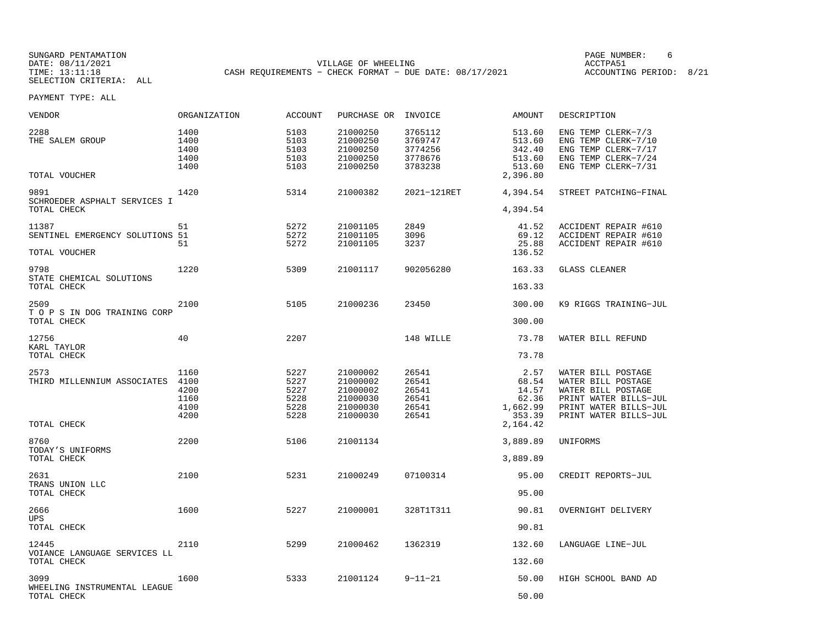SELECTION CRITERIA: ALL

SUNGARD PENTAMATION PAGE NUMBER: 6VILLAGE OF WHEELING **ACCTPA51** TIME: 13:11:18 CASH REQUIREMENTS - CHECK FORMAT - DUE DATE: 08/17/2021

ACCOUNTING PERIOD: 8/21

| VENDOR                                      | ORGANIZATION                         | <b>ACCOUNT</b>                       | PURCHASE OR                                              | INVOICE                                             | AMOUNT                                                     | DESCRIPTION                                                                                                    |
|---------------------------------------------|--------------------------------------|--------------------------------------|----------------------------------------------------------|-----------------------------------------------------|------------------------------------------------------------|----------------------------------------------------------------------------------------------------------------|
| 2288<br>THE SALEM GROUP<br>TOTAL VOUCHER    | 1400<br>1400<br>1400<br>1400<br>1400 | 5103<br>5103<br>5103<br>5103<br>5103 | 21000250<br>21000250<br>21000250<br>21000250<br>21000250 | 3765112<br>3769747<br>3774256<br>3778676<br>3783238 | 513.60<br>513.60<br>342.40<br>513.60<br>513.60<br>2,396.80 | ENG TEMP CLERK-7/3<br>ENG TEMP CLERK-7/10<br>ENG TEMP CLERK-7/17<br>ENG TEMP CLERK-7/24<br>ENG TEMP CLERK-7/31 |
| 9891                                        | 1420                                 | 5314                                 | 21000382                                                 | 2021-121RET                                         | 4,394.54                                                   | STREET PATCHING-FINAL                                                                                          |
| SCHROEDER ASPHALT SERVICES I<br>TOTAL CHECK |                                      |                                      |                                                          |                                                     | 4,394.54                                                   |                                                                                                                |
| 11387                                       | 51                                   | 5272                                 | 21001105                                                 | 2849                                                | 41.52                                                      | ACCIDENT REPAIR #610                                                                                           |
| SENTINEL EMERGENCY SOLUTIONS 51             | 51                                   | 5272<br>5272                         | 21001105<br>21001105                                     | 3096<br>3237                                        | 69.12<br>25.88                                             | ACCIDENT REPAIR #610<br>ACCIDENT REPAIR #610                                                                   |
| TOTAL VOUCHER                               |                                      |                                      |                                                          |                                                     | 136.52                                                     |                                                                                                                |
| 9798                                        | 1220                                 | 5309                                 | 21001117                                                 | 902056280                                           | 163.33                                                     | <b>GLASS CLEANER</b>                                                                                           |
| STATE CHEMICAL SOLUTIONS<br>TOTAL CHECK     |                                      |                                      |                                                          |                                                     | 163.33                                                     |                                                                                                                |
| 2509                                        | 2100                                 | 5105                                 | 21000236                                                 | 23450                                               | 300.00                                                     | K9 RIGGS TRAINING-JUL                                                                                          |
| T O P S IN DOG TRAINING CORP<br>TOTAL CHECK |                                      |                                      |                                                          |                                                     | 300.00                                                     |                                                                                                                |
| 12756                                       | 40                                   | 2207                                 |                                                          | 148 WILLE                                           | 73.78                                                      | WATER BILL REFUND                                                                                              |
| KARL TAYLOR<br>TOTAL CHECK                  |                                      |                                      |                                                          |                                                     | 73.78                                                      |                                                                                                                |
| 2573                                        | 1160                                 | 5227                                 | 21000002                                                 | 26541                                               | 2.57                                                       | WATER BILL POSTAGE                                                                                             |
| THIRD MILLENNIUM ASSOCIATES                 | 4100                                 | 5227                                 | 21000002                                                 | 26541                                               | 68.54                                                      | WATER BILL POSTAGE                                                                                             |
|                                             | 4200<br>1160                         | 5227<br>5228                         | 21000002<br>21000030                                     | 26541<br>26541                                      | 14.57<br>62.36                                             | WATER BILL POSTAGE<br>PRINT WATER BILLS-JUL                                                                    |
|                                             | 4100                                 | 5228                                 | 21000030                                                 | 26541                                               | 1,662.99                                                   | PRINT WATER BILLS-JUL                                                                                          |
| TOTAL CHECK                                 | 4200                                 | 5228                                 | 21000030                                                 | 26541                                               | 353.39<br>2,164.42                                         | PRINT WATER BILLS-JUL                                                                                          |
| 8760                                        | 2200                                 | 5106                                 | 21001134                                                 |                                                     | 3,889.89                                                   | UNIFORMS                                                                                                       |
| TODAY'S UNIFORMS<br>TOTAL CHECK             |                                      |                                      |                                                          |                                                     | 3,889.89                                                   |                                                                                                                |
| 2631                                        | 2100                                 | 5231                                 | 21000249                                                 | 07100314                                            | 95.00                                                      | CREDIT REPORTS-JUL                                                                                             |
| TRANS UNION LLC<br>TOTAL CHECK              |                                      |                                      |                                                          |                                                     | 95.00                                                      |                                                                                                                |
| 2666                                        | 1600                                 | 5227                                 | 21000001                                                 | 328T1T311                                           | 90.81                                                      | OVERNIGHT DELIVERY                                                                                             |
| <b>UPS</b><br>TOTAL CHECK                   |                                      |                                      |                                                          |                                                     | 90.81                                                      |                                                                                                                |
| 12445                                       | 2110                                 | 5299                                 | 21000462                                                 | 1362319                                             | 132.60                                                     | LANGUAGE LINE-JUL                                                                                              |
| VOIANCE LANGUAGE SERVICES LL<br>TOTAL CHECK |                                      |                                      |                                                          |                                                     | 132.60                                                     |                                                                                                                |
| 3099                                        | 1600                                 | 5333                                 | 21001124                                                 | $9 - 11 - 21$                                       | 50.00                                                      | HIGH SCHOOL BAND AD                                                                                            |
| WHEELING INSTRUMENTAL LEAGUE<br>TOTAL CHECK |                                      |                                      |                                                          |                                                     | 50.00                                                      |                                                                                                                |